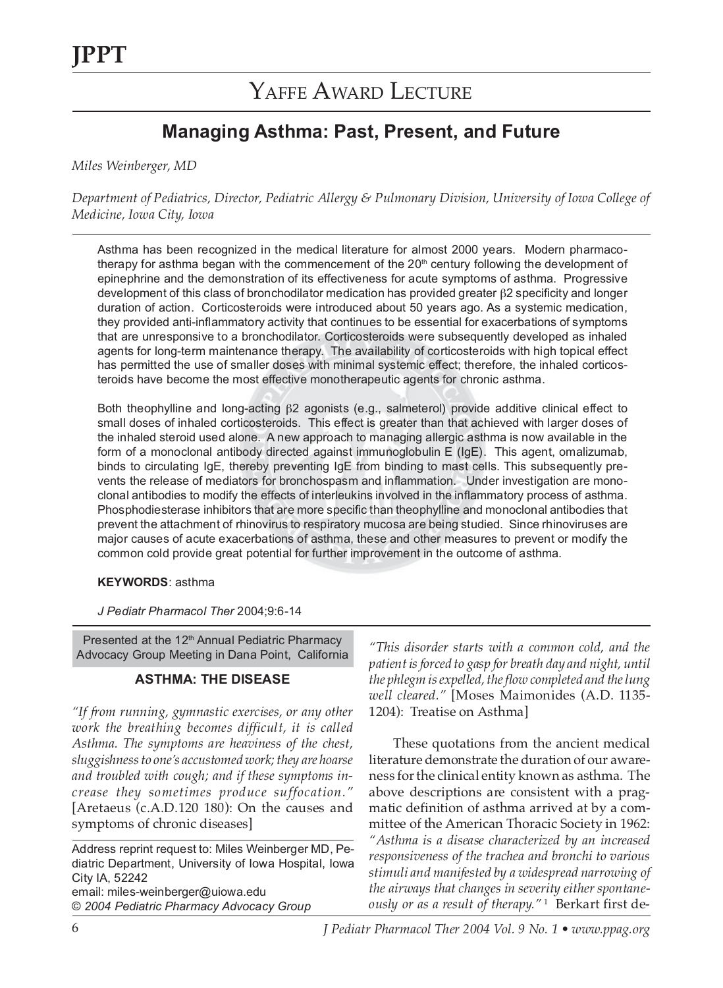### **Managing Asthma: Past, Present, and Future**

*Miles Weinberger, MD*

*Department of Pediatrics, Director, Pediatric Allergy & Pulmonary Division, University of Iowa College of Medicine, Iowa City, Iowa*

Asthma has been recognized in the medical literature for almost 2000 years. Modern pharmacotherapy for asthma began with the commencement of the 20<sup>th</sup> century following the development of epinephrine and the demonstration of its effectiveness for acute symptoms of asthma. Progressive development of this class of bronchodilator medication has provided greater β2 specificity and longer duration of action. Corticosteroids were introduced about 50 years ago. As a systemic medication, they provided anti-inflammatory activity that continues to be essential for exacerbations of symptoms that are unresponsive to a bronchodilator. Corticosteroids were subsequently developed as inhaled agents for long-term maintenance therapy. The availability of corticosteroids with high topical effect has permitted the use of smaller doses with minimal systemic effect; therefore, the inhaled corticosteroids have become the most effective monotherapeutic agents for chronic asthma.

Both theophylline and long-acting β2 agonists (e.g., salmeterol) provide additive clinical effect to small doses of inhaled corticosteroids. This effect is greater than that achieved with larger doses of the inhaled steroid used alone. A new approach to managing allergic asthma is now available in the form of a monoclonal antibody directed against immunoglobulin E (IgE). This agent, omalizumab, binds to circulating IgE, thereby preventing IgE from binding to mast cells. This subsequently prevents the release of mediators for bronchospasm and inflammation. Under investigation are monoclonal antibodies to modify the effects of interleukins involved in the inflammatory process of asthma. Phosphodiesterase inhibitors that are more specific than theophylline and monoclonal antibodies that prevent the attachment of rhinovirus to respiratory mucosa are being studied. Since rhinoviruses are major causes of acute exacerbations of asthma, these and other measures to prevent or modify the common cold provide great potential for further improvement in the outcome of asthma.

### **KEYWORDS**: asthma

*J Pediatr Pharmacol Ther* 2004;9:6-14

Presented at the 12<sup>th</sup> Annual Pediatric Pharmacy Advocacy Group Meeting in Dana Point, California

### **ASTHMA: THE DISEASE**

*"If from running, gymnastic exercises, or any other work the breathing becomes difficult, it is called Asthma. The symptoms are heaviness of the chest, sluggishness to one's accustomed work; they are hoarse and troubled with cough; and if these symptoms increase they sometimes produce suffocation."* [Aretaeus (c.A.D.120 180): On the causes and symptoms of chronic diseases]

Address reprint request to: Miles Weinberger MD, Pediatric Department, University of Iowa Hospital, Iowa City IA, 52242 email: miles-weinberger@uiowa.edu © *2004 Pediatric Pharmacy Advocacy Group*

*"This disorder starts with a common cold, and the patient is forced to gasp for breath day and night, until the phlegm is expelled, the flow completed and the lung well cleared."* [Moses Maimonides (A.D. 1135- 1204): Treatise on Asthma]

These quotations from the ancient medical literature demonstrate the duration of our awareness for the clinical entity known as asthma. The above descriptions are consistent with a pragmatic definition of asthma arrived at by a committee of the American Thoracic Society in 1962: *"Asthma is a disease characterized by an increased responsiveness of the trachea and bronchi to various stimuli and manifested by a widespread narrowing of the airways that changes in severity either spontaneously or as a result of therapy."*<sup>1</sup> Berkart first de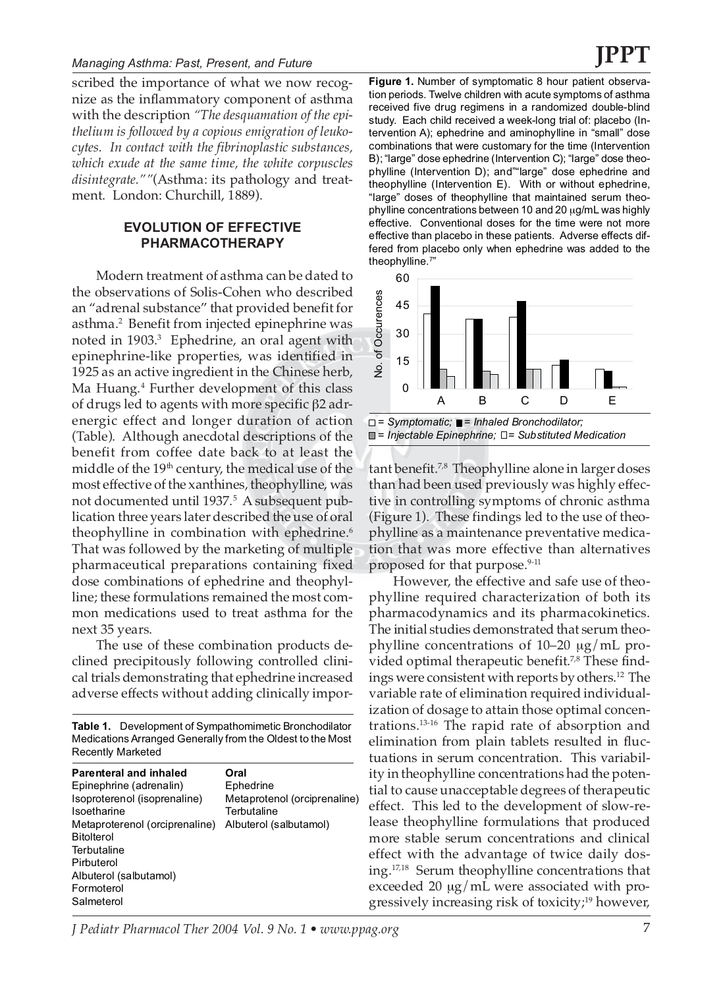scribed the importance of what we now recognize as the inflammatory component of asthma with the description *"The desquamation of the epithelium is followed by a copious emigration of leukocytes. In contact with the fibrinoplastic substances, which exude at the same time, the white corpuscles disintegrate.""*(Asthma: its pathology and treatment. London: Churchill, 1889).

### **EVOLUTION OF EFFECTIVE PHARMACOTHERAPY**

Modern treatment of asthma can be dated to the observations of Solis-Cohen who described an "adrenal substance" that provided benefit for asthma.2 Benefit from injected epinephrine was noted in 1903.<sup>3</sup> Ephedrine, an oral agent with epinephrine-like properties, was identified in 1925 as an active ingredient in the Chinese herb, Ma Huang.<sup>4</sup> Further development of this class of drugs led to agents with more specific β2 adrenergic effect and longer duration of action (Table). Although anecdotal descriptions of the benefit from coffee date back to at least the middle of the 19<sup>th</sup> century, the medical use of the most effective of the xanthines, theophylline, was not documented until 1937.<sup>5</sup> A subsequent publication three years later described the use of oral theophylline in combination with ephedrine.<sup>6</sup> That was followed by the marketing of multiple pharmaceutical preparations containing fixed dose combinations of ephedrine and theophylline; these formulations remained the most common medications used to treat asthma for the next 35 years.

The use of these combination products declined precipitously following controlled clinical trials demonstrating that ephedrine increased adverse effects without adding clinically impor-

**Table 1.** Development of Sympathomimetic Bronchodilator Medications Arranged Generally from the Oldest to the Most Recently Marketed

| <b>Parenteral and inhaled</b><br>Epinephrine (adrenalin)<br>Isoproterenol (isoprenaline)<br>Isoetharine<br>Metaproterenol (orciprenaline)<br><b>Bitolterol</b><br>Terbutaline<br>Pirbuterol<br>Albuterol (salbutamol)<br>Formoterol | Oral<br>Ephedrine<br>Metaprotenol (orciprenaline)<br>Terbutaline<br>Albuterol (salbutamol) |
|-------------------------------------------------------------------------------------------------------------------------------------------------------------------------------------------------------------------------------------|--------------------------------------------------------------------------------------------|
| Salmeterol                                                                                                                                                                                                                          |                                                                                            |

**Figure 1.** Number of symptomatic 8 hour patient observation periods. Twelve children with acute symptoms of asthma received five drug regimens in a randomized double-blind study. Each child received a week-long trial of: placebo (Intervention A); ephedrine and aminophylline in "small" dose combinations that were customary for the time (Intervention B); "large" dose ephedrine (Intervention C); "large" dose theophylline (Intervention D); and""large" dose ephedrine and theophylline (Intervention E). With or without ephedrine, "large" doses of theophylline that maintained serum theophylline concentrations between 10 and 20 µg/mL was highly effective. Conventional doses for the time were not more effective than placebo in these patients. Adverse effects differed from placebo only when ephedrine was added to the theophylline.7"





tant benefit.7,8 Theophylline alone in larger doses than had been used previously was highly effective in controlling symptoms of chronic asthma (Figure 1). These findings led to the use of theophylline as a maintenance preventative medication that was more effective than alternatives proposed for that purpose.<sup>9-11</sup>

However, the effective and safe use of theophylline required characterization of both its pharmacodynamics and its pharmacokinetics. The initial studies demonstrated that serum theophylline concentrations of 10–20 µg/mL provided optimal therapeutic benefit.<sup>7,8</sup> These findings were consistent with reports by others.12 The variable rate of elimination required individualization of dosage to attain those optimal concentrations.13-16 The rapid rate of absorption and elimination from plain tablets resulted in fluctuations in serum concentration. This variability in theophylline concentrations had the potential to cause unacceptable degrees of therapeutic effect. This led to the development of slow-release theophylline formulations that produced more stable serum concentrations and clinical effect with the advantage of twice daily dosing.17,18 Serum theophylline concentrations that exceeded 20  $\mu$ g/mL were associated with progressively increasing risk of toxicity;<sup>19</sup> however,

*J Pediatr Pharmacol Ther 2004 Vol. 9 No. 1 • www.ppag.org* 7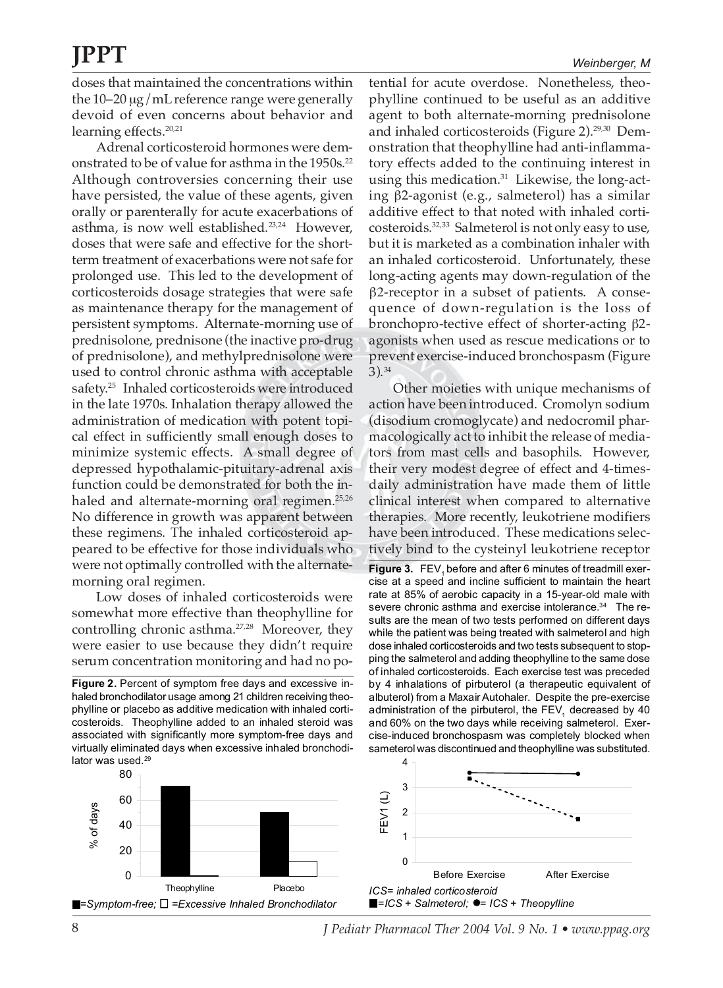doses that maintained the concentrations within the 10–20 µg/mL reference range were generally devoid of even concerns about behavior and learning effects.<sup>20,21</sup>

Adrenal corticosteroid hormones were demonstrated to be of value for asthma in the 1950s.<sup>22</sup> Although controversies concerning their use have persisted, the value of these agents, given orally or parenterally for acute exacerbations of asthma, is now well established.<sup>23,24</sup> However, doses that were safe and effective for the shortterm treatment of exacerbations were not safe for prolonged use. This led to the development of corticosteroids dosage strategies that were safe as maintenance therapy for the management of persistent symptoms. Alternate-morning use of prednisolone, prednisone (the inactive pro-drug of prednisolone), and methylprednisolone were used to control chronic asthma with acceptable safety.<sup>25</sup> Inhaled corticosteroids were introduced in the late 1970s. Inhalation therapy allowed the administration of medication with potent topical effect in sufficiently small enough doses to minimize systemic effects. A small degree of depressed hypothalamic-pituitary-adrenal axis function could be demonstrated for both the inhaled and alternate-morning oral regimen.<sup>25,26</sup> No difference in growth was apparent between these regimens. The inhaled corticosteroid appeared to be effective for those individuals who were not optimally controlled with the alternatemorning oral regimen.

Low doses of inhaled corticosteroids were somewhat more effective than theophylline for controlling chronic asthma.27,28 Moreover, they were easier to use because they didn't require serum concentration monitoring and had no po-

**Figure 2.** Percent of symptom free days and excessive inhaled bronchodilator usage among 21 children receiving theophylline or placebo as additive medication with inhaled corticosteroids. Theophylline added to an inhaled steroid was associated with significantly more symptom-free days and virtually eliminated days when excessive inhaled bronchodilator was used.<sup>29</sup>

tential for acute overdose. Nonetheless, theophylline continued to be useful as an additive agent to both alternate-morning prednisolone and inhaled corticosteroids (Figure 2).<sup>29,30</sup> Demonstration that theophylline had anti-inflammatory effects added to the continuing interest in using this medication. $31$  Likewise, the long-acting β2-agonist (e.g., salmeterol) has a similar additive effect to that noted with inhaled corticosteroids.32,33 Salmeterol is not only easy to use, but it is marketed as a combination inhaler with an inhaled corticosteroid. Unfortunately, these long-acting agents may down-regulation of the β2-receptor in a subset of patients. A consequence of down-regulation is the loss of bronchopro-tective effect of shorter-acting β2 agonists when used as rescue medications or to prevent exercise-induced bronchospasm (Figure 3).34

Other moieties with unique mechanisms of action have been introduced. Cromolyn sodium (disodium cromoglycate) and nedocromil pharmacologically act to inhibit the release of mediators from mast cells and basophils. However, their very modest degree of effect and 4-timesdaily administration have made them of little clinical interest when compared to alternative therapies. More recently, leukotriene modifiers have been introduced. These medications selectively bind to the cysteinyl leukotriene receptor

Figure 3. FEV<sub>4</sub> before and after 6 minutes of treadmill exercise at a speed and incline sufficient to maintain the heart rate at 85% of aerobic capacity in a 15-year-old male with severe chronic asthma and exercise intolerance.<sup>34</sup> The results are the mean of two tests performed on different days while the patient was being treated with salmeterol and high dose inhaled corticosteroids and two tests subsequent to stopping the salmeterol and adding theophylline to the same dose of inhaled corticosteroids. Each exercise test was preceded by 4 inhalations of pirbuterol (a therapeutic equivalent of albuterol) from a Maxair Autohaler. Despite the pre-exercise administration of the pirbuterol, the  $FEV<sub>4</sub>$  decreased by 40 and 60% on the two days while receiving salmeterol. Exercise-induced bronchospasm was completely blocked when sameterol was discontinued and theophylline was substituted.



8 *J Pediatr Pharmacol Ther 2004 Vol. 9 No. 1 • www.ppag.org*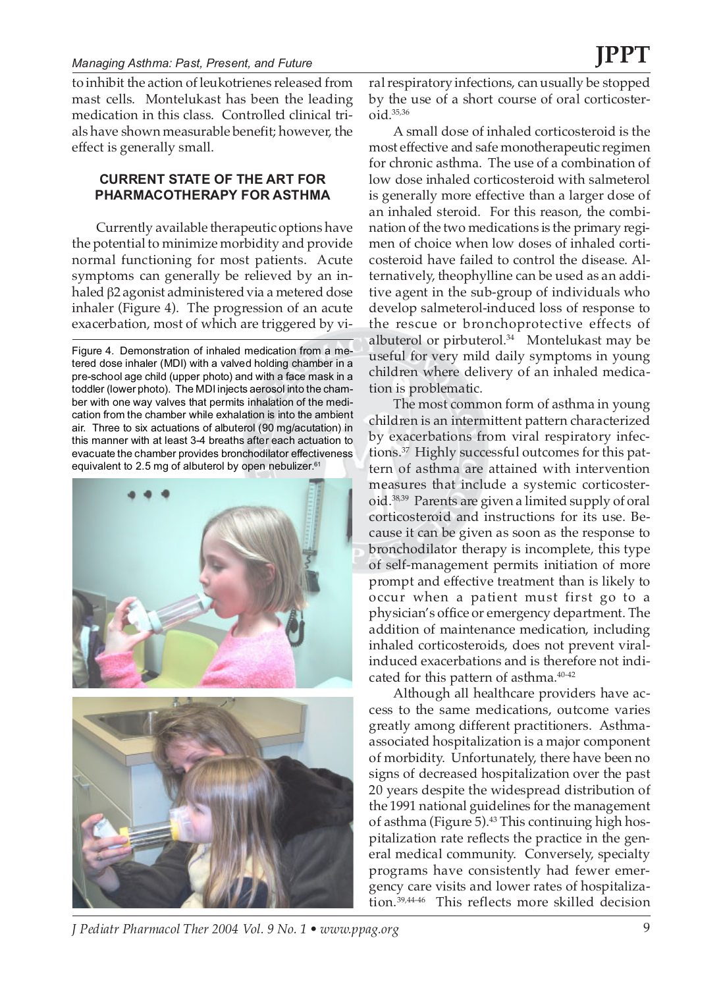to inhibit the action of leukotrienes released from mast cells. Montelukast has been the leading medication in this class. Controlled clinical trials have shown measurable benefit; however, the effect is generally small.

### **CURRENT STATE OF THE ART FOR PHARMACOTHERAPY FOR ASTHMA**

Currently available therapeutic options have the potential to minimize morbidity and provide normal functioning for most patients. Acute symptoms can generally be relieved by an inhaled β2 agonist administered via a metered dose inhaler (Figure 4). The progression of an acute exacerbation, most of which are triggered by vi-

Figure 4. Demonstration of inhaled medication from a metered dose inhaler (MDI) with a valved holding chamber in a pre-school age child (upper photo) and with a face mask in a toddler (lower photo). The MDI injects aerosol into the chamber with one way valves that permits inhalation of the medication from the chamber while exhalation is into the ambient air. Three to six actuations of albuterol (90 mg/acutation) in this manner with at least 3-4 breaths after each actuation to evacuate the chamber provides bronchodilator effectiveness equivalent to 2.5 mg of albuterol by open nebulizer. $61$ 



ral respiratory infections, can usually be stopped by the use of a short course of oral corticoster $oid.$ <sup>35,36</sup>

A small dose of inhaled corticosteroid is the most effective and safe monotherapeutic regimen for chronic asthma. The use of a combination of low dose inhaled corticosteroid with salmeterol is generally more effective than a larger dose of an inhaled steroid. For this reason, the combination of the two medications is the primary regimen of choice when low doses of inhaled corticosteroid have failed to control the disease. Alternatively, theophylline can be used as an additive agent in the sub-group of individuals who develop salmeterol-induced loss of response to the rescue or bronchoprotective effects of albuterol or pirbuterol.<sup>34</sup> Montelukast may be useful for very mild daily symptoms in young children where delivery of an inhaled medication is problematic.

The most common form of asthma in young children is an intermittent pattern characterized by exacerbations from viral respiratory infections.<sup>37</sup> Highly successful outcomes for this pattern of asthma are attained with intervention measures that include a systemic corticosteroid.38,39 Parents are given a limited supply of oral corticosteroid and instructions for its use. Because it can be given as soon as the response to bronchodilator therapy is incomplete, this type of self-management permits initiation of more prompt and effective treatment than is likely to occur when a patient must first go to a physician's office or emergency department. The addition of maintenance medication, including inhaled corticosteroids, does not prevent viralinduced exacerbations and is therefore not indicated for this pattern of asthma.<sup>40-42</sup>

Although all healthcare providers have access to the same medications, outcome varies greatly among different practitioners. Asthmaassociated hospitalization is a major component of morbidity. Unfortunately, there have been no signs of decreased hospitalization over the past 20 years despite the widespread distribution of the 1991 national guidelines for the management of asthma (Figure 5).<sup>43</sup> This continuing high hospitalization rate reflects the practice in the general medical community. Conversely, specialty programs have consistently had fewer emergency care visits and lower rates of hospitalization.39,44-46 This reflects more skilled decision

*J Pediatr Pharmacol Ther 2004 Vol. 9 No. 1 • www.ppag.org* 9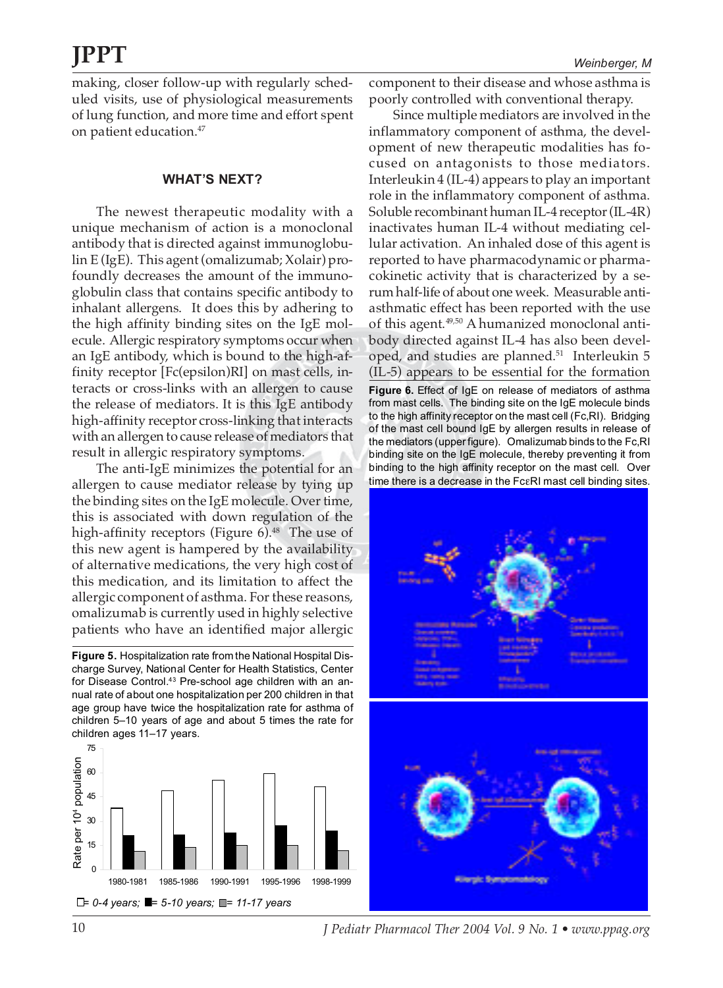making, closer follow-up with regularly scheduled visits, use of physiological measurements of lung function, and more time and effort spent on patient education.47

### **WHAT'S NEXT?**

The newest therapeutic modality with a unique mechanism of action is a monoclonal antibody that is directed against immunoglobulin E (IgE). This agent (omalizumab; Xolair) profoundly decreases the amount of the immunoglobulin class that contains specific antibody to inhalant allergens. It does this by adhering to the high affinity binding sites on the IgE molecule. Allergic respiratory symptoms occur when an IgE antibody, which is bound to the high-affinity receptor [Fc(epsilon)RI] on mast cells, interacts or cross-links with an allergen to cause the release of mediators. It is this IgE antibody high-affinity receptor cross-linking that interacts with an allergen to cause release of mediators that result in allergic respiratory symptoms.

The anti-IgE minimizes the potential for an allergen to cause mediator release by tying up the binding sites on the IgE molecule. Over time, this is associated with down regulation of the high-affinity receptors (Figure  $6$ ).<sup>48</sup> The use of this new agent is hampered by the availability of alternative medications, the very high cost of this medication, and its limitation to affect the allergic component of asthma. For these reasons, omalizumab is currently used in highly selective patients who have an identified major allergic

**Figure 5.** Hospitalization rate from the National Hospital Discharge Survey, National Center for Health Statistics, Center for Disease Control.<sup>43</sup> Pre-school age children with an annual rate of about one hospitalization per 200 children in that age group have twice the hospitalization rate for asthma of children 5–10 years of age and about 5 times the rate for children ages 11–17 years.



component to their disease and whose asthma is poorly controlled with conventional therapy.

Since multiple mediators are involved in the inflammatory component of asthma, the development of new therapeutic modalities has focused on antagonists to those mediators. Interleukin 4 (IL-4) appears to play an important role in the inflammatory component of asthma. Soluble recombinant human IL-4 receptor (IL-4R) inactivates human IL-4 without mediating cellular activation. An inhaled dose of this agent is reported to have pharmacodynamic or pharmacokinetic activity that is characterized by a serum half-life of about one week. Measurable antiasthmatic effect has been reported with the use of this agent.<sup>49,50</sup> A humanized monoclonal antibody directed against IL-4 has also been developed, and studies are planned.<sup>51</sup> Interleukin 5 (IL-5) appears to be essential for the formation

**Figure 6.** Effect of IgE on release of mediators of asthma from mast cells. The binding site on the IgE molecule binds to the high affinity receptor on the mast cell (Fc,RI). Bridging of the mast cell bound IgE by allergen results in release of the mediators (upper figure). Omalizumab binds to the Fc,RI binding site on the IgE molecule, thereby preventing it from binding to the high affinity receptor on the mast cell. Over time there is a decrease in the FcεRI mast cell binding sites.





10 *J Pediatr Pharmacol Ther 2004 Vol. 9 No. 1 • www.ppag.org*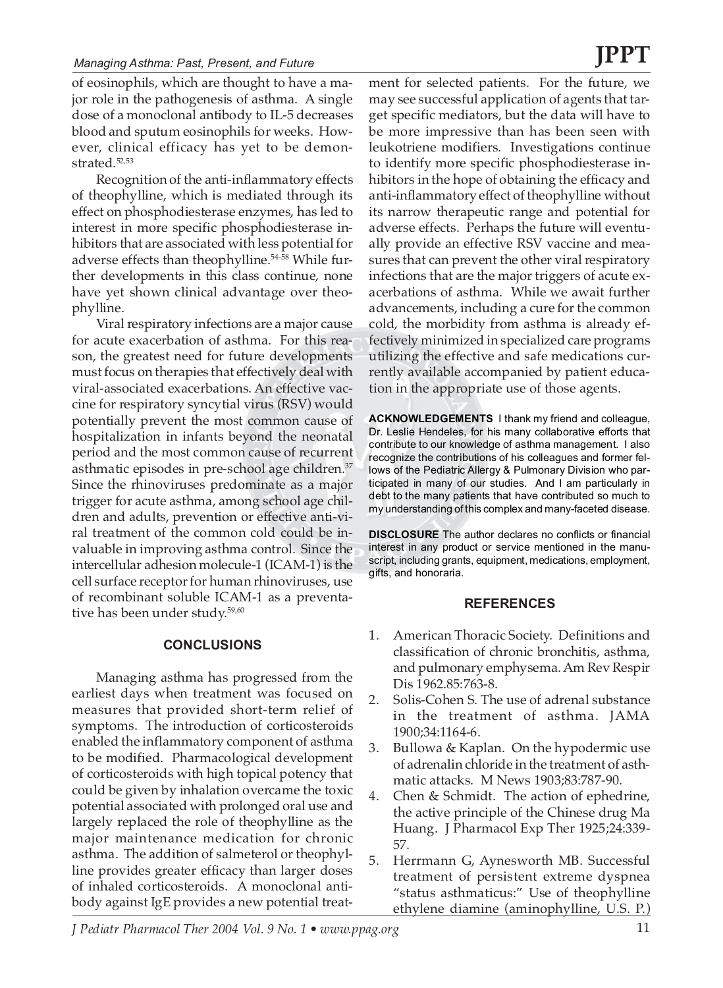### *Managing Asthma: Past, Present, and Future*

of eosinophils, which are thought to have a major role in the pathogenesis of asthma. A single dose of a monoclonal antibody to IL-5 decreases blood and sputum eosinophils for weeks. However, clinical efficacy has yet to be demonstrated.52,53

Recognition of the anti-inflammatory effects of theophylline, which is mediated through its effect on phosphodiesterase enzymes, has led to interest in more specific phosphodiesterase inhibitors that are associated with less potential for adverse effects than theophylline.<sup>54-58</sup> While further developments in this class continue, none have yet shown clinical advantage over theophylline.

Viral respiratory infections are a major cause for acute exacerbation of asthma. For this reason, the greatest need for future developments must focus on therapies that effectively deal with viral-associated exacerbations. An effective vaccine for respiratory syncytial virus (RSV) would potentially prevent the most common cause of hospitalization in infants beyond the neonatal period and the most common cause of recurrent asthmatic episodes in pre-school age children.<sup>37</sup> Since the rhinoviruses predominate as a major trigger for acute asthma, among school age children and adults, prevention or effective anti-viral treatment of the common cold could be invaluable in improving asthma control. Since the intercellular adhesion molecule-1 (ICAM-1) is the cell surface receptor for human rhinoviruses, use of recombinant soluble ICAM-1 as a preventative has been under study.<sup>59,60</sup>

### **CONCLUSIONS**

Managing asthma has progressed from the earliest days when treatment was focused on measures that provided short-term relief of symptoms. The introduction of corticosteroids enabled the inflammatory component of asthma to be modified. Pharmacological development of corticosteroids with high topical potency that could be given by inhalation overcame the toxic potential associated with prolonged oral use and largely replaced the role of theophylline as the major maintenance medication for chronic asthma. The addition of salmeterol or theophylline provides greater efficacy than larger doses of inhaled corticosteroids. A monoclonal antibody against IgE provides a new potential treat-

ment for selected patients. For the future, we may see successful application of agents that target specific mediators, but the data will have to be more impressive than has been seen with leukotriene modifiers. Investigations continue to identify more specific phosphodiesterase inhibitors in the hope of obtaining the efficacy and anti-inflammatory effect of theophylline without its narrow therapeutic range and potential for adverse effects. Perhaps the future will eventually provide an effective RSV vaccine and measures that can prevent the other viral respiratory infections that are the major triggers of acute exacerbations of asthma. While we await further advancements, including a cure for the common cold, the morbidity from asthma is already effectively minimized in specialized care programs utilizing the effective and safe medications currently available accompanied by patient education in the appropriate use of those agents.

**ACKNOWLEDGEMENTS** I thank my friend and colleague, Dr. Leslie Hendeles, for his many collaborative efforts that contribute to our knowledge of asthma management. I also recognize the contributions of his colleagues and former fellows of the Pediatric Allergy & Pulmonary Division who participated in many of our studies. And I am particularly in debt to the many patients that have contributed so much to my understanding of this complex and many-faceted disease.

**DISCLOSURE** The author declares no conflicts or financial interest in any product or service mentioned in the manuscript, including grants, equipment, medications, employment, gifts, and honoraria.

### **REFERENCES**

- 1. American Thoracic Society. Definitions and classification of chronic bronchitis, asthma, and pulmonary emphysema. Am Rev Respir Dis 1962.85:763-8.
- 2. Solis-Cohen S. The use of adrenal substance in the treatment of asthma. JAMA 1900;34:1164-6.
- 3. Bullowa & Kaplan. On the hypodermic use of adrenalin chloride in the treatment of asthmatic attacks. M News 1903;83:787-90.
- 4. Chen & Schmidt. The action of ephedrine, the active principle of the Chinese drug Ma Huang. J Pharmacol Exp Ther 1925;24:339- 57.
- 5. Herrmann G, Aynesworth MB. Successful treatment of persistent extreme dyspnea "status asthmaticus:" Use of theophylline ethylene diamine (aminophylline, U.S. P.)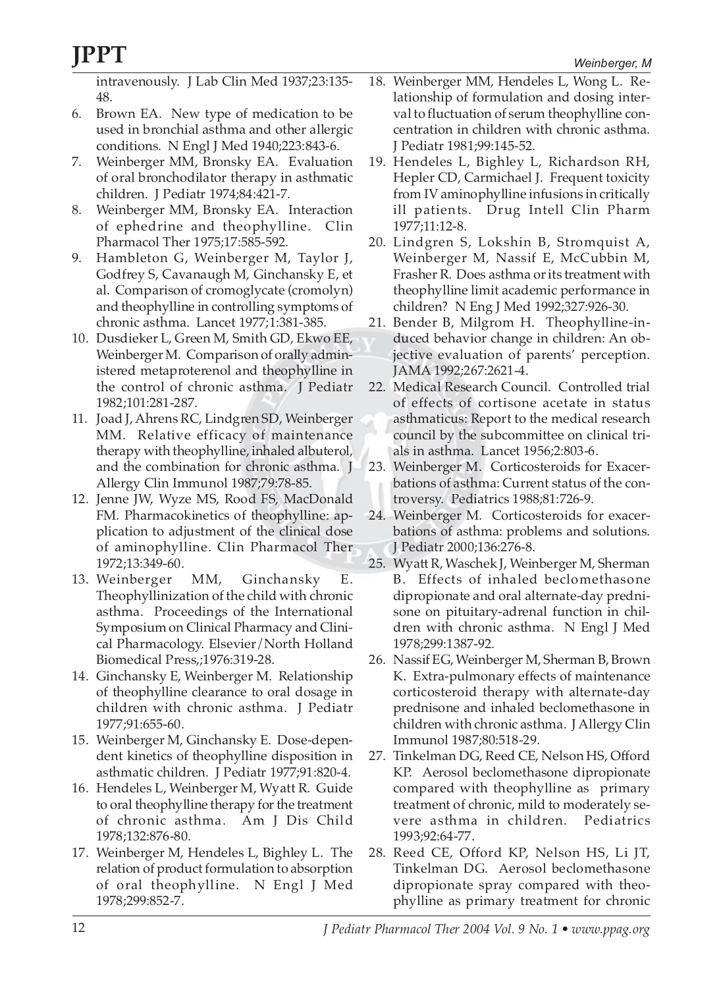intravenously. J Lab Clin Med 1937;23:135- 48.

- 6. Brown EA. New type of medication to be used in bronchial asthma and other allergic conditions. N Engl J Med 1940;223:843-6.
- 7. Weinberger MM, Bronsky EA. Evaluation of oral bronchodilator therapy in asthmatic children. J Pediatr 1974;84:421-7.
- 8. Weinberger MM, Bronsky EA. Interaction of ephedrine and theophylline. Clin Pharmacol Ther 1975;17:585-592.
- 9. Hambleton G, Weinberger M, Taylor J, Godfrey S, Cavanaugh M, Ginchansky E, et al. Comparison of cromoglycate (cromolyn) and theophylline in controlling symptoms of chronic asthma. Lancet 1977;1:381-385.
- 10. Dusdieker L, Green M, Smith GD, Ekwo EE, Weinberger M. Comparison of orally administered metaproterenol and theophylline in the control of chronic asthma. J Pediatr 1982;101:281-287.
- 11. Joad J, Ahrens RC, Lindgren SD, Weinberger MM. Relative efficacy of maintenance therapy with theophylline, inhaled albuterol, and the combination for chronic asthma. J Allergy Clin Immunol 1987;79:78-85.
- 12. Jenne JW, Wyze MS, Rood FS, MacDonald FM. Pharmacokinetics of theophylline: application to adjustment of the clinical dose of aminophylline. Clin Pharmacol Ther 1972;13:349-60.
- 13. Weinberger MM, Ginchansky E. Theophyllinization of the child with chronic asthma. Proceedings of the International Symposium on Clinical Pharmacy and Clinical Pharmacology. Elsevier/North Holland Biomedical Press,;1976:319-28.
- 14. Ginchansky E, Weinberger M. Relationship of theophylline clearance to oral dosage in children with chronic asthma. J Pediatr 1977;91:655-60.
- 15. Weinberger M, Ginchansky E. Dose-dependent kinetics of theophylline disposition in asthmatic children. J Pediatr 1977;91:820-4.
- 16. Hendeles L, Weinberger M, Wyatt R. Guide to oral theophylline therapy for the treatment of chronic asthma. Am J Dis Child 1978;132:876-80.
- 17. Weinberger M, Hendeles L, Bighley L. The relation of product formulation to absorption of oral theophylline. N Engl J Med 1978;299:852-7.
- 18. Weinberger MM, Hendeles L, Wong L. Relationship of formulation and dosing interval to fluctuation of serum theophylline concentration in children with chronic asthma. J Pediatr 1981;99:145-52.
- 19. Hendeles L, Bighley L, Richardson RH, Hepler CD, Carmichael J. Frequent toxicity from IV aminophylline infusions in critically ill patients. Drug Intell Clin Pharm 1977;11:12-8.
- 20. Lindgren S, Lokshin B, Stromquist A, Weinberger M, Nassif E, McCubbin M, Frasher R. Does asthma or its treatment with theophylline limit academic performance in children? N Eng J Med 1992;327:926-30.
- 21. Bender B, Milgrom H. Theophylline-induced behavior change in children: An objective evaluation of parents' perception. JAMA 1992;267:2621-4.
- 22. Medical Research Council. Controlled trial of effects of cortisone acetate in status asthmaticus: Report to the medical research council by the subcommittee on clinical trials in asthma. Lancet 1956;2:803-6.
- 23. Weinberger M. Corticosteroids for Exacerbations of asthma: Current status of the controversy. Pediatrics 1988;81:726-9.
- 24. Weinberger M. Corticosteroids for exacerbations of asthma: problems and solutions. J Pediatr 2000;136:276-8.
- 25. Wyatt R, Waschek J, Weinberger M, Sherman B. Effects of inhaled beclomethasone dipropionate and oral alternate-day prednisone on pituitary-adrenal function in children with chronic asthma. N Engl J Med 1978;299:1387-92.
- 26. Nassif EG, Weinberger M, Sherman B, Brown K. Extra-pulmonary effects of maintenance corticosteroid therapy with alternate-day prednisone and inhaled beclomethasone in children with chronic asthma. J Allergy Clin Immunol 1987;80:518-29.
- 27. Tinkelman DG, Reed CE, Nelson HS, Offord KP. Aerosol beclomethasone dipropionate compared with theophylline as primary treatment of chronic, mild to moderately severe asthma in children. Pediatrics 1993;92:64-77.
- 28. Reed CE, Offord KP, Nelson HS, Li JT, Tinkelman DG. Aerosol beclomethasone dipropionate spray compared with theophylline as primary treatment for chronic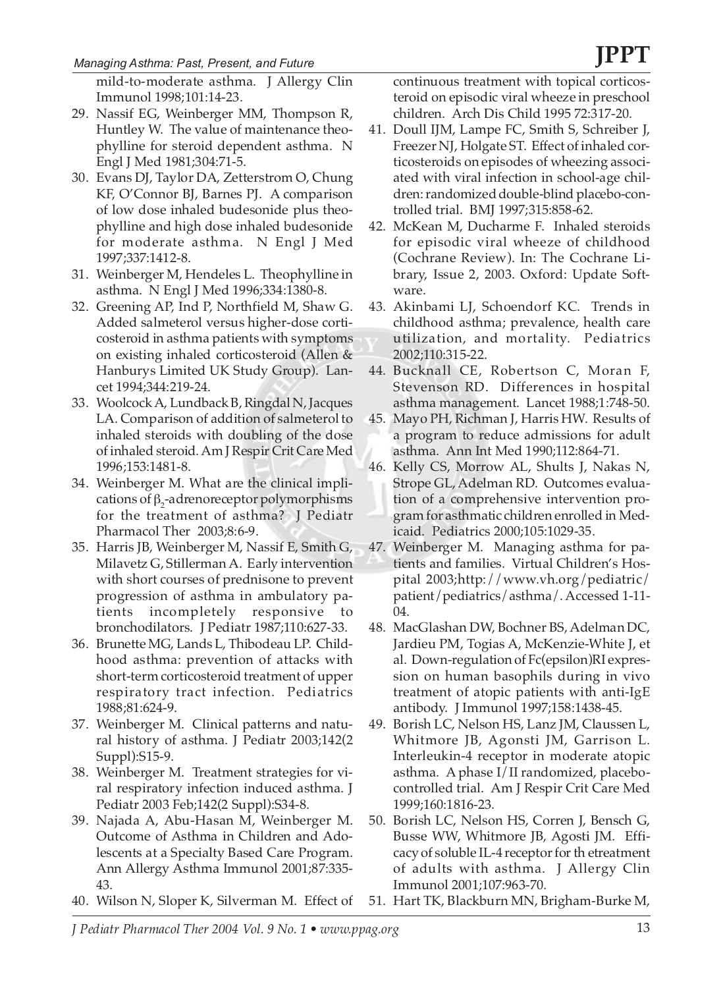mild-to-moderate asthma. J Allergy Clin Immunol 1998;101:14-23.

- 29. Nassif EG, Weinberger MM, Thompson R, Huntley W. The value of maintenance theophylline for steroid dependent asthma. N Engl J Med 1981;304:71-5.
- 30. Evans DJ, Taylor DA, Zetterstrom O, Chung KF, O'Connor BJ, Barnes PJ. A comparison of low dose inhaled budesonide plus theophylline and high dose inhaled budesonide for moderate asthma. N Engl J Med 1997;337:1412-8.
- 31. Weinberger M, Hendeles L. Theophylline in asthma. N Engl J Med 1996;334:1380-8.
- 32. Greening AP, Ind P, Northfield M, Shaw G. Added salmeterol versus higher-dose corticosteroid in asthma patients with symptoms on existing inhaled corticosteroid (Allen & Hanburys Limited UK Study Group). Lancet 1994;344:219-24.
- 33. Woolcock A, Lundback B, Ringdal N, Jacques LA. Comparison of addition of salmeterol to inhaled steroids with doubling of the dose of inhaled steroid. Am J Respir Crit Care Med 1996;153:1481-8.
- 34. Weinberger M. What are the clinical implications of  $\beta_2$ -adrenoreceptor polymorphisms for the treatment of asthma? J Pediatr Pharmacol Ther 2003;8:6-9.
- 35. Harris JB, Weinberger M, Nassif E, Smith G, Milavetz G, Stillerman A. Early intervention with short courses of prednisone to prevent progression of asthma in ambulatory patients incompletely responsive to bronchodilators. J Pediatr 1987;110:627-33.
- 36. Brunette MG, Lands L, Thibodeau LP. Childhood asthma: prevention of attacks with short-term corticosteroid treatment of upper respiratory tract infection. Pediatrics 1988;81:624-9.
- 37. Weinberger M. Clinical patterns and natural history of asthma. J Pediatr 2003;142(2 Suppl):S15-9.
- 38. Weinberger M. Treatment strategies for viral respiratory infection induced asthma. J Pediatr 2003 Feb;142(2 Suppl):S34-8.
- 39. Najada A, Abu-Hasan M, Weinberger M. Outcome of Asthma in Children and Adolescents at a Specialty Based Care Program. Ann Allergy Asthma Immunol 2001;87:335- 43.
- 40. Wilson N, Sloper K, Silverman M. Effect of

continuous treatment with topical corticosteroid on episodic viral wheeze in preschool children. Arch Dis Child 1995 72:317-20.

- 41. Doull IJM, Lampe FC, Smith S, Schreiber J, Freezer NJ, Holgate ST. Effect of inhaled corticosteroids on episodes of wheezing associated with viral infection in school-age children: randomized double-blind placebo-controlled trial. BMJ 1997;315:858-62.
- 42. McKean M, Ducharme F. Inhaled steroids for episodic viral wheeze of childhood (Cochrane Review). In: The Cochrane Library, Issue 2, 2003. Oxford: Update Software.
- 43. Akinbami LJ, Schoendorf KC. Trends in childhood asthma; prevalence, health care utilization, and mortality. Pediatrics 2002;110:315-22.
- 44. Bucknall CE, Robertson C, Moran F, Stevenson RD. Differences in hospital asthma management. Lancet 1988;1:748-50.
- 45. Mayo PH, Richman J, Harris HW. Results of a program to reduce admissions for adult asthma. Ann Int Med 1990;112:864-71.
- 46. Kelly CS, Morrow AL, Shults J, Nakas N, Strope GL, Adelman RD. Outcomes evaluation of a comprehensive intervention program for asthmatic children enrolled in Medicaid. Pediatrics 2000;105:1029-35.
- 47. Weinberger M. Managing asthma for patients and families. Virtual Children's Hospital 2003;http://www.vh.org/pediatric/ patient/pediatrics/asthma/. Accessed 1-11- 04.
- 48. MacGlashan DW, Bochner BS, Adelman DC, Jardieu PM, Togias A, McKenzie-White J, et al. Down-regulation of Fc(epsilon)RI expression on human basophils during in vivo treatment of atopic patients with anti-IgE antibody. J Immunol 1997;158:1438-45.
- 49. Borish LC, Nelson HS, Lanz JM, Claussen L, Whitmore JB, Agonsti JM, Garrison L. Interleukin-4 receptor in moderate atopic asthma. A phase I/II randomized, placebocontrolled trial. Am J Respir Crit Care Med 1999;160:1816-23.
- 50. Borish LC, Nelson HS, Corren J, Bensch G, Busse WW, Whitmore JB, Agosti JM. Efficacy of soluble IL-4 receptor for th etreatment of adults with asthma. J Allergy Clin Immunol 2001;107:963-70.
- 51. Hart TK, Blackburn MN, Brigham-Burke M,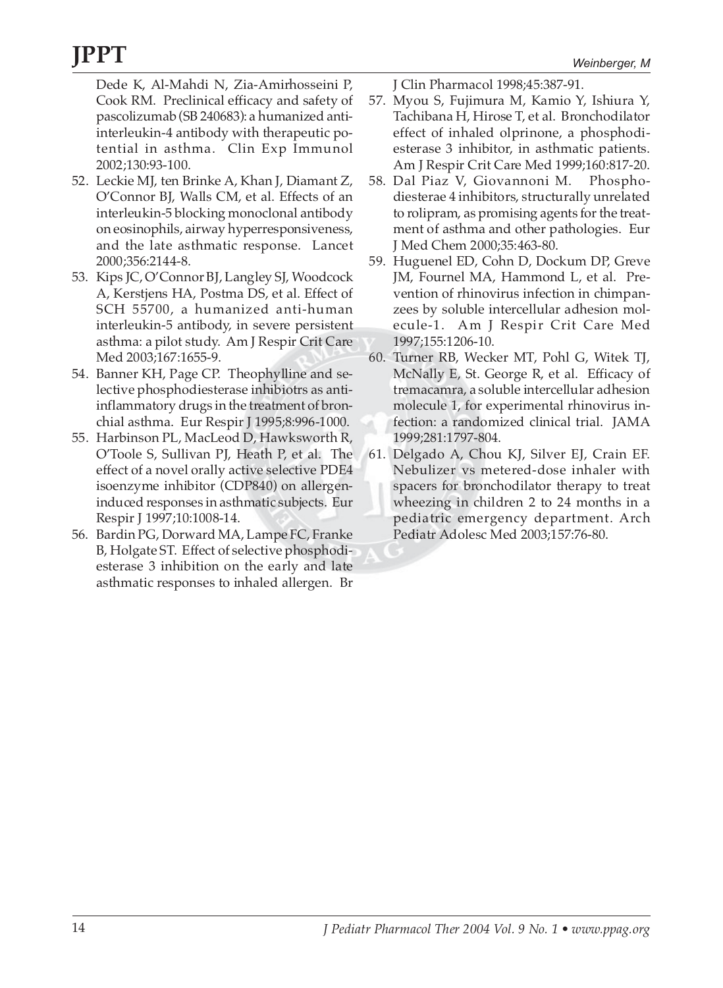Dede K, Al-Mahdi N, Zia-Amirhosseini P, Cook RM. Preclinical efficacy and safety of pascolizumab (SB 240683): a humanized antiinterleukin-4 antibody with therapeutic potential in asthma. Clin Exp Immunol 2002;130:93-100.

- 52. Leckie MJ, ten Brinke A, Khan J, Diamant Z, O'Connor BJ, Walls CM, et al. Effects of an interleukin-5 blocking monoclonal antibody on eosinophils, airway hyperresponsiveness, and the late asthmatic response. Lancet 2000;356:2144-8.
- 53. Kips JC, O'Connor BJ, Langley SJ, Woodcock A, Kerstjens HA, Postma DS, et al. Effect of SCH 55700, a humanized anti-human interleukin-5 antibody, in severe persistent asthma: a pilot study. Am J Respir Crit Care Med 2003;167:1655-9.
- 54. Banner KH, Page CP. Theophylline and selective phosphodiesterase inhibiotrs as antiinflammatory drugs in the treatment of bronchial asthma. Eur Respir J 1995;8:996-1000.
- 55. Harbinson PL, MacLeod D, Hawksworth R, O'Toole S, Sullivan PJ, Heath P, et al. The effect of a novel orally active selective PDE4 isoenzyme inhibitor (CDP840) on allergeninduced responses in asthmatic subjects. Eur Respir J 1997;10:1008-14.
- 56. Bardin PG, Dorward MA, Lampe FC, Franke B, Holgate ST. Effect of selective phosphodiesterase 3 inhibition on the early and late asthmatic responses to inhaled allergen. Br

J Clin Pharmacol 1998;45:387-91.

- 57. Myou S, Fujimura M, Kamio Y, Ishiura Y, Tachibana H, Hirose T, et al. Bronchodilator effect of inhaled olprinone, a phosphodiesterase 3 inhibitor, in asthmatic patients. Am J Respir Crit Care Med 1999;160:817-20.
- 58. Dal Piaz V, Giovannoni M. Phosphodiesterae 4 inhibitors, structurally unrelated to rolipram, as promising agents for the treatment of asthma and other pathologies. Eur J Med Chem 2000;35:463-80.
- 59. Huguenel ED, Cohn D, Dockum DP, Greve JM, Fournel MA, Hammond L, et al. Prevention of rhinovirus infection in chimpanzees by soluble intercellular adhesion molecule-1. Am J Respir Crit Care Med 1997;155:1206-10.
- 60. Turner RB, Wecker MT, Pohl G, Witek TJ, McNally E, St. George R, et al. Efficacy of tremacamra, a soluble intercellular adhesion molecule 1, for experimental rhinovirus infection: a randomized clinical trial. JAMA 1999;281:1797-804.
- 61. Delgado A, Chou KJ, Silver EJ, Crain EF. Nebulizer vs metered-dose inhaler with spacers for bronchodilator therapy to treat wheezing in children 2 to 24 months in a pediatric emergency department. Arch Pediatr Adolesc Med 2003;157:76-80.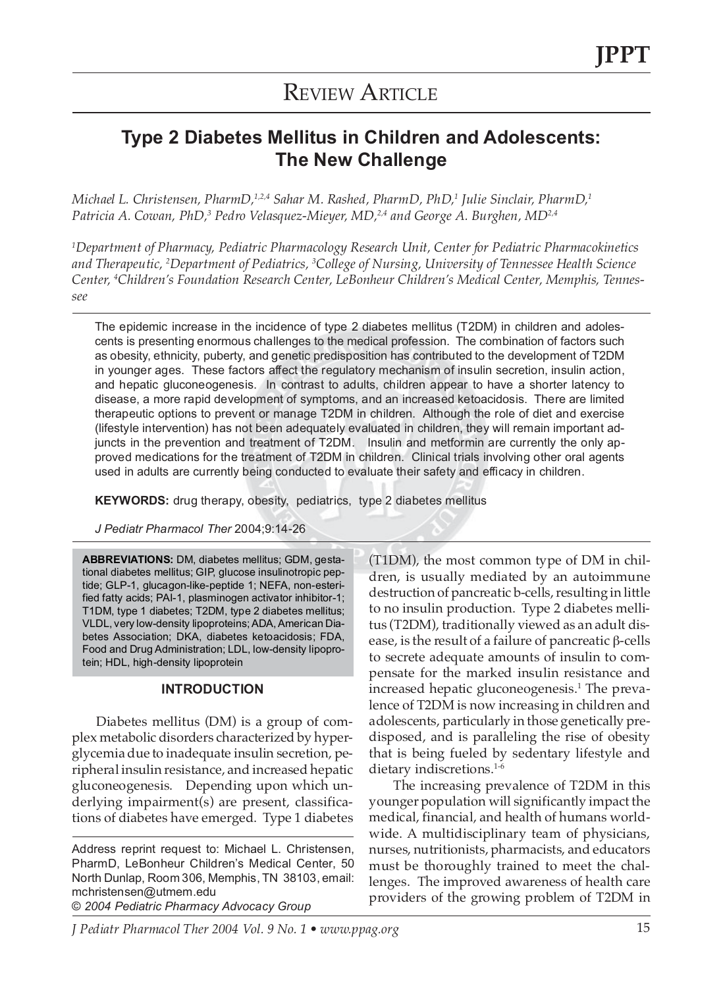## **REVIEW ARTICLE**

### **Type 2 Diabetes Mellitus in Children and Adolescents: The New Challenge**

*Michael L. Christensen, PharmD,1,2,4 Sahar M. Rashed, PharmD, PhD,1 Julie Sinclair, PharmD,1 Patricia A. Cowan, PhD,3 Pedro Velasquez-Mieyer, MD,2,4 and George A. Burghen, MD2,4*

*1 Department of Pharmacy, Pediatric Pharmacology Research Unit, Center for Pediatric Pharmacokinetics and Therapeutic, 2 Department of Pediatrics, 3 College of Nursing, University of Tennessee Health Science Center, 4 Children's Foundation Research Center, LeBonheur Children's Medical Center, Memphis, Tennessee*

The epidemic increase in the incidence of type 2 diabetes mellitus (T2DM) in children and adolescents is presenting enormous challenges to the medical profession. The combination of factors such as obesity, ethnicity, puberty, and genetic predisposition has contributed to the development of T2DM in younger ages. These factors affect the regulatory mechanism of insulin secretion, insulin action, and hepatic gluconeogenesis. In contrast to adults, children appear to have a shorter latency to disease, a more rapid development of symptoms, and an increased ketoacidosis. There are limited therapeutic options to prevent or manage T2DM in children. Although the role of diet and exercise (lifestyle intervention) has not been adequately evaluated in children, they will remain important adjuncts in the prevention and treatment of T2DM. Insulin and metformin are currently the only approved medications for the treatment of T2DM in children. Clinical trials involving other oral agents used in adults are currently being conducted to evaluate their safety and efficacy in children.

**KEYWORDS:** drug therapy, obesity, pediatrics, type 2 diabetes mellitus

*J Pediatr Pharmacol Ther* 2004;9:14-26

**ABBREVIATIONS:** DM, diabetes mellitus; GDM, gestational diabetes mellitus; GIP, glucose insulinotropic peptide; GLP-1, glucagon-like-peptide 1; NEFA, non-esterified fatty acids; PAI-1, plasminogen activator inhibitor-1; T1DM, type 1 diabetes; T2DM, type 2 diabetes mellitus; VLDL, very low-density lipoproteins; ADA, American Diabetes Association; DKA, diabetes ketoacidosis; FDA, Food and Drug Administration; LDL, low-density lipoprotein; HDL, high-density lipoprotein

### **INTRODUCTION**

Diabetes mellitus (DM) is a group of complex metabolic disorders characterized by hyperglycemia due to inadequate insulin secretion, peripheral insulin resistance, and increased hepatic gluconeogenesis. Depending upon which underlying impairment(s) are present, classifications of diabetes have emerged. Type 1 diabetes

Address reprint request to: Michael L. Christensen, PharmD, LeBonheur Children's Medical Center, 50 North Dunlap, Room 306, Memphis, TN 38103, email: mchristensen@utmem.edu

© *2004 Pediatric Pharmacy Advocacy Group*

(T1DM), the most common type of DM in children, is usually mediated by an autoimmune destruction of pancreatic b-cells, resulting in little to no insulin production. Type 2 diabetes mellitus (T2DM), traditionally viewed as an adult disease, is the result of a failure of pancreatic β-cells to secrete adequate amounts of insulin to compensate for the marked insulin resistance and increased hepatic gluconeogenesis.<sup>1</sup> The prevalence of T2DM is now increasing in children and adolescents, particularly in those genetically predisposed, and is paralleling the rise of obesity that is being fueled by sedentary lifestyle and dietary indiscretions.<sup>1-6</sup>

The increasing prevalence of T2DM in this younger population will significantly impact the medical, financial, and health of humans worldwide. A multidisciplinary team of physicians, nurses, nutritionists, pharmacists, and educators must be thoroughly trained to meet the challenges. The improved awareness of health care providers of the growing problem of T2DM in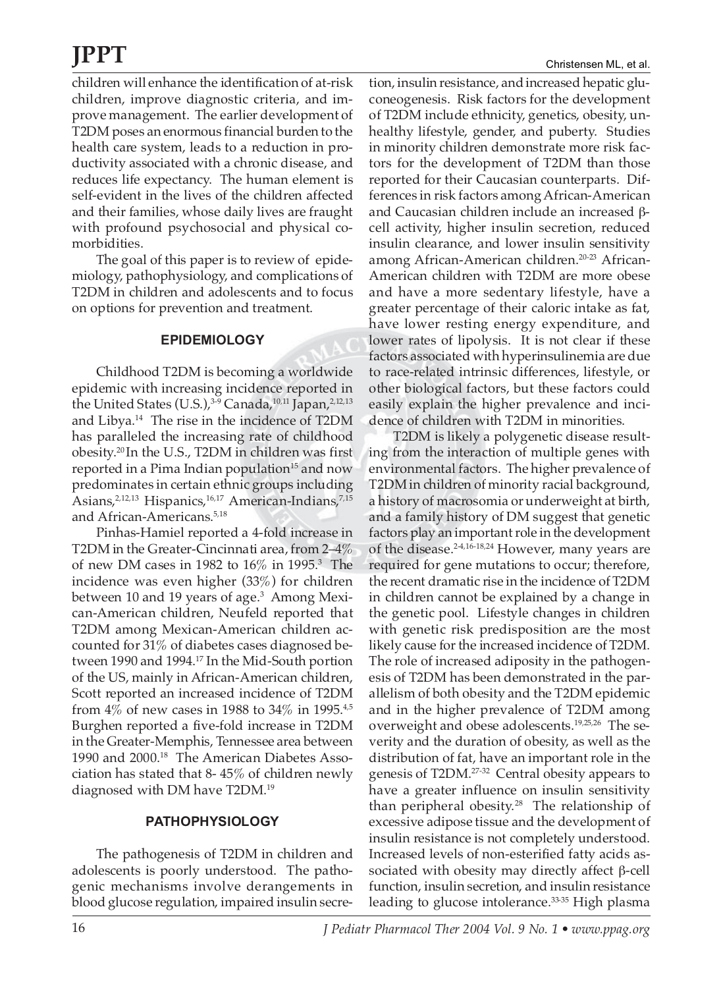children will enhance the identification of at-risk children, improve diagnostic criteria, and improve management. The earlier development of T2DM poses an enormous financial burden to the health care system, leads to a reduction in productivity associated with a chronic disease, and reduces life expectancy. The human element is self-evident in the lives of the children affected and their families, whose daily lives are fraught with profound psychosocial and physical comorbidities.

The goal of this paper is to review of epidemiology, pathophysiology, and complications of T2DM in children and adolescents and to focus on options for prevention and treatment.

### **EPIDEMIOLOGY**

Childhood T2DM is becoming a worldwide epidemic with increasing incidence reported in the United States (U.S.),<sup>3-9</sup> Canada,<sup>10,11</sup> Japan,<sup>2,12,13</sup> and Libya.14 The rise in the incidence of T2DM has paralleled the increasing rate of childhood obesity.20 In the U.S., T2DM in children was first reported in a Pima Indian population<sup>15</sup> and now predominates in certain ethnic groups including Asians,<sup>2,12,13</sup> Hispanics,<sup>16,17</sup> American-Indians,<sup>7,15</sup> and African-Americans.<sup>5,18</sup>

Pinhas-Hamiel reported a 4-fold increase in T2DM in the Greater-Cincinnati area, from 2–4% of new DM cases in 1982 to  $16\%$  in 1995.<sup>3</sup> The incidence was even higher (33%) for children between 10 and 19 years of age.<sup>3</sup> Among Mexican-American children, Neufeld reported that T2DM among Mexican-American children accounted for 31% of diabetes cases diagnosed between 1990 and 1994.17 In the Mid-South portion of the US, mainly in African-American children, Scott reported an increased incidence of T2DM from  $4\%$  of new cases in 1988 to  $34\%$  in 1995.<sup>4,5</sup> Burghen reported a five-fold increase in T2DM in the Greater-Memphis, Tennessee area between 1990 and 2000.18 The American Diabetes Association has stated that 8- 45% of children newly diagnosed with DM have T2DM.19

### **PATHOPHYSIOLOGY**

The pathogenesis of T2DM in children and adolescents is poorly understood. The pathogenic mechanisms involve derangements in blood glucose regulation, impaired insulin secre-

tion, insulin resistance, and increased hepatic gluconeogenesis. Risk factors for the development of T2DM include ethnicity, genetics, obesity, unhealthy lifestyle, gender, and puberty. Studies in minority children demonstrate more risk factors for the development of T2DM than those reported for their Caucasian counterparts. Differences in risk factors among African-American and Caucasian children include an increased βcell activity, higher insulin secretion, reduced insulin clearance, and lower insulin sensitivity among African-American children.20-23 African-American children with T2DM are more obese and have a more sedentary lifestyle, have a greater percentage of their caloric intake as fat, have lower resting energy expenditure, and lower rates of lipolysis. It is not clear if these factors associated with hyperinsulinemia are due to race-related intrinsic differences, lifestyle, or other biological factors, but these factors could easily explain the higher prevalence and incidence of children with T2DM in minorities.

T2DM is likely a polygenetic disease resulting from the interaction of multiple genes with environmental factors. The higher prevalence of T2DM in children of minority racial background, a history of macrosomia or underweight at birth, and a family history of DM suggest that genetic factors play an important role in the development of the disease.<sup>2-4,16-18,24</sup> However, many years are required for gene mutations to occur; therefore, the recent dramatic rise in the incidence of T2DM in children cannot be explained by a change in the genetic pool. Lifestyle changes in children with genetic risk predisposition are the most likely cause for the increased incidence of T2DM. The role of increased adiposity in the pathogenesis of T2DM has been demonstrated in the parallelism of both obesity and the T2DM epidemic and in the higher prevalence of T2DM among overweight and obese adolescents.19,25,26 The severity and the duration of obesity, as well as the distribution of fat, have an important role in the genesis of T2DM.27-32 Central obesity appears to have a greater influence on insulin sensitivity than peripheral obesity.<sup>28</sup> The relationship of excessive adipose tissue and the development of insulin resistance is not completely understood. Increased levels of non-esterified fatty acids associated with obesity may directly affect  $β$ -cell function, insulin secretion, and insulin resistance leading to glucose intolerance.<sup>33-35</sup> High plasma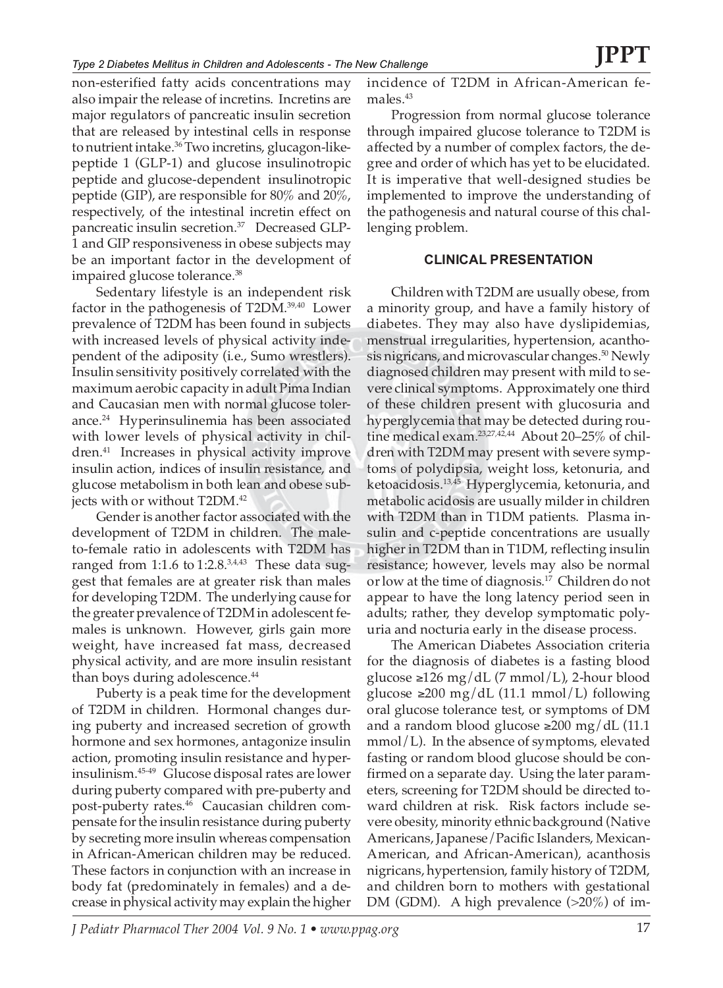non-esterified fatty acids concentrations may also impair the release of incretins. Incretins are major regulators of pancreatic insulin secretion that are released by intestinal cells in response to nutrient intake.<sup>36</sup> Two incretins, glucagon-likepeptide 1 (GLP-1) and glucose insulinotropic peptide and glucose-dependent insulinotropic peptide (GIP), are responsible for 80% and 20%, respectively, of the intestinal incretin effect on pancreatic insulin secretion.<sup>37</sup> Decreased GLP-1 and GIP responsiveness in obese subjects may be an important factor in the development of impaired glucose tolerance.<sup>38</sup>

Sedentary lifestyle is an independent risk factor in the pathogenesis of T2DM.39,40 Lower prevalence of T2DM has been found in subjects with increased levels of physical activity independent of the adiposity (i.e., Sumo wrestlers). Insulin sensitivity positively correlated with the maximum aerobic capacity in adult Pima Indian and Caucasian men with normal glucose tolerance.<sup>24</sup> Hyperinsulinemia has been associated with lower levels of physical activity in children.41 Increases in physical activity improve insulin action, indices of insulin resistance, and glucose metabolism in both lean and obese subjects with or without T2DM.<sup>42</sup>

Gender is another factor associated with the development of T2DM in children. The maleto-female ratio in adolescents with T2DM has ranged from 1:1.6 to  $1:2.8^{3,4,43}$  These data suggest that females are at greater risk than males for developing T2DM. The underlying cause for the greater prevalence of T2DM in adolescent females is unknown. However, girls gain more weight, have increased fat mass, decreased physical activity, and are more insulin resistant than boys during adolescence.<sup>44</sup>

Puberty is a peak time for the development of T2DM in children. Hormonal changes during puberty and increased secretion of growth hormone and sex hormones, antagonize insulin action, promoting insulin resistance and hyperinsulinism.45-49 Glucose disposal rates are lower during puberty compared with pre-puberty and post-puberty rates.46 Caucasian children compensate for the insulin resistance during puberty by secreting more insulin whereas compensation in African-American children may be reduced. These factors in conjunction with an increase in body fat (predominately in females) and a decrease in physical activity may explain the higher

incidence of T2DM in African-American females.<sup>43</sup>

Progression from normal glucose tolerance through impaired glucose tolerance to T2DM is affected by a number of complex factors, the degree and order of which has yet to be elucidated. It is imperative that well-designed studies be implemented to improve the understanding of the pathogenesis and natural course of this challenging problem.

### **CLINICAL PRESENTATION**

Children with T2DM are usually obese, from a minority group, and have a family history of diabetes. They may also have dyslipidemias, menstrual irregularities, hypertension, acanthosis nigricans, and microvascular changes.<sup>50</sup> Newly diagnosed children may present with mild to severe clinical symptoms. Approximately one third of these children present with glucosuria and hyperglycemia that may be detected during routine medical exam.<sup>23,27,42,44</sup> About 20-25% of children with T2DM may present with severe symptoms of polydipsia, weight loss, ketonuria, and ketoacidosis.13,45 Hyperglycemia, ketonuria, and metabolic acidosis are usually milder in children with T2DM than in T1DM patients. Plasma insulin and c-peptide concentrations are usually higher in T2DM than in T1DM, reflecting insulin resistance; however, levels may also be normal or low at the time of diagnosis.17 Children do not appear to have the long latency period seen in adults; rather, they develop symptomatic polyuria and nocturia early in the disease process.

The American Diabetes Association criteria for the diagnosis of diabetes is a fasting blood glucose ≥126 mg/dL (7 mmol/L), 2-hour blood glucose ≥200 mg/dL (11.1 mmol/L) following oral glucose tolerance test, or symptoms of DM and a random blood glucose ≥200 mg/dL  $(11.1)$ mmol/L). In the absence of symptoms, elevated fasting or random blood glucose should be confirmed on a separate day. Using the later parameters, screening for T2DM should be directed toward children at risk. Risk factors include severe obesity, minority ethnic background (Native Americans, Japanese/Pacific Islanders, Mexican-American, and African-American), acanthosis nigricans, hypertension, family history of T2DM, and children born to mothers with gestational DM (GDM). A high prevalence (>20%) of im-

*J Pediatr Pharmacol Ther 2004 Vol. 9 No. 1 • www.ppag.org* 17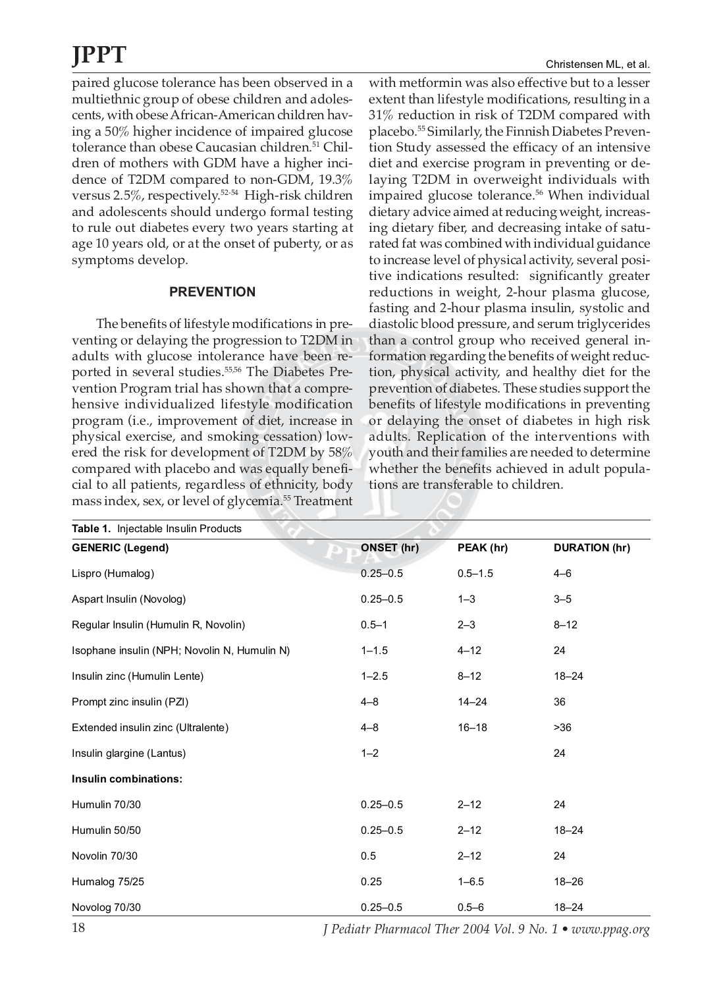paired glucose tolerance has been observed in a multiethnic group of obese children and adolescents, with obese African-American children having a 50% higher incidence of impaired glucose tolerance than obese Caucasian children.<sup>51</sup> Children of mothers with GDM have a higher incidence of T2DM compared to non-GDM, 19.3% versus 2.5%, respectively.52-54 High-risk children and adolescents should undergo formal testing to rule out diabetes every two years starting at age 10 years old, or at the onset of puberty, or as symptoms develop.

### **PREVENTION**

The benefits of lifestyle modifications in preventing or delaying the progression to T2DM in adults with glucose intolerance have been reported in several studies.<sup>55,56</sup> The Diabetes Prevention Program trial has shown that a comprehensive individualized lifestyle modification program (i.e., improvement of diet, increase in physical exercise, and smoking cessation) lowered the risk for development of T2DM by 58% compared with placebo and was equally beneficial to all patients, regardless of ethnicity, body mass index, sex, or level of glycemia.55 Treatment

with metformin was also effective but to a lesser extent than lifestyle modifications, resulting in a 31% reduction in risk of T2DM compared with placebo.55 Similarly, the Finnish Diabetes Prevention Study assessed the efficacy of an intensive diet and exercise program in preventing or delaying T2DM in overweight individuals with impaired glucose tolerance.<sup>56</sup> When individual dietary advice aimed at reducing weight, increasing dietary fiber, and decreasing intake of saturated fat was combined with individual guidance to increase level of physical activity, several positive indications resulted: significantly greater reductions in weight, 2-hour plasma glucose, fasting and 2-hour plasma insulin, systolic and diastolic blood pressure, and serum triglycerides than a control group who received general information regarding the benefits of weight reduction, physical activity, and healthy diet for the prevention of diabetes. These studies support the benefits of lifestyle modifications in preventing or delaying the onset of diabetes in high risk adults. Replication of the interventions with youth and their families are needed to determine whether the benefits achieved in adult populations are transferable to children.

| Table 1. Injectable Insulin Products         |              |             |                      |
|----------------------------------------------|--------------|-------------|----------------------|
| <b>GENERIC (Legend)</b>                      | ONSET (hr)   | PEAK (hr)   | <b>DURATION (hr)</b> |
| Lispro (Humalog)                             | $0.25 - 0.5$ | $0.5 - 1.5$ | $4 - 6$              |
| Aspart Insulin (Novolog)                     | $0.25 - 0.5$ | $1 - 3$     | $3 - 5$              |
| Regular Insulin (Humulin R, Novolin)         | $0.5 - 1$    | $2 - 3$     | $8 - 12$             |
| Isophane insulin (NPH; Novolin N, Humulin N) | $1 - 1.5$    | $4 - 12$    | 24                   |
| Insulin zinc (Humulin Lente)                 | $1 - 2.5$    | $8 - 12$    | $18 - 24$            |
| Prompt zinc insulin (PZI)                    | $4 - 8$      | $14 - 24$   | 36                   |
| Extended insulin zinc (Ultralente)           | $4 - 8$      | $16 - 18$   | >36                  |
| Insulin glargine (Lantus)                    | $1 - 2$      |             | 24                   |
| Insulin combinations:                        |              |             |                      |
| Humulin 70/30                                | $0.25 - 0.5$ | $2 - 12$    | 24                   |
| Humulin 50/50                                | $0.25 - 0.5$ | $2 - 12$    | $18 - 24$            |
| Novolin 70/30                                | 0.5          | $2 - 12$    | 24                   |
| Humalog 75/25                                | 0.25         | $1 - 6.5$   | $18 - 26$            |
| Novolog 70/30                                | $0.25 - 0.5$ | $0.5 - 6$   | $18 - 24$            |

18 *J Pediatr Pharmacol Ther 2004 Vol. 9 No. 1 • www.ppag.org*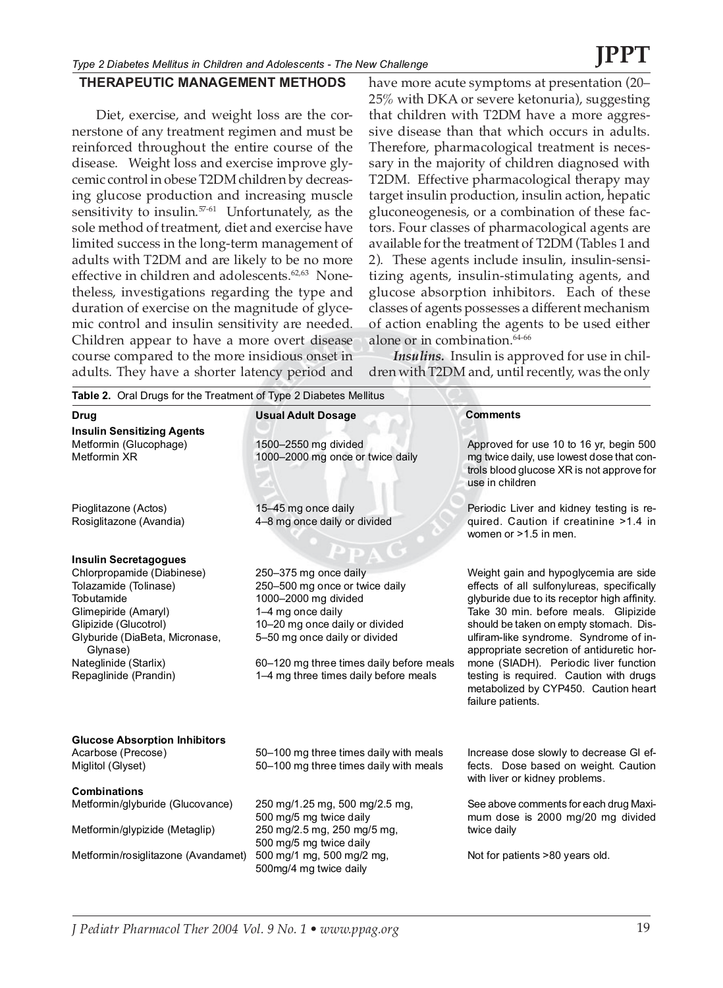### **THERAPEUTIC MANAGEMENT METHODS**

Diet, exercise, and weight loss are the cornerstone of any treatment regimen and must be reinforced throughout the entire course of the disease. Weight loss and exercise improve glycemic control in obese T2DM children by decreasing glucose production and increasing muscle sensitivity to insulin.<sup>57-61</sup> Unfortunately, as the sole method of treatment, diet and exercise have limited success in the long-term management of adults with T2DM and are likely to be no more effective in children and adolescents.<sup>62,63</sup> Nonetheless, investigations regarding the type and duration of exercise on the magnitude of glycemic control and insulin sensitivity are needed. Children appear to have a more overt disease course compared to the more insidious onset in adults. They have a shorter latency period and

have more acute symptoms at presentation (20– 25% with DKA or severe ketonuria), suggesting that children with T2DM have a more aggressive disease than that which occurs in adults. Therefore, pharmacological treatment is necessary in the majority of children diagnosed with T2DM. Effective pharmacological therapy may target insulin production, insulin action, hepatic gluconeogenesis, or a combination of these factors. Four classes of pharmacological agents are available for the treatment of T2DM (Tables 1 and 2). These agents include insulin, insulin-sensitizing agents, insulin-stimulating agents, and glucose absorption inhibitors. Each of these classes of agents possesses a different mechanism of action enabling the agents to be used either alone or in combination.<sup>64-66</sup>

*Insulins.* Insulin is approved for use in children with T2DM and, until recently, was the only

| <b>Drug</b>                                                         | <b>Usual Adult Dosage</b>                                                        | <b>Comments</b>                                                                                                                                      |
|---------------------------------------------------------------------|----------------------------------------------------------------------------------|------------------------------------------------------------------------------------------------------------------------------------------------------|
| <b>Insulin Sensitizing Agents</b>                                   |                                                                                  |                                                                                                                                                      |
| Metformin (Glucophage)<br>Metformin XR                              | 1500-2550 mg divided<br>1000-2000 mg once or twice daily                         | Approved for use 10 to 16 yr, begin 500<br>mg twice daily, use lowest dose that con-<br>trols blood glucose XR is not approve for<br>use in children |
| Pioglitazone (Actos)                                                | 15-45 mg once daily                                                              | Periodic Liver and kidney testing is re-                                                                                                             |
| Rosiglitazone (Avandia)                                             | 4-8 mg once daily or divided                                                     | quired. Caution if creatinine >1.4 in<br>women or $>1.5$ in men.                                                                                     |
| <b>Insulin Secretagogues</b>                                        |                                                                                  |                                                                                                                                                      |
| Chlorpropamide (Diabinese)                                          | 250-375 mg once daily                                                            | Weight gain and hypoglycemia are side                                                                                                                |
| Tolazamide (Tolinase)                                               | 250-500 mg once or twice daily                                                   | effects of all sulfonylureas, specifically                                                                                                           |
| Tobutamide                                                          | 1000-2000 mg divided                                                             | glyburide due to its receptor high affinity.                                                                                                         |
| Glimepiride (Amaryl)                                                | 1-4 mg once daily                                                                | Take 30 min. before meals. Glipizide                                                                                                                 |
| Glipizide (Glucotrol)<br>Glyburide (DiaBeta, Micronase,<br>Glynase) | 10-20 mg once daily or divided<br>5-50 mg once daily or divided                  | should be taken on empty stomach. Dis-<br>ulfiram-like syndrome. Syndrome of in-<br>appropriate secretion of antiduretic hor-                        |
| Nateglinide (Starlix)                                               | 60-120 mg three times daily before meals                                         | mone (SIADH). Periodic liver function                                                                                                                |
| Repaglinide (Prandin)                                               | 1-4 mg three times daily before meals                                            | testing is required. Caution with drugs<br>metabolized by CYP450. Caution heart<br>failure patients.                                                 |
| <b>Glucose Absorption Inhibitors</b>                                |                                                                                  |                                                                                                                                                      |
| Acarbose (Precose)<br>Miglitol (Glyset)                             | 50-100 mg three times daily with meals<br>50-100 mg three times daily with meals | Increase dose slowly to decrease GI ef-<br>fects. Dose based on weight. Caution                                                                      |
| <b>Combinations</b>                                                 |                                                                                  | with liver or kidney problems.                                                                                                                       |
| Metformin/glyburide (Glucovance)                                    | 250 mg/1.25 mg, 500 mg/2.5 mg,<br>500 mg/5 mg twice daily                        | See above comments for each drug Maxi-<br>mum dose is 2000 mg/20 mg divided                                                                          |
| Metformin/glypizide (Metaglip)                                      | 250 mg/2.5 mg, 250 mg/5 mg,<br>500 mg/5 mg twice daily                           | twice daily                                                                                                                                          |
| Metformin/rosiglitazone (Avandamet)                                 | 500 mg/1 mg, 500 mg/2 mg,<br>500mg/4 mg twice daily                              | Not for patients >80 years old.                                                                                                                      |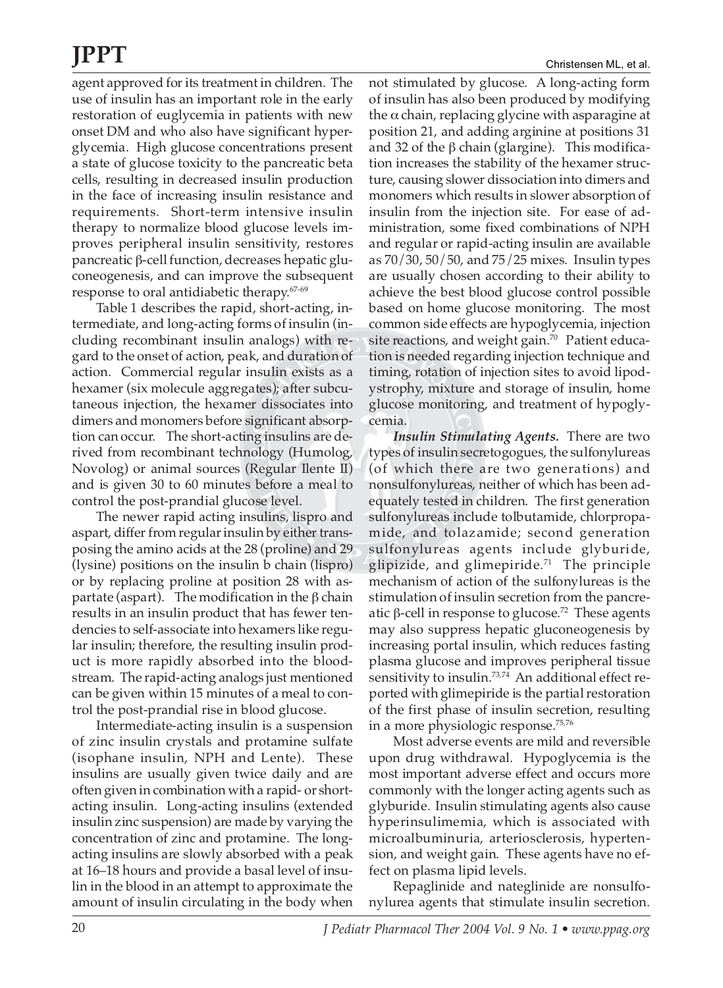agent approved for its treatment in children. The use of insulin has an important role in the early restoration of euglycemia in patients with new onset DM and who also have significant hyperglycemia. High glucose concentrations present a state of glucose toxicity to the pancreatic beta cells, resulting in decreased insulin production in the face of increasing insulin resistance and requirements. Short-term intensive insulin therapy to normalize blood glucose levels improves peripheral insulin sensitivity, restores pancreatic β-cell function, decreases hepatic gluconeogenesis, and can improve the subsequent response to oral antidiabetic therapy.67-69

Table 1 describes the rapid, short-acting, intermediate, and long-acting forms of insulin (including recombinant insulin analogs) with regard to the onset of action, peak, and duration of action. Commercial regular insulin exists as a hexamer (six molecule aggregates); after subcutaneous injection, the hexamer dissociates into dimers and monomers before significant absorption can occur. The short-acting insulins are derived from recombinant technology (Humolog, Novolog) or animal sources (Regular Ilente II) and is given 30 to 60 minutes before a meal to control the post-prandial glucose level.

The newer rapid acting insulins, lispro and aspart, differ from regular insulin by either transposing the amino acids at the 28 (proline) and 29 (lysine) positions on the insulin b chain (lispro) or by replacing proline at position 28 with aspartate (aspart). The modification in the β chain results in an insulin product that has fewer tendencies to self-associate into hexamers like regular insulin; therefore, the resulting insulin product is more rapidly absorbed into the bloodstream. The rapid-acting analogs just mentioned can be given within 15 minutes of a meal to control the post-prandial rise in blood glucose.

Intermediate-acting insulin is a suspension of zinc insulin crystals and protamine sulfate (isophane insulin, NPH and Lente). These insulins are usually given twice daily and are often given in combination with a rapid- or shortacting insulin. Long-acting insulins (extended insulin zinc suspension) are made by varying the concentration of zinc and protamine. The longacting insulins are slowly absorbed with a peak at 16–18 hours and provide a basal level of insulin in the blood in an attempt to approximate the amount of insulin circulating in the body when

not stimulated by glucose. A long-acting form of insulin has also been produced by modifying the  $\alpha$  chain, replacing glycine with asparagine at position 21, and adding arginine at positions 31 and 32 of the β chain (glargine). This modification increases the stability of the hexamer structure, causing slower dissociation into dimers and monomers which results in slower absorption of insulin from the injection site. For ease of administration, some fixed combinations of NPH and regular or rapid-acting insulin are available as 70/30, 50/50, and 75/25 mixes. Insulin types are usually chosen according to their ability to achieve the best blood glucose control possible based on home glucose monitoring. The most common side effects are hypoglycemia, injection site reactions, and weight gain.<sup>70</sup> Patient education is needed regarding injection technique and timing, rotation of injection sites to avoid lipodystrophy, mixture and storage of insulin, home glucose monitoring, and treatment of hypoglycemia.

*Insulin Stimulating Agents.* There are two types of insulin secretogogues, the sulfonylureas (of which there are two generations) and nonsulfonylureas, neither of which has been adequately tested in children. The first generation sulfonylureas include tolbutamide, chlorpropamide, and tolazamide; second generation sulfonylureas agents include glyburide, glipizide, and glimepiride.<sup>71</sup> The principle mechanism of action of the sulfonylureas is the stimulation of insulin secretion from the pancreatic β-cell in response to glucose.<sup>72</sup> These agents may also suppress hepatic gluconeogenesis by increasing portal insulin, which reduces fasting plasma glucose and improves peripheral tissue sensitivity to insulin.<sup>73,74</sup> An additional effect reported with glimepiride is the partial restoration of the first phase of insulin secretion, resulting in a more physiologic response.75,76

Most adverse events are mild and reversible upon drug withdrawal. Hypoglycemia is the most important adverse effect and occurs more commonly with the longer acting agents such as glyburide. Insulin stimulating agents also cause hyperinsulimemia, which is associated with microalbuminuria, arteriosclerosis, hypertension, and weight gain. These agents have no effect on plasma lipid levels.

Repaglinide and nateglinide are nonsulfonylurea agents that stimulate insulin secretion.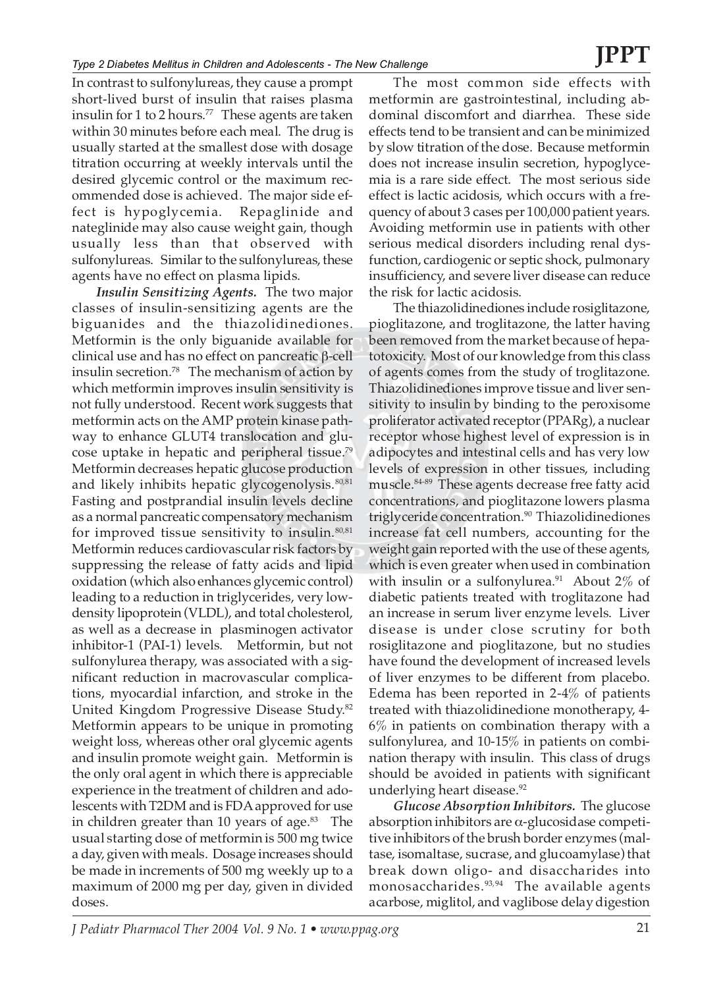In contrast to sulfonylureas, they cause a prompt short-lived burst of insulin that raises plasma insulin for 1 to 2 hours.<sup>77</sup> These agents are taken within 30 minutes before each meal. The drug is usually started at the smallest dose with dosage titration occurring at weekly intervals until the desired glycemic control or the maximum recommended dose is achieved. The major side effect is hypoglycemia. Repaglinide and nateglinide may also cause weight gain, though usually less than that observed with sulfonylureas. Similar to the sulfonylureas, these agents have no effect on plasma lipids.

*Insulin Sensitizing Agents.* The two major classes of insulin-sensitizing agents are the biguanides and the thiazolidinediones. Metformin is the only biguanide available for clinical use and has no effect on pancreatic β-cell insulin secretion.78 The mechanism of action by which metformin improves insulin sensitivity is not fully understood. Recent work suggests that metformin acts on the AMP protein kinase pathway to enhance GLUT4 translocation and glucose uptake in hepatic and peripheral tissue.79 Metformin decreases hepatic glucose production and likely inhibits hepatic glycogenolysis. $80,81$ Fasting and postprandial insulin levels decline as a normal pancreatic compensatory mechanism for improved tissue sensitivity to insulin. $80,81$ Metformin reduces cardiovascular risk factors by suppressing the release of fatty acids and lipid oxidation (which also enhances glycemic control) leading to a reduction in triglycerides, very lowdensity lipoprotein (VLDL), and total cholesterol, as well as a decrease in plasminogen activator inhibitor-1 (PAI-1) levels. Metformin, but not sulfonylurea therapy, was associated with a significant reduction in macrovascular complications, myocardial infarction, and stroke in the United Kingdom Progressive Disease Study.82 Metformin appears to be unique in promoting weight loss, whereas other oral glycemic agents and insulin promote weight gain. Metformin is the only oral agent in which there is appreciable experience in the treatment of children and adolescents with T2DM and is FDA approved for use in children greater than 10 years of age.<sup>83</sup> The usual starting dose of metformin is 500 mg twice a day, given with meals. Dosage increases should be made in increments of 500 mg weekly up to a maximum of 2000 mg per day, given in divided doses.

The most common side effects with metformin are gastrointestinal, including abdominal discomfort and diarrhea. These side effects tend to be transient and can be minimized by slow titration of the dose. Because metformin does not increase insulin secretion, hypoglycemia is a rare side effect. The most serious side effect is lactic acidosis, which occurs with a frequency of about 3 cases per 100,000 patient years. Avoiding metformin use in patients with other serious medical disorders including renal dysfunction, cardiogenic or septic shock, pulmonary insufficiency, and severe liver disease can reduce the risk for lactic acidosis.

The thiazolidinediones include rosiglitazone, pioglitazone, and troglitazone, the latter having been removed from the market because of hepatotoxicity. Most of our knowledge from this class of agents comes from the study of troglitazone. Thiazolidinediones improve tissue and liver sensitivity to insulin by binding to the peroxisome proliferator activated receptor (PPARg), a nuclear receptor whose highest level of expression is in adipocytes and intestinal cells and has very low levels of expression in other tissues, including muscle.84-89 These agents decrease free fatty acid concentrations, and pioglitazone lowers plasma triglyceride concentration.<sup>90</sup> Thiazolidinediones increase fat cell numbers, accounting for the weight gain reported with the use of these agents, which is even greater when used in combination with insulin or a sulfonylurea.<sup>91</sup> About 2% of diabetic patients treated with troglitazone had an increase in serum liver enzyme levels. Liver disease is under close scrutiny for both rosiglitazone and pioglitazone, but no studies have found the development of increased levels of liver enzymes to be different from placebo. Edema has been reported in 2-4% of patients treated with thiazolidinedione monotherapy, 4- 6% in patients on combination therapy with a sulfonylurea, and 10-15% in patients on combination therapy with insulin. This class of drugs should be avoided in patients with significant underlying heart disease.<sup>92</sup>

*Glucose Absorption Inhibitors.* The glucose absorption inhibitors are  $\alpha$ -glucosidase competitive inhibitors of the brush border enzymes (maltase, isomaltase, sucrase, and glucoamylase) that break down oligo- and disaccharides into monosaccharides.<sup>93,94</sup> The available agents acarbose, miglitol, and vaglibose delay digestion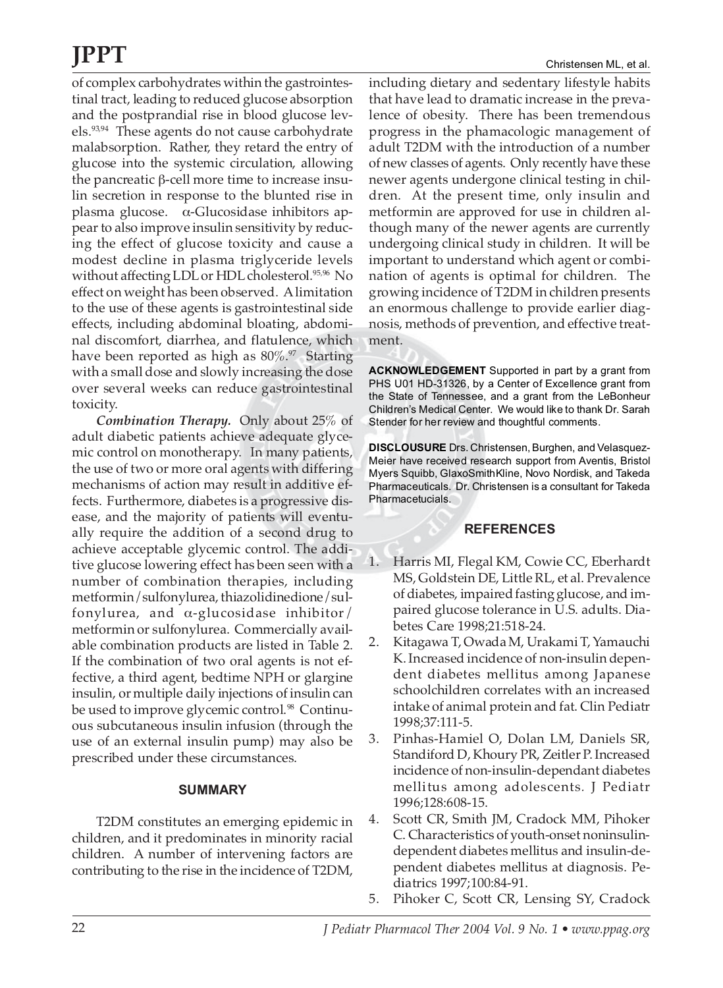of complex carbohydrates within the gastrointestinal tract, leading to reduced glucose absorption and the postprandial rise in blood glucose levels.<sup>93,94</sup> These agents do not cause carbohydrate malabsorption. Rather, they retard the entry of glucose into the systemic circulation, allowing the pancreatic β-cell more time to increase insulin secretion in response to the blunted rise in plasma glucose.  $\alpha$ -Glucosidase inhibitors appear to also improve insulin sensitivity by reducing the effect of glucose toxicity and cause a modest decline in plasma triglyceride levels without affecting LDL or HDL cholesterol.<sup>95,96</sup> No effect on weight has been observed. A limitation to the use of these agents is gastrointestinal side effects, including abdominal bloating, abdominal discomfort, diarrhea, and flatulence, which have been reported as high as  $80\%$ .<sup>97</sup> Starting with a small dose and slowly increasing the dose over several weeks can reduce gastrointestinal toxicity.

*Combination Therapy.* Only about 25% of adult diabetic patients achieve adequate glycemic control on monotherapy. In many patients, the use of two or more oral agents with differing mechanisms of action may result in additive effects. Furthermore, diabetes is a progressive disease, and the majority of patients will eventually require the addition of a second drug to achieve acceptable glycemic control. The additive glucose lowering effect has been seen with a number of combination therapies, including metformin/sulfonylurea, thiazolidinedione/sulfonylurea, and α-glucosidase inhibitor/ metformin or sulfonylurea. Commercially available combination products are listed in Table 2. If the combination of two oral agents is not effective, a third agent, bedtime NPH or glargine insulin, or multiple daily injections of insulin can be used to improve glycemic control.<sup>98</sup> Continuous subcutaneous insulin infusion (through the use of an external insulin pump) may also be prescribed under these circumstances.

### **SUMMARY**

T2DM constitutes an emerging epidemic in children, and it predominates in minority racial children. A number of intervening factors are contributing to the rise in the incidence of T2DM, including dietary and sedentary lifestyle habits that have lead to dramatic increase in the prevalence of obesity. There has been tremendous progress in the phamacologic management of adult T2DM with the introduction of a number of new classes of agents. Only recently have these newer agents undergone clinical testing in children. At the present time, only insulin and metformin are approved for use in children although many of the newer agents are currently undergoing clinical study in children. It will be important to understand which agent or combination of agents is optimal for children. The growing incidence of T2DM in children presents an enormous challenge to provide earlier diagnosis, methods of prevention, and effective treatment.

**ACKNOWLEDGEMENT** Supported in part by a grant from PHS U01 HD-31326, by a Center of Excellence grant from the State of Tennessee, and a grant from the LeBonheur Children's Medical Center. We would like to thank Dr. Sarah Stender for her review and thoughtful comments.

**DISCLOUSURE** Drs. Christensen, Burghen, and Velasquez-Meier have received research support from Aventis, Bristol Myers Squibb, GlaxoSmithKline, Novo Nordisk, and Takeda Pharmaceuticals. Dr. Christensen is a consultant for Takeda Pharmacetucials.

### **REFERENCES**

- 1. Harris MI, Flegal KM, Cowie CC, Eberhardt MS, Goldstein DE, Little RL, et al. Prevalence of diabetes, impaired fasting glucose, and impaired glucose tolerance in U.S. adults. Diabetes Care 1998;21:518-24.
- 2. Kitagawa T, Owada M, Urakami T, Yamauchi K. Increased incidence of non-insulin dependent diabetes mellitus among Japanese schoolchildren correlates with an increased intake of animal protein and fat. Clin Pediatr 1998;37:111-5.
- 3. Pinhas-Hamiel O, Dolan LM, Daniels SR, Standiford D, Khoury PR, Zeitler P. Increased incidence of non-insulin-dependant diabetes mellitus among adolescents*.* J Pediatr 1996;128:608-15.
- 4. Scott CR, Smith JM, Cradock MM, Pihoker C. Characteristics of youth-onset noninsulindependent diabetes mellitus and insulin-dependent diabetes mellitus at diagnosis. Pediatrics 1997;100:84-91.
- 5. Pihoker C, Scott CR, Lensing SY, Cradock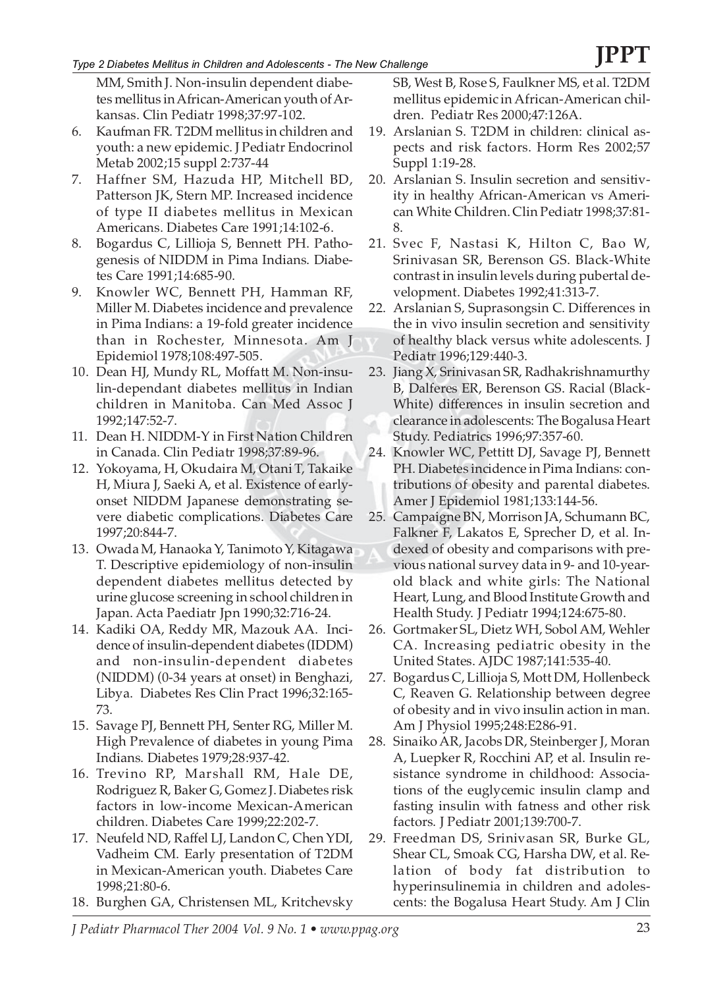### *Type 2 Diabetes Mellitus in Children and Adolescents - The New Challenge*

MM, Smith J. Non-insulin dependent diabetes mellitus in African-American youth of Arkansas. Clin Pediatr 1998;37:97-102.

- 6. Kaufman FR. T2DM mellitus in children and youth: a new epidemic. J Pediatr Endocrinol Metab 2002;15 suppl 2:737-44
- 7. Haffner SM, Hazuda HP, Mitchell BD, Patterson JK, Stern MP. Increased incidence of type II diabetes mellitus in Mexican Americans. Diabetes Care 1991;14:102-6.
- 8. Bogardus C, Lillioja S, Bennett PH. Pathogenesis of NIDDM in Pima Indians. Diabetes Care 1991;14:685-90.
- 9. Knowler WC, Bennett PH, Hamman RF, Miller M. Diabetes incidence and prevalence in Pima Indians: a 19-fold greater incidence than in Rochester, Minnesota. Am J Epidemiol 1978;108:497-505.
- 10. Dean HJ, Mundy RL, Moffatt M. Non-insulin-dependant diabetes mellitus in Indian children in Manitoba. Can Med Assoc J 1992;147:52-7.
- 11. Dean H. NIDDM-Y in First Nation Children in Canada. Clin Pediatr 1998;37:89-96.
- 12. Yokoyama, H, Okudaira M, Otani T, Takaike H, Miura J, Saeki A, et al. Existence of earlyonset NIDDM Japanese demonstrating severe diabetic complications. Diabetes Care 1997;20:844-7.
- 13. Owada M, Hanaoka Y, Tanimoto Y, Kitagawa T. Descriptive epidemiology of non-insulin dependent diabetes mellitus detected by urine glucose screening in school children in Japan. Acta Paediatr Jpn 1990;32:716-24.
- 14. Kadiki OA, Reddy MR, Mazouk AA. Incidence of insulin-dependent diabetes (IDDM) and non-insulin-dependent diabetes (NIDDM) (0-34 years at onset) in Benghazi, Libya. Diabetes Res Clin Pract 1996;32:165- 73.
- 15. Savage PJ, Bennett PH, Senter RG, Miller M. High Prevalence of diabetes in young Pima Indians. Diabetes 1979;28:937-42.
- 16. Trevino RP, Marshall RM, Hale DE, Rodriguez R, Baker G, Gomez J. Diabetes risk factors in low-income Mexican-American children. Diabetes Care 1999;22:202-7.
- 17. Neufeld ND, Raffel LJ, Landon C, Chen YDI, Vadheim CM. Early presentation of T2DM in Mexican-American youth. Diabetes Care 1998;21:80-6.
- 18. Burghen GA, Christensen ML, Kritchevsky

SB, West B, Rose S, Faulkner MS, et al. T2DM mellitus epidemic in African-American children. Pediatr Res 2000;47:126A.

- 19. Arslanian S. T2DM in children: clinical aspects and risk factors. Horm Res 2002;57 Suppl 1:19-28.
- 20. Arslanian S. Insulin secretion and sensitivity in healthy African-American vs American White Children. Clin Pediatr 1998;37:81- 8.
- 21. Svec F, Nastasi K, Hilton C, Bao W, Srinivasan SR, Berenson GS. Black-White contrast in insulin levels during pubertal development. Diabetes 1992;41:313-7.
- 22. Arslanian S, Suprasongsin C. Differences in the in vivo insulin secretion and sensitivity of healthy black versus white adolescents. J Pediatr 1996;129:440-3.
- 23. Jiang X, Srinivasan SR, Radhakrishnamurthy B, Dalferes ER, Berenson GS. Racial (Black-White) differences in insulin secretion and clearance in adolescents: The Bogalusa Heart Study. Pediatrics 1996;97:357-60.
- 24. Knowler WC, Pettitt DJ, Savage PJ, Bennett PH. Diabetes incidence in Pima Indians: contributions of obesity and parental diabetes. Amer J Epidemiol 1981;133:144-56.
- 25. Campaigne BN, Morrison JA, Schumann BC, Falkner F, Lakatos E, Sprecher D, et al. Indexed of obesity and comparisons with previous national survey data in 9- and 10-yearold black and white girls: The National Heart, Lung, and Blood Institute Growth and Health Study. J Pediatr 1994;124:675-80.
- 26. Gortmaker SL, Dietz WH, Sobol AM, Wehler CA. Increasing pediatric obesity in the United States. AJDC 1987;141:535-40.
- 27. Bogardus C, Lillioja S, Mott DM, Hollenbeck C, Reaven G. Relationship between degree of obesity and in vivo insulin action in man. Am J Physiol 1995;248:E286-91.
- 28. Sinaiko AR, Jacobs DR, Steinberger J, Moran A, Luepker R, Rocchini AP, et al. Insulin resistance syndrome in childhood: Associations of the euglycemic insulin clamp and fasting insulin with fatness and other risk factors. J Pediatr 2001;139:700-7.
- 29. Freedman DS, Srinivasan SR, Burke GL, Shear CL, Smoak CG, Harsha DW, et al. Relation of body fat distribution to hyperinsulinemia in children and adolescents: the Bogalusa Heart Study. Am J Clin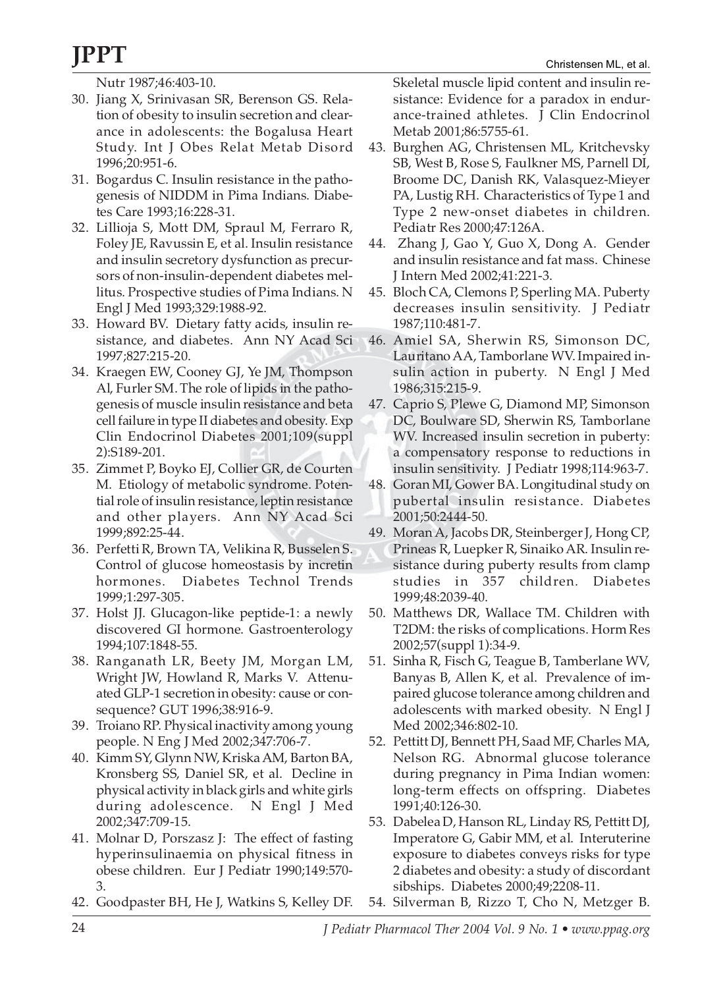Nutr 1987;46:403-10.

- 30. Jiang X, Srinivasan SR, Berenson GS. Relation of obesity to insulin secretion and clearance in adolescents: the Bogalusa Heart Study. Int J Obes Relat Metab Disord 1996;20:951-6.
- 31. Bogardus C. Insulin resistance in the pathogenesis of NIDDM in Pima Indians. Diabetes Care 1993;16:228-31.
- 32. Lillioja S, Mott DM, Spraul M, Ferraro R, Foley JE, Ravussin E, et al. Insulin resistance and insulin secretory dysfunction as precursors of non-insulin-dependent diabetes mellitus. Prospective studies of Pima Indians. N Engl J Med 1993;329:1988-92.
- 33. Howard BV. Dietary fatty acids, insulin resistance, and diabetes. Ann NY Acad Sci 1997;827:215-20.
- 34. Kraegen EW, Cooney GJ, Ye JM, Thompson Al, Furler SM. The role of lipids in the pathogenesis of muscle insulin resistance and beta cell failure in type II diabetes and obesity. Exp Clin Endocrinol Diabetes 2001;109(suppl 2):S189-201.
- 35. Zimmet P, Boyko EJ, Collier GR, de Courten M. Etiology of metabolic syndrome. Potential role of insulin resistance, leptin resistance and other players. Ann NY Acad Sci 1999;892:25-44.
- 36. Perfetti R, Brown TA, Velikina R, Busselen S. Control of glucose homeostasis by incretin hormones. Diabetes Technol Trends 1999;1:297-305.
- 37. Holst JJ. Glucagon-like peptide-1: a newly discovered GI hormone. Gastroenterology 1994;107:1848-55.
- 38. Ranganath LR, Beety JM, Morgan LM, Wright JW, Howland R, Marks V. Attenuated GLP-1 secretion in obesity: cause or consequence? GUT 1996;38:916-9.
- 39. Troiano RP. Physical inactivity among young people. N Eng J Med 2002;347:706-7.
- 40. Kimm SY, Glynn NW, Kriska AM, Barton BA, Kronsberg SS, Daniel SR, et al. Decline in physical activity in black girls and white girls during adolescence. N Engl J Med 2002;347:709-15.
- 41. Molnar D, Porszasz J: The effect of fasting hyperinsulinaemia on physical fitness in obese children. Eur J Pediatr 1990;149:570- 3.
- 42. Goodpaster BH, He J, Watkins S, Kelley DF.

Skeletal muscle lipid content and insulin resistance: Evidence for a paradox in endurance-trained athletes. J Clin Endocrinol Metab 2001;86:5755-61.

- 43. Burghen AG, Christensen ML, Kritchevsky SB, West B, Rose S, Faulkner MS, Parnell DI, Broome DC, Danish RK, Valasquez-Mieyer PA, Lustig RH. Characteristics of Type 1 and Type 2 new-onset diabetes in children. Pediatr Res 2000;47:126A.
- 44. Zhang J, Gao Y, Guo X, Dong A. Gender and insulin resistance and fat mass. Chinese J Intern Med 2002;41:221-3.
- 45. Bloch CA, Clemons P, Sperling MA. Puberty decreases insulin sensitivity. J Pediatr 1987;110:481-7.
- 46. Amiel SA, Sherwin RS, Simonson DC, Lauritano AA, Tamborlane WV. Impaired insulin action in puberty. N Engl J Med 1986;315:215-9.
- 47. Caprio S, Plewe G, Diamond MP, Simonson DC, Boulware SD, Sherwin RS, Tamborlane WV. Increased insulin secretion in puberty: a compensatory response to reductions in insulin sensitivity. J Pediatr 1998;114:963-7.
- 48. Goran MI, Gower BA. Longitudinal study on pubertal insulin resistance. Diabetes 2001;50:2444-50.
- 49. Moran A, Jacobs DR, Steinberger J, Hong CP, Prineas R, Luepker R, Sinaiko AR. Insulin resistance during puberty results from clamp studies in 357 children. Diabetes 1999;48:2039-40.
- 50. Matthews DR, Wallace TM. Children with T2DM: the risks of complications. Horm Res 2002;57(suppl 1):34-9.
- 51. Sinha R, Fisch G, Teague B, Tamberlane WV, Banyas B, Allen K, et al. Prevalence of impaired glucose tolerance among children and adolescents with marked obesity. N Engl J Med 2002;346:802-10.
- 52. Pettitt DJ, Bennett PH, Saad MF, Charles MA, Nelson RG. Abnormal glucose tolerance during pregnancy in Pima Indian women: long-term effects on offspring. Diabetes 1991;40:126-30.
- 53. Dabelea D, Hanson RL, Linday RS, Pettitt DJ, Imperatore G, Gabir MM, et al. Interuterine exposure to diabetes conveys risks for type 2 diabetes and obesity: a study of discordant sibships. Diabetes 2000;49;2208-11.
- 54. Silverman B, Rizzo T, Cho N, Metzger B.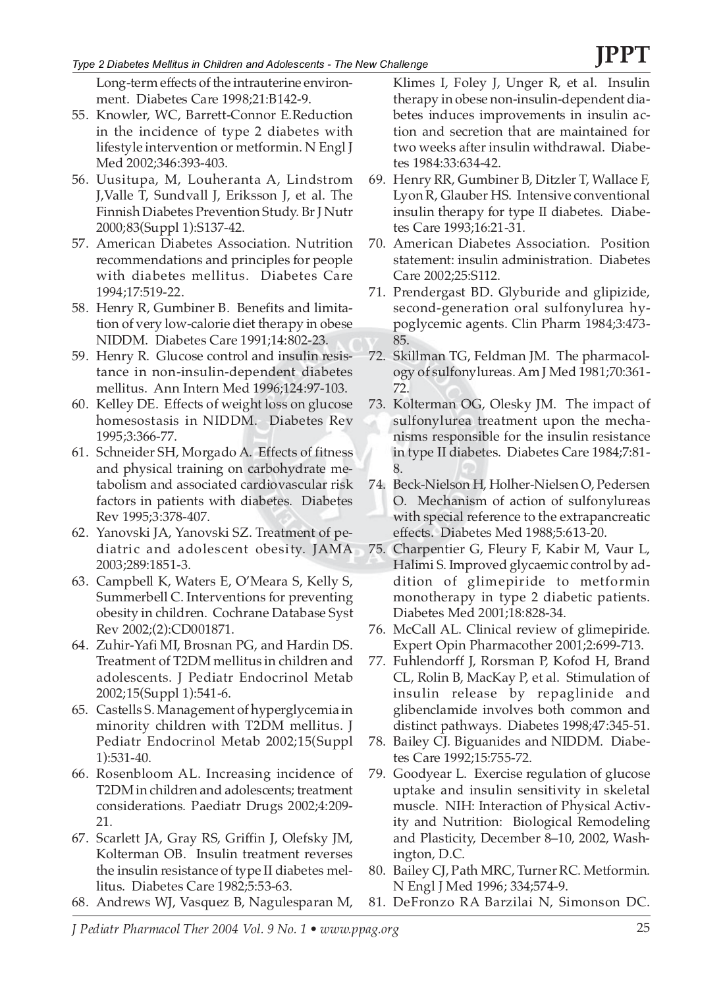Long-term effects of the intrauterine environment. Diabetes Care 1998;21:B142-9.

- 55. Knowler, WC, Barrett-Connor E.Reduction in the incidence of type 2 diabetes with lifestyle intervention or metformin. N Engl J Med 2002;346:393-403.
- 56. Uusitupa, M, Louheranta A, Lindstrom J,Valle T, Sundvall J, Eriksson J, et al. The Finnish Diabetes Prevention Study. Br J Nutr 2000;83(Suppl 1):S137-42.
- 57. American Diabetes Association. Nutrition recommendations and principles for people with diabetes mellitus. Diabetes Care 1994;17:519-22.
- 58. Henry R, Gumbiner B. Benefits and limitation of very low-calorie diet therapy in obese NIDDM. Diabetes Care 1991;14:802-23.
- 59. Henry R. Glucose control and insulin resistance in non-insulin-dependent diabetes mellitus. Ann Intern Med 1996;124:97-103.
- 60. Kelley DE. Effects of weight loss on glucose homesostasis in NIDDM. Diabetes Rev 1995;3:366-77.
- 61. Schneider SH, Morgado A. Effects of fitness and physical training on carbohydrate metabolism and associated cardiovascular risk factors in patients with diabetes. Diabetes Rev 1995;3:378-407.
- 62. Yanovski JA, Yanovski SZ. Treatment of pediatric and adolescent obesity. JAMA 2003;289:1851-3.
- 63. Campbell K, Waters E, O'Meara S, Kelly S, Summerbell C. Interventions for preventing obesity in children. Cochrane Database Syst Rev 2002;(2):CD001871.
- 64. Zuhir-Yafi MI, Brosnan PG, and Hardin DS. Treatment of T2DM mellitus in children and adolescents. J Pediatr Endocrinol Metab 2002;15(Suppl 1):541-6.
- 65. Castells S. Management of hyperglycemia in minority children with T2DM mellitus. J Pediatr Endocrinol Metab 2002;15(Suppl 1):531-40.
- 66. Rosenbloom AL. Increasing incidence of T2DM in children and adolescents; treatment considerations. Paediatr Drugs 2002;4:209- 21.
- 67. Scarlett JA, Gray RS, Griffin J, Olefsky JM, Kolterman OB. Insulin treatment reverses the insulin resistance of type II diabetes mellitus. Diabetes Care 1982;5:53-63.
- 68. Andrews WJ, Vasquez B, Nagulesparan M,

Klimes I, Foley J, Unger R, et al. Insulin therapy in obese non-insulin-dependent diabetes induces improvements in insulin action and secretion that are maintained for two weeks after insulin withdrawal. Diabetes 1984:33:634-42.

- 69. Henry RR, Gumbiner B, Ditzler T, Wallace F, Lyon R, Glauber HS. Intensive conventional insulin therapy for type II diabetes. Diabetes Care 1993;16:21-31.
- 70. American Diabetes Association. Position statement: insulin administration. Diabetes Care 2002;25:S112.
- 71. Prendergast BD. Glyburide and glipizide, second-generation oral sulfonylurea hypoglycemic agents. Clin Pharm 1984;3:473- 85.
- 72. Skillman TG, Feldman JM. The pharmacology of sulfonylureas. Am J Med 1981;70:361- 72.
- 73. Kolterman OG, Olesky JM. The impact of sulfonylurea treatment upon the mechanisms responsible for the insulin resistance in type II diabetes. Diabetes Care 1984;7:81- 8.
- 74. Beck-Nielson H, Holher-Nielsen O, Pedersen O. Mechanism of action of sulfonylureas with special reference to the extrapancreatic effects. Diabetes Med 1988;5:613-20.
- 75. Charpentier G, Fleury F, Kabir M, Vaur L, Halimi S. Improved glycaemic control by addition of glimepiride to metformin monotherapy in type 2 diabetic patients. Diabetes Med 2001;18:828-34.
- 76. McCall AL. Clinical review of glimepiride. Expert Opin Pharmacother 2001;2:699-713.
- 77. Fuhlendorff J, Rorsman P, Kofod H, Brand CL, Rolin B, MacKay P, et al. Stimulation of insulin release by repaglinide and glibenclamide involves both common and distinct pathways. Diabetes 1998;47:345-51.
- 78. Bailey CJ. Biguanides and NIDDM. Diabetes Care 1992;15:755-72.
- 79. Goodyear L. Exercise regulation of glucose uptake and insulin sensitivity in skeletal muscle. NIH: Interaction of Physical Activity and Nutrition: Biological Remodeling and Plasticity, December 8–10, 2002, Washington, D.C.
- 80. Bailey CJ, Path MRC, Turner RC. Metformin. N Engl J Med 1996; 334;574-9.
- 81. DeFronzo RA Barzilai N, Simonson DC.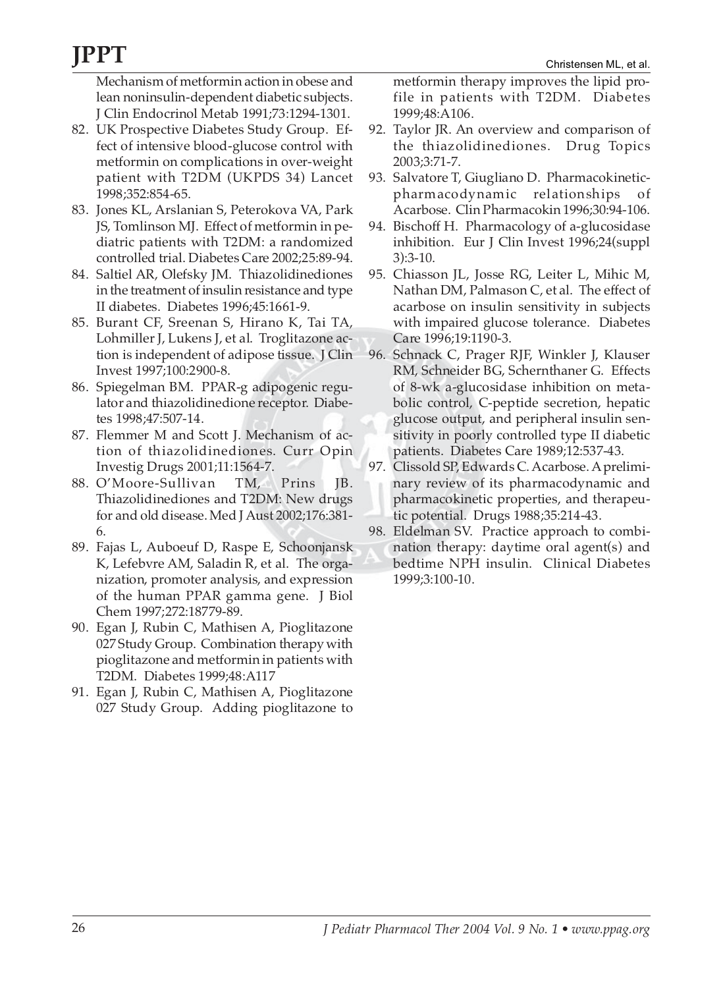Mechanism of metformin action in obese and lean noninsulin-dependent diabetic subjects. J Clin Endocrinol Metab 1991;73:1294-1301.

- 82. UK Prospective Diabetes Study Group. Effect of intensive blood-glucose control with metformin on complications in over-weight patient with T2DM (UKPDS 34) Lancet 1998;352:854-65.
- 83. Jones KL, Arslanian S, Peterokova VA, Park JS, Tomlinson MJ. Effect of metformin in pediatric patients with T2DM: a randomized controlled trial. Diabetes Care 2002;25:89-94.
- 84. Saltiel AR, Olefsky JM. Thiazolidinediones in the treatment of insulin resistance and type II diabetes. Diabetes 1996;45:1661-9.
- 85. Burant CF, Sreenan S, Hirano K, Tai TA, Lohmiller J, Lukens J, et al. Troglitazone action is independent of adipose tissue. J Clin Invest 1997;100:2900-8.
- 86. Spiegelman BM. PPAR-g adipogenic regulator and thiazolidinedione receptor. Diabetes 1998;47:507-14.
- 87. Flemmer M and Scott J. Mechanism of action of thiazolidinediones. Curr Opin Investig Drugs 2001;11:1564-7.
- 88. O'Moore-Sullivan TM, Prins JB. Thiazolidinediones and T2DM: New drugs for and old disease. Med J Aust 2002;176:381- 6.
- 89. Fajas L, Auboeuf D, Raspe E, Schoonjansk K, Lefebvre AM, Saladin R, et al. The organization, promoter analysis, and expression of the human PPAR gamma gene. J Biol Chem 1997;272:18779-89.
- 90. Egan J, Rubin C, Mathisen A, Pioglitazone 027 Study Group. Combination therapy with pioglitazone and metformin in patients with T2DM. Diabetes 1999;48:A117
- 91. Egan J, Rubin C, Mathisen A, Pioglitazone 027 Study Group. Adding pioglitazone to

metformin therapy improves the lipid profile in patients with T2DM. Diabetes 1999;48:A106.

- 92. Taylor JR. An overview and comparison of the thiazolidinediones. Drug Topics 2003;3:71-7.
- 93. Salvatore T, Giugliano D. Pharmacokineticpharmacodynamic relationships of Acarbose. Clin Pharmacokin 1996;30:94-106.
- 94. Bischoff H. Pharmacology of a-glucosidase inhibition. Eur J Clin Invest 1996;24(suppl 3):3-10.
- 95. Chiasson JL, Josse RG, Leiter L, Mihic M, Nathan DM, Palmason C, et al. The effect of acarbose on insulin sensitivity in subjects with impaired glucose tolerance. Diabetes Care 1996;19:1190-3.
- 96. Schnack C, Prager RJF, Winkler J, Klauser RM, Schneider BG, Schernthaner G. Effects of 8-wk a-glucosidase inhibition on metabolic control, C-peptide secretion, hepatic glucose output, and peripheral insulin sensitivity in poorly controlled type II diabetic patients. Diabetes Care 1989;12:537-43.
- 97. Clissold SP, Edwards C. Acarbose. A preliminary review of its pharmacodynamic and pharmacokinetic properties, and therapeutic potential. Drugs 1988;35:214-43.
- 98. Eldelman SV. Practice approach to combination therapy: daytime oral agent(s) and bedtime NPH insulin. Clinical Diabetes 1999;3:100-10.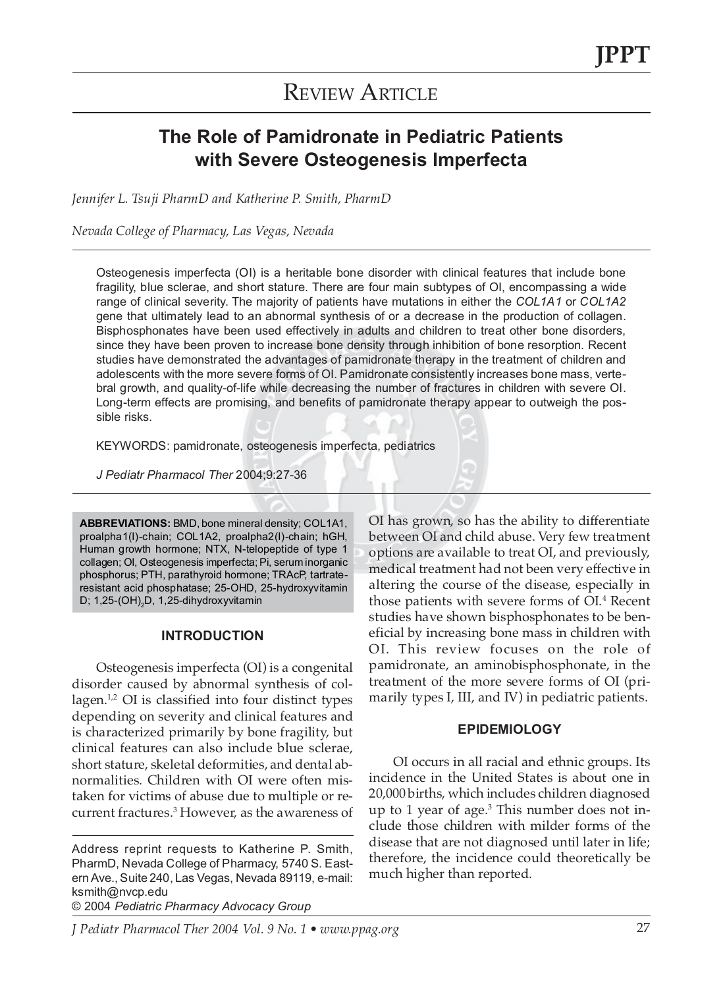## **REVIEW ARTICLE**

### **The Role of Pamidronate in Pediatric Patients with Severe Osteogenesis Imperfecta**

*Jennifer L. Tsuji PharmD and Katherine P. Smith, PharmD*

*Nevada College of Pharmacy, Las Vegas, Nevada*

Osteogenesis imperfecta (OI) is a heritable bone disorder with clinical features that include bone fragility, blue sclerae, and short stature. There are four main subtypes of OI, encompassing a wide range of clinical severity. The majority of patients have mutations in either the *COL1A1* or *COL1A2* gene that ultimately lead to an abnormal synthesis of or a decrease in the production of collagen. Bisphosphonates have been used effectively in adults and children to treat other bone disorders, since they have been proven to increase bone density through inhibition of bone resorption. Recent studies have demonstrated the advantages of pamidronate therapy in the treatment of children and adolescents with the more severe forms of OI. Pamidronate consistently increases bone mass, vertebral growth, and quality-of-life while decreasing the number of fractures in children with severe OI. Long-term effects are promising, and benefits of pamidronate therapy appear to outweigh the possible risks.

KEYWORDS: pamidronate, osteogenesis imperfecta, pediatrics

*J Pediatr Pharmacol Ther* 2004;9:27-36

**ABBREVIATIONS:** BMD, bone mineral density; COL1A1, proalpha1(I)-chain; COL1A2, proalpha2(I)-chain; hGH, Human growth hormone; NTX, N-telopeptide of type 1 collagen; OI, Osteogenesis imperfecta; Pi, serum inorganic phosphorus; PTH, parathyroid hormone; TRAcP, tartrateresistant acid phosphatase; 25-OHD, 25-hydroxyvitamin D; 1,25-(OH)<sub>2</sub>D, 1,25-dihydroxyvitamin

### **INTRODUCTION**

Osteogenesis imperfecta (OI) is a congenital disorder caused by abnormal synthesis of collagen.<sup>1,2</sup> OI is classified into four distinct types depending on severity and clinical features and is characterized primarily by bone fragility, but clinical features can also include blue sclerae, short stature, skeletal deformities, and dental abnormalities. Children with OI were often mistaken for victims of abuse due to multiple or recurrent fractures.<sup>3</sup> However, as the awareness of

Address reprint requests to Katherine P. Smith, PharmD, Nevada College of Pharmacy, 5740 S. Eastern Ave., Suite 240, Las Vegas, Nevada 89119, e-mail: ksmith@nvcp.edu © 2004 *Pediatric Pharmacy Advocacy Group*

options are available to treat OI, and previously, medical treatment had not been very effective in altering the course of the disease, especially in those patients with severe forms of OI.<sup>4</sup> Recent studies have shown bisphosphonates to be beneficial by increasing bone mass in children with OI. This review focuses on the role of pamidronate, an aminobisphosphonate, in the treatment of the more severe forms of OI (primarily types I, III, and IV) in pediatric patients.

OI has grown, so has the ability to differentiate between OI and child abuse. Very few treatment

### **EPIDEMIOLOGY**

OI occurs in all racial and ethnic groups. Its incidence in the United States is about one in 20,000 births, which includes children diagnosed up to 1 year of age.3 This number does not include those children with milder forms of the disease that are not diagnosed until later in life; therefore, the incidence could theoretically be much higher than reported.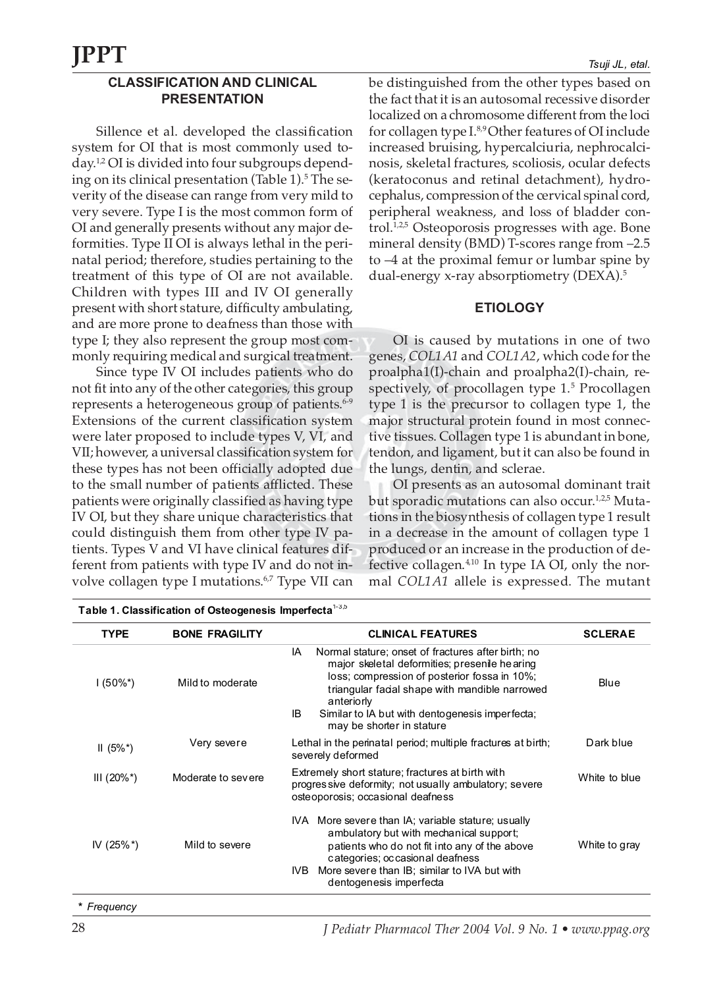### **CLASSIFICATION AND CLINICAL PRESENTATION**

Sillence et al. developed the classification system for OI that is most commonly used today.1,2 OI is divided into four subgroups depending on its clinical presentation (Table  $1$ ).<sup>5</sup> The severity of the disease can range from very mild to very severe. Type I is the most common form of OI and generally presents without any major deformities. Type II OI is always lethal in the perinatal period; therefore, studies pertaining to the treatment of this type of OI are not available. Children with types III and IV OI generally present with short stature, difficulty ambulating, and are more prone to deafness than those with type I; they also represent the group most commonly requiring medical and surgical treatment.

Since type IV OI includes patients who do not fit into any of the other categories, this group represents a heterogeneous group of patients.<sup>6-9</sup> Extensions of the current classification system were later proposed to include types V, VI, and VII; however, a universal classification system for these types has not been officially adopted due to the small number of patients afflicted. These patients were originally classified as having type IV OI, but they share unique characteristics that could distinguish them from other type IV patients. Types V and VI have clinical features different from patients with type IV and do not involve collagen type I mutations.<sup>6,7</sup> Type VII can

be distinguished from the other types based on the fact that it is an autosomal recessive disorder localized on a chromosome different from the loci for collagen type I.8,9 Other features of OI include increased bruising, hypercalciuria, nephrocalcinosis, skeletal fractures, scoliosis, ocular defects (keratoconus and retinal detachment), hydrocephalus, compression of the cervical spinal cord, peripheral weakness, and loss of bladder control.1,2,5 Osteoporosis progresses with age. Bone mineral density (BMD) T-scores range from –2.5 to –4 at the proximal femur or lumbar spine by dual-energy x-ray absorptiometry (DEXA).5

### **ETIOLOGY**

OI is caused by mutations in one of two genes, *COL1A1* and *COL1A2*, which code for the proalpha1(I)-chain and proalpha2(I)-chain, respectively, of procollagen type 1.<sup>5</sup> Procollagen type 1 is the precursor to collagen type 1, the major structural protein found in most connective tissues. Collagen type 1 is abundant in bone, tendon, and ligament, but it can also be found in the lungs, dentin, and sclerae.

OI presents as an autosomal dominant trait but sporadic mutations can also occur.<sup>1,2,5</sup> Mutations in the biosynthesis of collagen type 1 result in a decrease in the amount of collagen type 1 produced or an increase in the production of defective collagen.4,10 In type IA OI, only the normal *COL1A1* allele is expressed. The mutant

| <b>TYPE</b>    | <b>BONE FRAGILITY</b> | <b>CLINICAL FEATURES</b>                                                                                                                                                                                                                                                                                        | <b>SCLERAE</b> |
|----------------|-----------------------|-----------------------------------------------------------------------------------------------------------------------------------------------------------------------------------------------------------------------------------------------------------------------------------------------------------------|----------------|
| $1(50\%^*)$    | Mild to moderate      | Normal stature; onset of fractures after birth; no<br>IA<br>major skeletal deformities; presenile hearing<br>loss; compression of posterior fossa in 10%;<br>triangular facial shape with mandible narrowed<br>anteriorly<br>IB<br>Similar to IA but with dentogenesis imperfecta;<br>may be shorter in stature |                |
| $II(5\%^*)$    | Very severe           | Lethal in the perinatal period; multiple fractures at birth;<br>severely deformed                                                                                                                                                                                                                               | Dark blue      |
| $III (20\%^*)$ | Moderate to severe    | Extremely short stature; fractures at birth with<br>progressive deformity; not usually ambulatory; severe<br>osteoporosis; occasional deafness                                                                                                                                                                  | White to blue  |
| IV $(25\%^*)$  | Mild to severe        | IVA More severe than IA; variable stature; usually<br>ambulatory but with mechanical support;<br>patients who do not fit into any of the above<br>categories; occasional deafness<br>More severe than IB; similar to IVA but with<br>IVB.<br>dentogenesis imperfecta                                            | White to gray  |

**Table 1. Classification of Osteogenesis Imperfecta**1-3,5

*\* Frequency*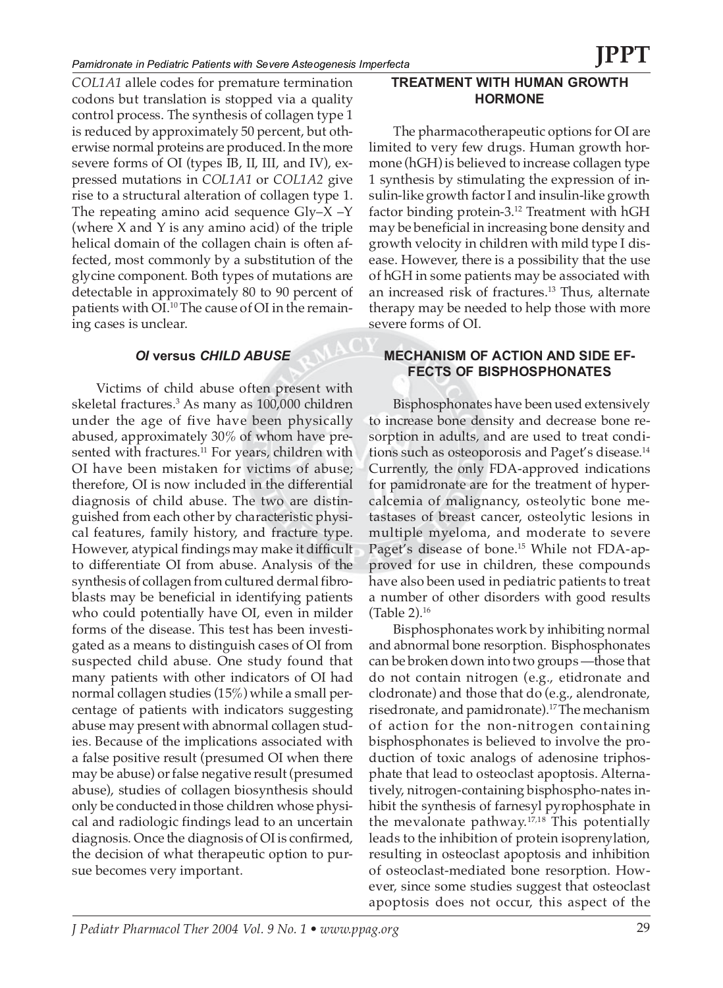*COL1A1* allele codes for premature termination codons but translation is stopped via a quality control process. The synthesis of collagen type 1 is reduced by approximately 50 percent, but otherwise normal proteins are produced. In the more severe forms of OI (types IB, II, III, and IV), expressed mutations in *COL1A1* or *COL1A2* give rise to a structural alteration of collagen type 1. The repeating amino acid sequence  $Gly-X -Y$ (where X and Y is any amino acid) of the triple helical domain of the collagen chain is often affected, most commonly by a substitution of the glycine component. Both types of mutations are detectable in approximately 80 to 90 percent of patients with OI.<sup>10</sup> The cause of OI in the remaining cases is unclear.

### *OI* **versus** *CHILD ABUSE*

Victims of child abuse often present with skeletal fractures.3 As many as 100,000 children under the age of five have been physically abused, approximately 30% of whom have presented with fractures.<sup>11</sup> For years, children with OI have been mistaken for victims of abuse; therefore, OI is now included in the differential diagnosis of child abuse. The two are distinguished from each other by characteristic physical features, family history, and fracture type. However, atypical findings may make it difficult to differentiate OI from abuse. Analysis of the synthesis of collagen from cultured dermal fibroblasts may be beneficial in identifying patients who could potentially have OI, even in milder forms of the disease. This test has been investigated as a means to distinguish cases of OI from suspected child abuse. One study found that many patients with other indicators of OI had normal collagen studies (15%) while a small percentage of patients with indicators suggesting abuse may present with abnormal collagen studies. Because of the implications associated with a false positive result (presumed OI when there may be abuse) or false negative result (presumed abuse), studies of collagen biosynthesis should only be conducted in those children whose physical and radiologic findings lead to an uncertain diagnosis. Once the diagnosis of OI is confirmed, the decision of what therapeutic option to pursue becomes very important.

### **TREATMENT WITH HUMAN GROWTH HORMONE**

The pharmacotherapeutic options for OI are limited to very few drugs. Human growth hormone (hGH) is believed to increase collagen type 1 synthesis by stimulating the expression of insulin-like growth factor I and insulin-like growth factor binding protein-3.12 Treatment with hGH may be beneficial in increasing bone density and growth velocity in children with mild type I disease. However, there is a possibility that the use of hGH in some patients may be associated with an increased risk of fractures.<sup>13</sup> Thus, alternate therapy may be needed to help those with more severe forms of OI.

### **MECHANISM OF ACTION AND SIDE EF-FECTS OF BISPHOSPHONATES**

Bisphosphonates have been used extensively to increase bone density and decrease bone resorption in adults, and are used to treat conditions such as osteoporosis and Paget's disease.14 Currently, the only FDA-approved indications for pamidronate are for the treatment of hypercalcemia of malignancy, osteolytic bone metastases of breast cancer, osteolytic lesions in multiple myeloma, and moderate to severe Paget's disease of bone.<sup>15</sup> While not FDA-approved for use in children, these compounds have also been used in pediatric patients to treat a number of other disorders with good results (Table 2).16

Bisphosphonates work by inhibiting normal and abnormal bone resorption. Bisphosphonates can be broken down into two groups —those that do not contain nitrogen (e.g., etidronate and clodronate) and those that do (e.g., alendronate, risedronate, and pamidronate).17 The mechanism of action for the non-nitrogen containing bisphosphonates is believed to involve the production of toxic analogs of adenosine triphosphate that lead to osteoclast apoptosis. Alternatively, nitrogen-containing bisphospho-nates inhibit the synthesis of farnesyl pyrophosphate in the mevalonate pathway.17,18 This potentially leads to the inhibition of protein isoprenylation, resulting in osteoclast apoptosis and inhibition of osteoclast-mediated bone resorption. However, since some studies suggest that osteoclast apoptosis does not occur, this aspect of the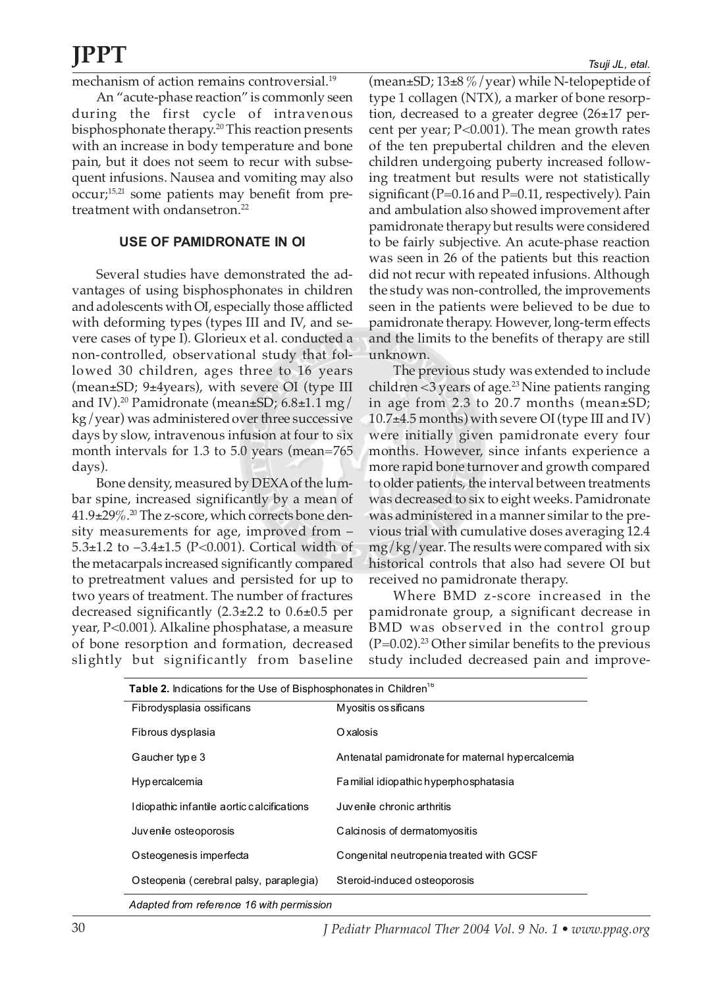mechanism of action remains controversial.<sup>19</sup>

An "acute-phase reaction" is commonly seen during the first cycle of intravenous bisphosphonate therapy.20 This reaction presents with an increase in body temperature and bone pain, but it does not seem to recur with subsequent infusions. Nausea and vomiting may also occur;15,21 some patients may benefit from pretreatment with ondansetron.<sup>22</sup>

### **USE OF PAMIDRONATE IN OI**

Several studies have demonstrated the advantages of using bisphosphonates in children and adolescents with OI, especially those afflicted with deforming types (types III and IV, and severe cases of type I). Glorieux et al. conducted a non-controlled, observational study that followed 30 children, ages three to 16 years (mean±SD; 9±4years), with severe OI (type III and IV).<sup>20</sup> Pamidronate (mean $\pm$ SD; 6.8 $\pm$ 1.1 mg/ kg/year) was administered over three successive days by slow, intravenous infusion at four to six month intervals for 1.3 to 5.0 years (mean=765 days).

Bone density, measured by DEXA of the lumbar spine, increased significantly by a mean of  $41.9\pm29\%$ .<sup>20</sup> The z-score, which corrects bone density measurements for age, improved from – 5.3±1.2 to –3.4±1.5 (P<0.001). Cortical width of the metacarpals increased significantly compared to pretreatment values and persisted for up to two years of treatment. The number of fractures decreased significantly (2.3±2.2 to 0.6±0.5 per year, P<0.001). Alkaline phosphatase, a measure of bone resorption and formation, decreased slightly but significantly from baseline

*Tsuji JL, etal.*

(mean±SD;  $13\pm8\%$  / year) while N-telopeptide of type 1 collagen (NTX), a marker of bone resorption, decreased to a greater degree (26±17 percent per year; P<0.001). The mean growth rates of the ten prepubertal children and the eleven children undergoing puberty increased following treatment but results were not statistically significant (P=0.16 and P=0.11, respectively). Pain and ambulation also showed improvement after pamidronate therapy but results were considered to be fairly subjective. An acute-phase reaction was seen in 26 of the patients but this reaction did not recur with repeated infusions. Although the study was non-controlled, the improvements seen in the patients were believed to be due to pamidronate therapy. However, long-term effects and the limits to the benefits of therapy are still unknown.

The previous study was extended to include children < $3$  years of age.<sup>23</sup> Nine patients ranging in age from 2.3 to 20.7 months (mean±SD;  $10.7\pm4.5$  months) with severe OI (type III and IV) were initially given pamidronate every four months. However, since infants experience a more rapid bone turnover and growth compared to older patients, the interval between treatments was decreased to six to eight weeks. Pamidronate was administered in a manner similar to the previous trial with cumulative doses averaging 12.4 mg/kg/year. The results were compared with six historical controls that also had severe OI but received no pamidronate therapy.

Where BMD z-score increased in the pamidronate group, a significant decrease in BMD was observed in the control group  $(P=0.02).<sup>23</sup>$  Other similar benefits to the previous study included decreased pain and improve-

| Table 2. Indications for the Use of Bisphosphonates in Children <sup>16</sup> |                                                  |  |  |  |
|-------------------------------------------------------------------------------|--------------------------------------------------|--|--|--|
| Fibrodysplasia ossificans                                                     | Myositis os sificans                             |  |  |  |
| Fibrous dysplasia                                                             | Oxalosis                                         |  |  |  |
| Gaucher type 3                                                                | Antenatal pamidronate for maternal hypercalcemia |  |  |  |
| Hypercalcemia                                                                 | Familial idiopathic hyperphosphatasia            |  |  |  |
| I diopathic infantile aortic calcifications                                   | Juvenile chronic arthritis                       |  |  |  |
| Juvenile osteoporosis                                                         | Calcinosis of dermatomyositis                    |  |  |  |
| O steogenesis imperfecta                                                      | Congenital neutropenia treated with GCSF         |  |  |  |
| Osteopenia (cerebral palsy, paraplegia)                                       | Steroid-induced osteoporosis                     |  |  |  |
| Adapted from reference 16 with permission                                     |                                                  |  |  |  |

*Adapted from reference 16 with permission*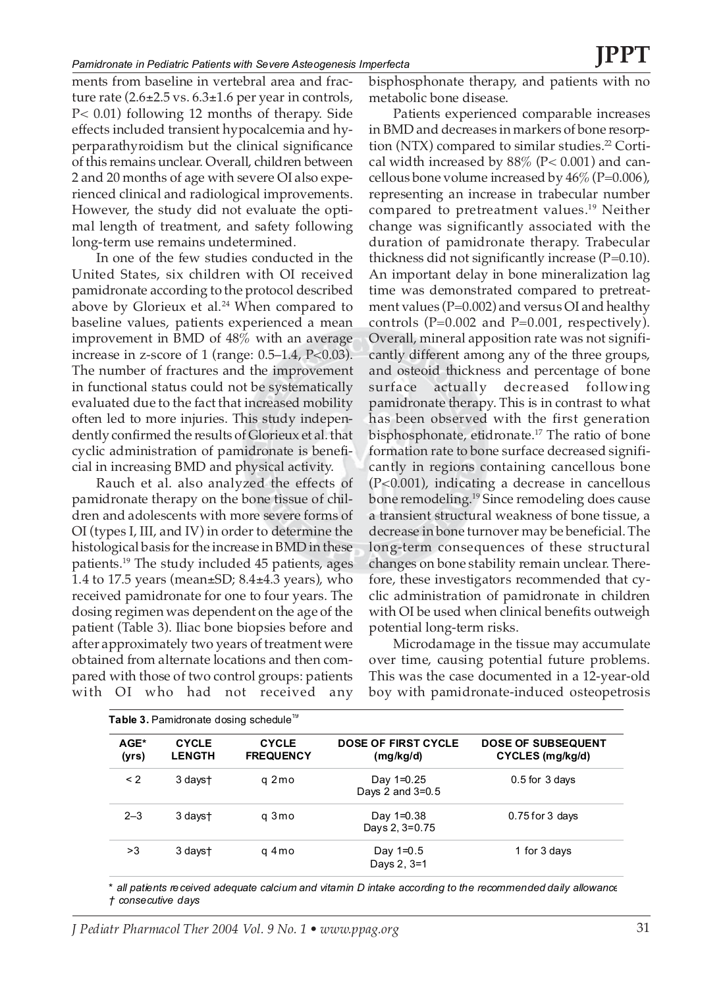ments from baseline in vertebral area and fracture rate  $(2.6\pm 2.5 \text{ vs. } 6.3\pm 1.6 \text{ per year in controls},$ P< 0.01) following 12 months of therapy. Side effects included transient hypocalcemia and hyperparathyroidism but the clinical significance of this remains unclear. Overall, children between 2 and 20 months of age with severe OI also experienced clinical and radiological improvements. However, the study did not evaluate the optimal length of treatment, and safety following long-term use remains undetermined.

In one of the few studies conducted in the United States, six children with OI received pamidronate according to the protocol described above by Glorieux et al. $24$  When compared to baseline values, patients experienced a mean improvement in BMD of 48% with an average increase in z-score of 1 (range: 0.5–1.4, P<0.03). The number of fractures and the improvement in functional status could not be systematically evaluated due to the fact that increased mobility often led to more injuries. This study independently confirmed the results of Glorieux et al. that cyclic administration of pamidronate is beneficial in increasing BMD and physical activity.

Rauch et al. also analyzed the effects of pamidronate therapy on the bone tissue of children and adolescents with more severe forms of OI (types I, III, and IV) in order to determine the histological basis for the increase in BMD in these patients.19 The study included 45 patients, ages 1.4 to 17.5 years (mean±SD; 8.4±4.3 years), who received pamidronate for one to four years. The dosing regimen was dependent on the age of the patient (Table 3). Iliac bone biopsies before and after approximately two years of treatment were obtained from alternate locations and then compared with those of two control groups: patients with OI who had not received any

bisphosphonate therapy, and patients with no metabolic bone disease.

Patients experienced comparable increases in BMD and decreases in markers of bone resorption (NTX) compared to similar studies.<sup>22</sup> Cortical width increased by  $88\%$  (P< 0.001) and cancellous bone volume increased by  $46\%$  (P=0.006), representing an increase in trabecular number compared to pretreatment values.19 Neither change was significantly associated with the duration of pamidronate therapy. Trabecular thickness did not significantly increase  $(P=0.10)$ . An important delay in bone mineralization lag time was demonstrated compared to pretreatment values ( $P=0.002$ ) and versus OI and healthy controls ( $P=0.002$  and  $P=0.001$ , respectively). Overall, mineral apposition rate was not significantly different among any of the three groups, and osteoid thickness and percentage of bone surface actually decreased following pamidronate therapy. This is in contrast to what has been observed with the first generation bisphosphonate, etidronate.17 The ratio of bone formation rate to bone surface decreased significantly in regions containing cancellous bone (P<0.001), indicating a decrease in cancellous bone remodeling.19 Since remodeling does cause a transient structural weakness of bone tissue, a decrease in bone turnover may be beneficial. The long-term consequences of these structural changes on bone stability remain unclear. Therefore, these investigators recommended that cyclic administration of pamidronate in children with OI be used when clinical benefits outweigh potential long-term risks.

Microdamage in the tissue may accumulate over time, causing potential future problems. This was the case documented in a 12-year-old boy with pamidronate-induced osteopetrosis

| AGE*<br>(yrs) | <b>CYCLE</b><br><b>LENGTH</b> | <b>CYCLE</b><br><b>FREQUENCY</b> | DOSE OF FIRST CYCLE<br>(mg/kg/d) | DOSE OF SUBSEQUENT<br>CYCLES (mg/kg/d) |
|---------------|-------------------------------|----------------------------------|----------------------------------|----------------------------------------|
| $\leq$ 2      | 3 days†                       | g 2 mo                           | Day 1=0.25<br>Days 2 and 3=0.5   | $0.5$ for $3$ days                     |
| $2 - 3$       | 3 dayst                       | q 3 mo                           | Day 1=0.38<br>Days 2, 3=0.75     | $0.75$ for 3 days                      |
| >3            | 3 dayst                       | g 4 mo                           | Day 1=0.5<br>Days 2, 3=1         | 1 for 3 days                           |

*\* all patients received adequate calcium and vitamin D intake according to the recommended daily allowance † consecutive days*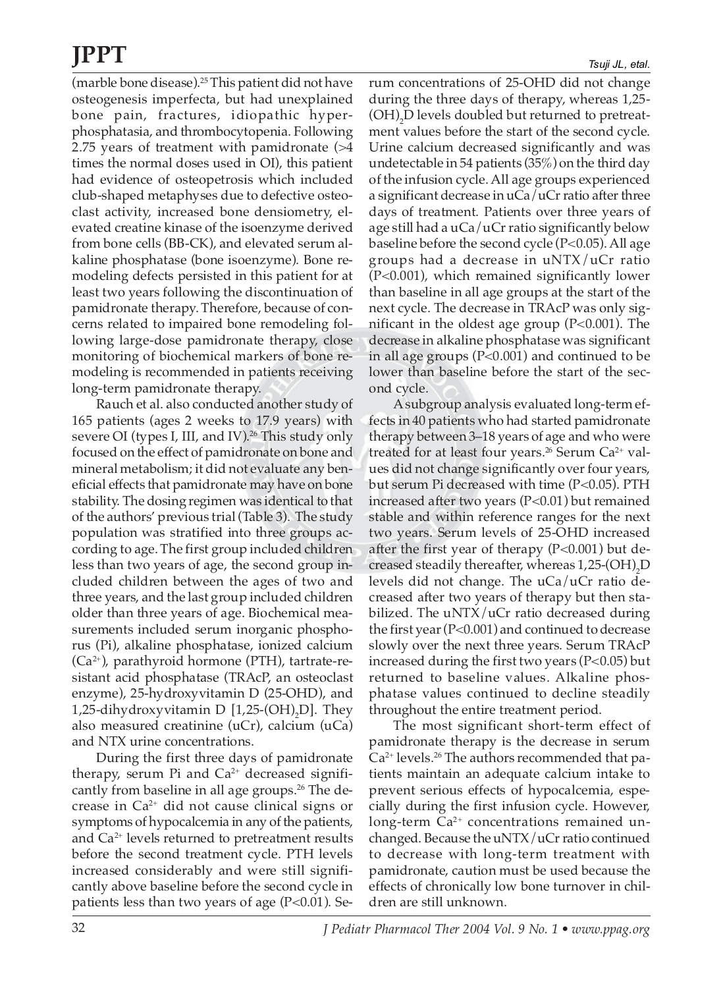(marble bone disease).25 This patient did not have osteogenesis imperfecta, but had unexplained bone pain, fractures, idiopathic hyperphosphatasia, and thrombocytopenia. Following 2.75 years of treatment with pamidronate (>4 times the normal doses used in OI), this patient had evidence of osteopetrosis which included club-shaped metaphyses due to defective osteoclast activity, increased bone densiometry, elevated creatine kinase of the isoenzyme derived from bone cells (BB-CK), and elevated serum alkaline phosphatase (bone isoenzyme). Bone remodeling defects persisted in this patient for at least two years following the discontinuation of pamidronate therapy. Therefore, because of concerns related to impaired bone remodeling following large-dose pamidronate therapy, close monitoring of biochemical markers of bone remodeling is recommended in patients receiving long-term pamidronate therapy.

Rauch et al. also conducted another study of 165 patients (ages 2 weeks to 17.9 years) with severe OI (types I, III, and IV).<sup>26</sup> This study only focused on the effect of pamidronate on bone and mineral metabolism; it did not evaluate any beneficial effects that pamidronate may have on bone stability. The dosing regimen was identical to that of the authors' previous trial (Table 3). The study population was stratified into three groups according to age. The first group included children less than two years of age, the second group included children between the ages of two and three years, and the last group included children older than three years of age. Biochemical measurements included serum inorganic phosphorus (Pi), alkaline phosphatase, ionized calcium  $(Ca<sup>2+</sup>)$ , parathyroid hormone (PTH), tartrate-resistant acid phosphatase (TRAcP, an osteoclast enzyme), 25-hydroxyvitamin D (25-OHD), and 1,25-dihydroxyvitamin D  $[1,25\text{-}(\text{OH})_{2}\text{D}]$ . They also measured creatinine (uCr), calcium (uCa) and NTX urine concentrations.

During the first three days of pamidronate therapy, serum Pi and  $Ca^{2+}$  decreased significantly from baseline in all age groups.<sup>26</sup> The decrease in  $Ca^{2+}$  did not cause clinical signs or symptoms of hypocalcemia in any of the patients, and  $Ca<sup>2+</sup>$  levels returned to pretreatment results before the second treatment cycle. PTH levels increased considerably and were still significantly above baseline before the second cycle in patients less than two years of age  $(P<0.01)$ . Serum concentrations of 25-OHD did not change during the three days of therapy, whereas 1,25-  $(OH)_{2}D$  levels doubled but returned to pretreatment values before the start of the second cycle. Urine calcium decreased significantly and was undetectable in 54 patients (35%) on the third day of the infusion cycle. All age groups experienced a significant decrease in uCa/uCr ratio after three days of treatment. Patients over three years of age still had a uCa/uCr ratio significantly below baseline before the second cycle (P<0.05). All age groups had a decrease in uNTX/uCr ratio (P<0.001), which remained significantly lower than baseline in all age groups at the start of the next cycle. The decrease in TRAcP was only significant in the oldest age group (P<0.001). The decrease in alkaline phosphatase was significant in all age groups (P<0.001) and continued to be lower than baseline before the start of the second cycle.

A subgroup analysis evaluated long-term effects in 40 patients who had started pamidronate therapy between 3–18 years of age and who were treated for at least four years.<sup>26</sup> Serum  $Ca^{2+}$  values did not change significantly over four years, but serum Pi decreased with time (P<0.05). PTH increased after two years  $(P<0.01)$  but remained stable and within reference ranges for the next two years. Serum levels of 25-OHD increased after the first year of therapy (P<0.001) but decreased steadily thereafter, whereas  $1,25$ - $\mathrm{(OH)}_{2}\mathrm{D}$ levels did not change. The uCa/uCr ratio decreased after two years of therapy but then stabilized. The uNTX/uCr ratio decreased during the first year (P<0.001) and continued to decrease slowly over the next three years. Serum TRAcP increased during the first two years (P<0.05) but returned to baseline values. Alkaline phosphatase values continued to decline steadily throughout the entire treatment period.

The most significant short-term effect of pamidronate therapy is the decrease in serum  $Ca<sup>2+</sup>$  levels.<sup>26</sup> The authors recommended that patients maintain an adequate calcium intake to prevent serious effects of hypocalcemia, especially during the first infusion cycle. However, long-term  $Ca^{2+}$  concentrations remained unchanged. Because the uNTX/uCr ratio continued to decrease with long-term treatment with pamidronate, caution must be used because the effects of chronically low bone turnover in children are still unknown.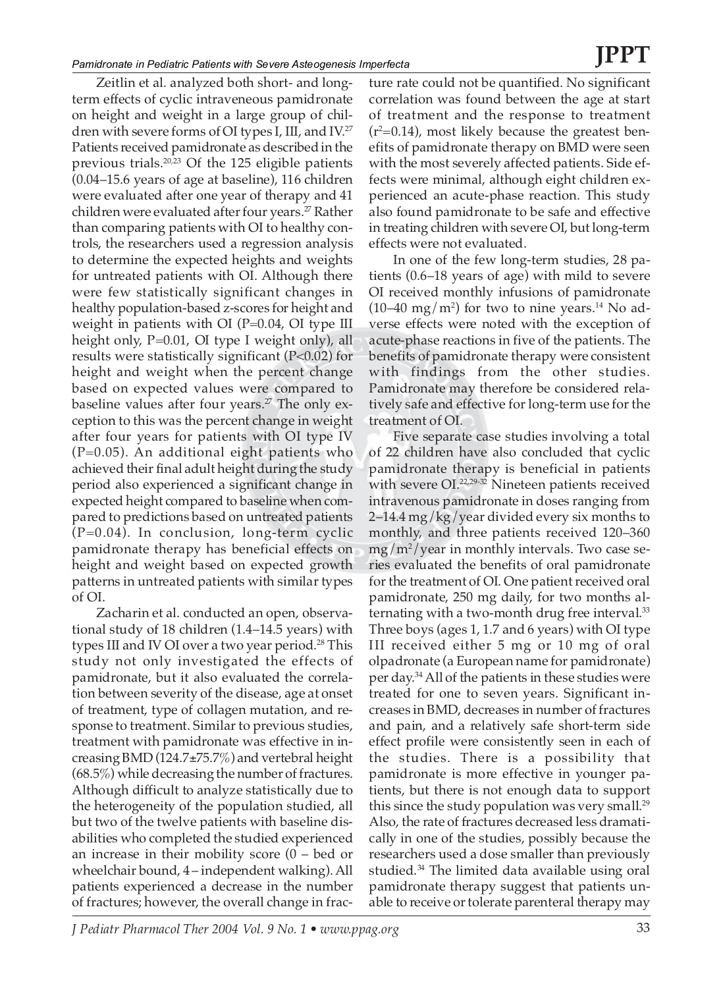Zeitlin et al. analyzed both short- and longterm effects of cyclic intraveneous pamidronate on height and weight in a large group of children with severe forms of OI types I, III, and IV.27 Patients received pamidronate as described in the previous trials.20,23 Of the 125 eligible patients (0.04–15.6 years of age at baseline), 116 children were evaluated after one year of therapy and 41 children were evaluated after four years.<sup>27</sup> Rather than comparing patients with OI to healthy controls, the researchers used a regression analysis to determine the expected heights and weights for untreated patients with OI. Although there were few statistically significant changes in healthy population-based z-scores for height and weight in patients with OI ( $P=0.04$ , OI type III height only, P=0.01, OI type I weight only), all results were statistically significant (P<0.02) for height and weight when the percent change based on expected values were compared to baseline values after four years.<sup>27</sup> The only exception to this was the percent change in weight after four years for patients with OI type IV (P=0.05). An additional eight patients who achieved their final adult height during the study period also experienced a significant change in expected height compared to baseline when compared to predictions based on untreated patients (P=0.04). In conclusion, long-term cyclic pamidronate therapy has beneficial effects on height and weight based on expected growth patterns in untreated patients with similar types of OI.

Zacharin et al. conducted an open, observational study of 18 children (1.4–14.5 years) with types III and IV OI over a two year period.<sup>28</sup> This study not only investigated the effects of pamidronate, but it also evaluated the correlation between severity of the disease, age at onset of treatment, type of collagen mutation, and response to treatment. Similar to previous studies, treatment with pamidronate was effective in increasing BMD (124.7±75.7%) and vertebral height (68.5%) while decreasing the number of fractures. Although difficult to analyze statistically due to the heterogeneity of the population studied, all but two of the twelve patients with baseline disabilities who completed the studied experienced an increase in their mobility score (0 – bed or wheelchair bound, 4 – independent walking). All patients experienced a decrease in the number of fractures; however, the overall change in frac-

ture rate could not be quantified. No significant correlation was found between the age at start of treatment and the response to treatment  $(r^2=0.14)$ , most likely because the greatest benefits of pamidronate therapy on BMD were seen with the most severely affected patients. Side effects were minimal, although eight children experienced an acute-phase reaction. This study also found pamidronate to be safe and effective in treating children with severe OI, but long-term effects were not evaluated.

In one of the few long-term studies, 28 patients (0.6–18 years of age) with mild to severe OI received monthly infusions of pamidronate (10–40 mg/m<sup>2</sup>) for two to nine years.<sup>14</sup> No adverse effects were noted with the exception of acute-phase reactions in five of the patients. The benefits of pamidronate therapy were consistent with findings from the other studies. Pamidronate may therefore be considered relatively safe and effective for long-term use for the treatment of OI.

Five separate case studies involving a total of 22 children have also concluded that cyclic pamidronate therapy is beneficial in patients with severe OI.<sup>22,29-32</sup> Nineteen patients received intravenous pamidronate in doses ranging from 2–14.4 mg/kg/year divided every six months to monthly, and three patients received 120–360 mg/m2 /year in monthly intervals. Two case series evaluated the benefits of oral pamidronate for the treatment of OI. One patient received oral pamidronate, 250 mg daily, for two months alternating with a two-month drug free interval.<sup>33</sup> Three boys (ages 1, 1.7 and 6 years) with OI type III received either 5 mg or 10 mg of oral olpadronate (a European name for pamidronate) per day.34All of the patients in these studies were treated for one to seven years. Significant increases in BMD, decreases in number of fractures and pain, and a relatively safe short-term side effect profile were consistently seen in each of the studies. There is a possibility that pamidronate is more effective in younger patients, but there is not enough data to support this since the study population was very small.<sup>29</sup> Also, the rate of fractures decreased less dramatically in one of the studies, possibly because the researchers used a dose smaller than previously studied.34 The limited data available using oral pamidronate therapy suggest that patients unable to receive or tolerate parenteral therapy may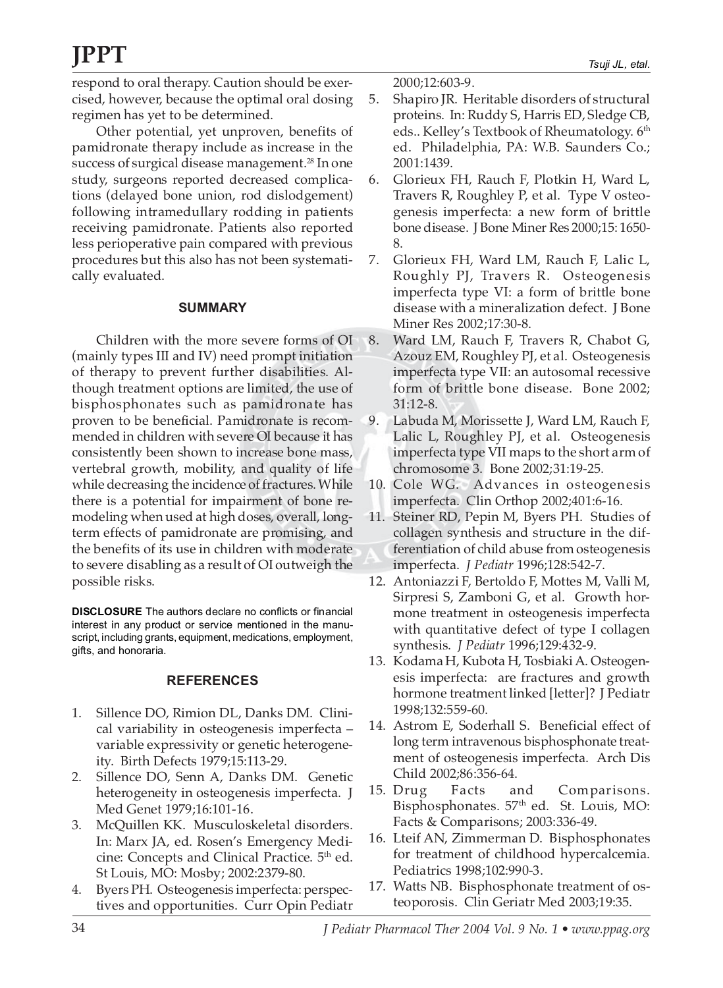respond to oral therapy. Caution should be exercised, however, because the optimal oral dosing regimen has yet to be determined.

Other potential, yet unproven, benefits of pamidronate therapy include as increase in the success of surgical disease management.<sup>28</sup> In one study, surgeons reported decreased complications (delayed bone union, rod dislodgement) following intramedullary rodding in patients receiving pamidronate. Patients also reported less perioperative pain compared with previous procedures but this also has not been systematically evaluated.

### **SUMMARY**

Children with the more severe forms of OI (mainly types III and IV) need prompt initiation of therapy to prevent further disabilities. Although treatment options are limited, the use of bisphosphonates such as pamidronate has proven to be beneficial. Pamidronate is recommended in children with severe OI because it has consistently been shown to increase bone mass, vertebral growth, mobility, and quality of life while decreasing the incidence of fractures. While there is a potential for impairment of bone remodeling when used at high doses, overall, longterm effects of pamidronate are promising, and the benefits of its use in children with moderate to severe disabling as a result of OI outweigh the possible risks.

**DISCLOSURE** The authors declare no conflicts or financial interest in any product or service mentioned in the manuscript, including grants, equipment, medications, employment, gifts, and honoraria.

### **REFERENCES**

- 1. Sillence DO, Rimion DL, Danks DM. Clinical variability in osteogenesis imperfecta – variable expressivity or genetic heterogeneity. Birth Defects 1979;15:113-29.
- 2. Sillence DO, Senn A, Danks DM. Genetic heterogeneity in osteogenesis imperfecta. J Med Genet 1979;16:101-16.
- 3. McQuillen KK. Musculoskeletal disorders. In: Marx JA, ed. Rosen's Emergency Medicine: Concepts and Clinical Practice.  $5<sup>th</sup>$  ed. St Louis, MO: Mosby; 2002:2379-80.
- 4. Byers PH. Osteogenesis imperfecta: perspectives and opportunities. Curr Opin Pediatr

2000;12:603-9.

- 5. Shapiro JR. Heritable disorders of structural proteins. In: Ruddy S, Harris ED, Sledge CB, eds.. Kelley's Textbook of Rheumatology. 6<sup>th</sup> ed. Philadelphia, PA: W.B. Saunders Co.; 2001:1439.
- 6. Glorieux FH, Rauch F, Plotkin H, Ward L, Travers R, Roughley P, et al. Type V osteogenesis imperfecta: a new form of brittle bone disease. J Bone Miner Res 2000;15: 1650- 8.
- 7. Glorieux FH, Ward LM, Rauch F, Lalic L, Roughly PJ, Travers R. Osteogenesis imperfecta type VI: a form of brittle bone disease with a mineralization defect. J Bone Miner Res 2002;17:30-8.
- 8. Ward LM, Rauch F, Travers R, Chabot G, Azouz EM, Roughley PJ, et al. Osteogenesis imperfecta type VII: an autosomal recessive form of brittle bone disease. Bone 2002; 31:12-8.
- 9. Labuda M, Morissette J, Ward LM, Rauch F, Lalic L, Roughley PJ, et al. Osteogenesis imperfecta type VII maps to the short arm of chromosome 3. Bone 2002;31:19-25.
- 10. Cole WG. Advances in osteogenesis imperfecta. Clin Orthop 2002;401:6-16.
- 11. Steiner RD, Pepin M, Byers PH. Studies of collagen synthesis and structure in the differentiation of child abuse from osteogenesis imperfecta. *J Pediatr* 1996;128:542-7.
- 12. Antoniazzi F, Bertoldo F, Mottes M, Valli M, Sirpresi S, Zamboni G, et al. Growth hormone treatment in osteogenesis imperfecta with quantitative defect of type I collagen synthesis. *J Pediatr* 1996;129:432-9.
- 13. Kodama H, Kubota H, Tosbiaki A. Osteogenesis imperfecta: are fractures and growth hormone treatment linked [letter]? J Pediatr 1998;132:559-60.
- 14. Astrom E, Soderhall S. Beneficial effect of long term intravenous bisphosphonate treatment of osteogenesis imperfecta. Arch Dis Child 2002;86:356-64.
- 15. Drug Facts and Comparisons. Bisphosphonates. 57<sup>th</sup> ed. St. Louis, MO: Facts & Comparisons; 2003:336-49.
- 16. Lteif AN, Zimmerman D. Bisphosphonates for treatment of childhood hypercalcemia. Pediatrics 1998;102:990-3.
- 17. Watts NB. Bisphosphonate treatment of osteoporosis. Clin Geriatr Med 2003;19:35.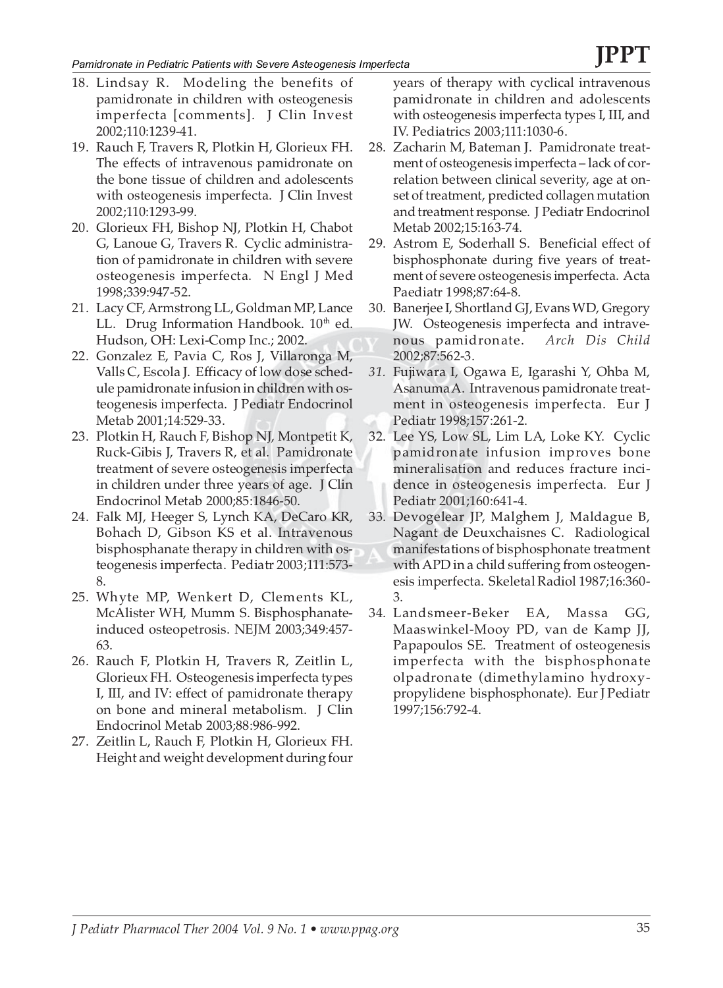- 18. Lindsay R. Modeling the benefits of pamidronate in children with osteogenesis imperfecta [comments]. J Clin Invest 2002;110:1239-41.
- 19. Rauch F, Travers R, Plotkin H, Glorieux FH. The effects of intravenous pamidronate on the bone tissue of children and adolescents with osteogenesis imperfecta. J Clin Invest 2002;110:1293-99.
- 20. Glorieux FH, Bishop NJ, Plotkin H, Chabot G, Lanoue G, Travers R. Cyclic administration of pamidronate in children with severe osteogenesis imperfecta. N Engl J Med 1998;339:947-52.
- 21. Lacy CF, Armstrong LL, Goldman MP, Lance LL. Drug Information Handbook. 10<sup>th</sup> ed. Hudson, OH: Lexi-Comp Inc.; 2002.
- 22. Gonzalez E, Pavia C, Ros J, Villaronga M, Valls C, Escola J. Efficacy of low dose schedule pamidronate infusion in children with osteogenesis imperfecta. J Pediatr Endocrinol Metab 2001;14:529-33.
- 23. Plotkin H, Rauch F, Bishop NJ, Montpetit K, Ruck-Gibis J, Travers R, et al. Pamidronate treatment of severe osteogenesis imperfecta in children under three years of age. J Clin Endocrinol Metab 2000;85:1846-50.
- 24. Falk MJ, Heeger S, Lynch KA, DeCaro KR, Bohach D, Gibson KS et al. Intravenous bisphosphanate therapy in children with osteogenesis imperfecta. Pediatr 2003;111:573- 8.
- 25. Whyte MP, Wenkert D, Clements KL, McAlister WH, Mumm S. Bisphosphanateinduced osteopetrosis. NEJM 2003;349:457- 63.
- 26. Rauch F, Plotkin H, Travers R, Zeitlin L, Glorieux FH. Osteogenesis imperfecta types I, III, and IV: effect of pamidronate therapy on bone and mineral metabolism. J Clin Endocrinol Metab 2003;88:986-992.
- 27. Zeitlin L, Rauch F, Plotkin H, Glorieux FH. Height and weight development during four

years of therapy with cyclical intravenous pamidronate in children and adolescents with osteogenesis imperfecta types I, III, and IV. Pediatrics 2003;111:1030-6.

- 28. Zacharin M, Bateman J. Pamidronate treatment of osteogenesis imperfecta – lack of correlation between clinical severity, age at onset of treatment, predicted collagen mutation and treatment response. J Pediatr Endocrinol Metab 2002;15:163-74.
- 29. Astrom E, Soderhall S. Beneficial effect of bisphosphonate during five years of treatment of severe osteogenesis imperfecta. Acta Paediatr 1998;87:64-8.
- 30. Banerjee I, Shortland GJ, Evans WD, Gregory JW. Osteogenesis imperfecta and intravenous pamidronate. *Arch Dis Child* 2002;87:562-3.
- *31.* Fujiwara I, Ogawa E, Igarashi Y, Ohba M, Asanuma A. Intravenous pamidronate treatment in osteogenesis imperfecta. Eur J Pediatr 1998;157:261-2.
- 32. Lee YS, Low SL, Lim LA, Loke KY. Cyclic pamidronate infusion improves bone mineralisation and reduces fracture incidence in osteogenesis imperfecta. Eur J Pediatr 2001;160:641-4.
- 33. Devogelear JP, Malghem J, Maldague B, Nagant de Deuxchaisnes C. Radiological manifestations of bisphosphonate treatment with APD in a child suffering from osteogenesis imperfecta. Skeletal Radiol 1987;16:360- 3.
- 34. Landsmeer-Beker EA, Massa GG, Maaswinkel-Mooy PD, van de Kamp JJ, Papapoulos SE. Treatment of osteogenesis imperfecta with the bisphosphonate olpadronate (dimethylamino hydroxypropylidene bisphosphonate). Eur J Pediatr 1997;156:792-4.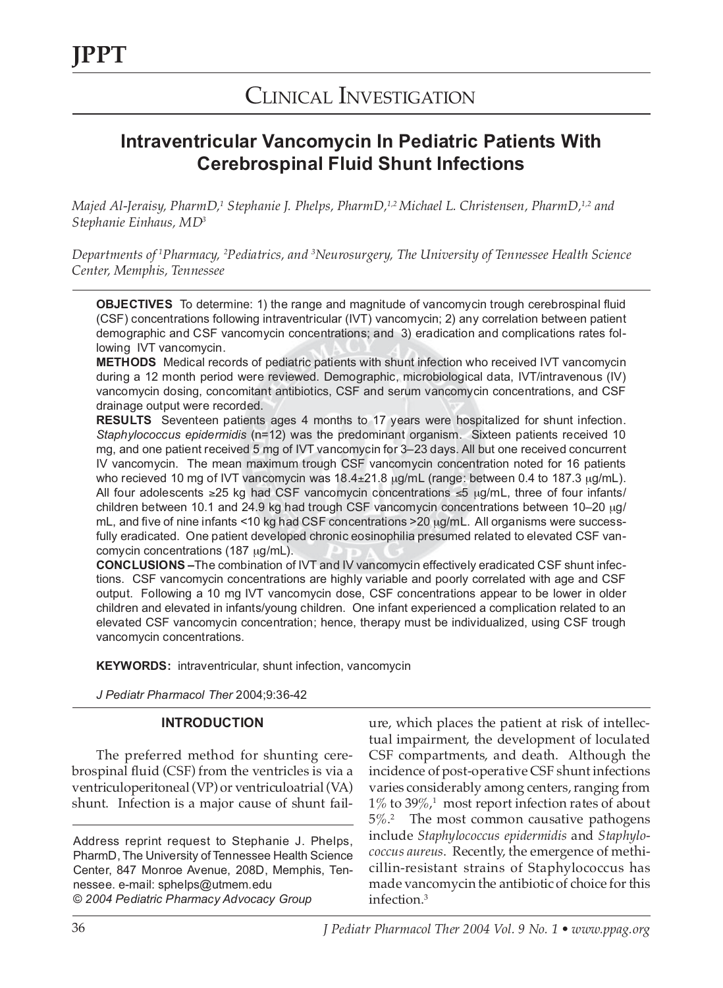## CLINICAL INVESTIGATION

### **Intraventricular Vancomycin In Pediatric Patients With Cerebrospinal Fluid Shunt Infections**

*Majed Al-Jeraisy, PharmD,1 Stephanie J. Phelps, PharmD,1,2 Michael L. Christensen, PharmD,1,2 and Stephanie Einhaus, MD3*

*Departments of 1 Pharmacy, 2 Pediatrics, and 3 Neurosurgery, The University of Tennessee Health Science Center, Memphis, Tennessee*

**OBJECTIVES** To determine: 1) the range and magnitude of vancomycin trough cerebrospinal fluid (CSF) concentrations following intraventricular (IVT) vancomycin; 2) any correlation between patient demographic and CSF vancomycin concentrations; and 3) eradication and complications rates following IVT vancomycin.

**METHODS** Medical records of pediatric patients with shunt infection who received IVT vancomycin during a 12 month period were reviewed. Demographic, microbiological data, IVT/intravenous (IV) vancomycin dosing, concomitant antibiotics, CSF and serum vancomycin concentrations, and CSF drainage output were recorded.

**RESULTS** Seventeen patients ages 4 months to 17 years were hospitalized for shunt infection. *Staphylococcus epidermidis* (n=12) was the predominant organism. Sixteen patients received 10 mg, and one patient received 5 mg of IVT vancomycin for 3–23 days. All but one received concurrent IV vancomycin. The mean maximum trough CSF vancomycin concentration noted for 16 patients who recieved 10 mg of IVT vancomycin was  $18.4 \pm 21.8$   $\mu$ g/mL (range: between 0.4 to 187.3  $\mu$ g/mL). All four adolescents ≥25 kg had CSF vancomycin concentrations ≤5 µg/mL, three of four infants/ children between 10.1 and 24.9 kg had trough CSF vancomycin concentrations between 10–20 µg/ mL, and five of nine infants <10 kg had CSF concentrations >20 µg/mL. All organisms were successfully eradicated. One patient developed chronic eosinophilia presumed related to elevated CSF vancomycin concentrations (187 µg/mL).

**CONCLUSIONS –**The combination of IVT and IV vancomycin effectively eradicated CSF shunt infections. CSF vancomycin concentrations are highly variable and poorly correlated with age and CSF output. Following a 10 mg IVT vancomycin dose, CSF concentrations appear to be lower in older children and elevated in infants/young children. One infant experienced a complication related to an elevated CSF vancomycin concentration; hence, therapy must be individualized, using CSF trough vancomycin concentrations.

**KEYWORDS:** intraventricular, shunt infection, vancomycin

*J Pediatr Pharmacol Ther* 2004;9:36-42

### **INTRODUCTION**

The preferred method for shunting cerebrospinal fluid (CSF) from the ventricles is via a ventriculoperitoneal (VP) or ventriculoatrial (VA) shunt. Infection is a major cause of shunt fail-

Address reprint request to Stephanie J. Phelps, PharmD, The University of Tennessee Health Science Center, 847 Monroe Avenue, 208D, Memphis, Tennessee. e-mail: sphelps@utmem.edu © *2004 Pediatric Pharmacy Advocacy Group*

ure, which places the patient at risk of intellectual impairment, the development of loculated CSF compartments, and death. Although the incidence of post-operative CSF shunt infections varies considerably among centers, ranging from  $1\%$  to  $39\%$ ,<sup>1</sup> most report infection rates of about 5%.<sup>2</sup> The most common causative pathogens include *Staphylococcus epidermidis* and *Staphylococcus aureus*. Recently, the emergence of methicillin-resistant strains of Staphylococcus has made vancomycin the antibiotic of choice for this infection.3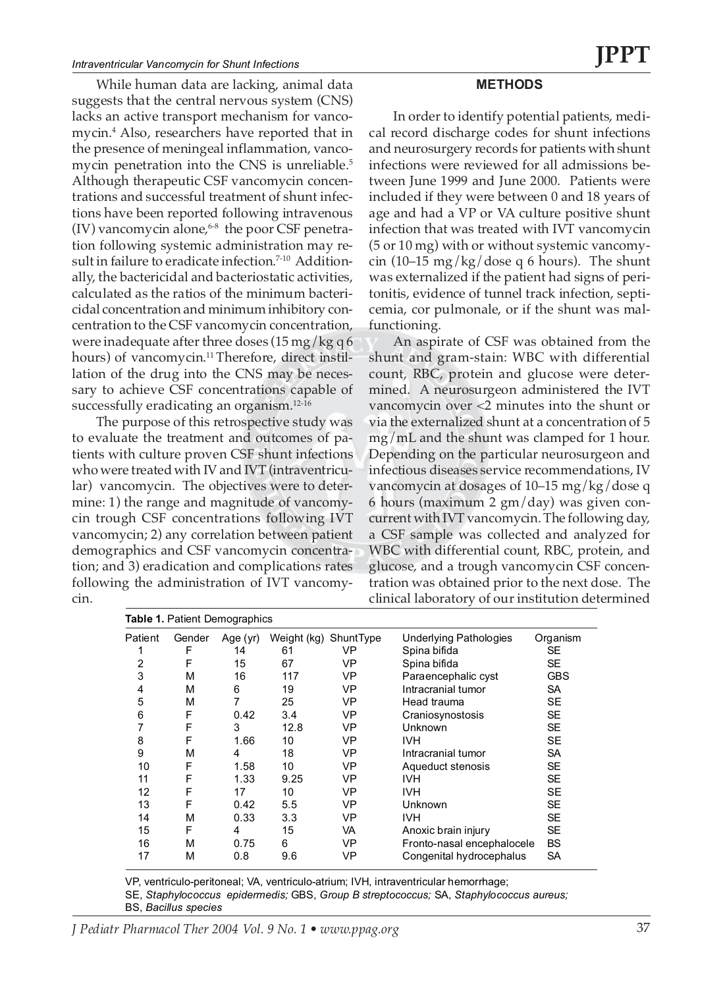While human data are lacking, animal data suggests that the central nervous system (CNS) lacks an active transport mechanism for vancomycin.4 Also, researchers have reported that in the presence of meningeal inflammation, vancomycin penetration into the CNS is unreliable.<sup>5</sup> Although therapeutic CSF vancomycin concentrations and successful treatment of shunt infections have been reported following intravenous  $(IV)$  vancomycin alone,  $6-8$  the poor CSF penetration following systemic administration may result in failure to eradicate infection.<sup>7-10</sup> Additionally, the bactericidal and bacteriostatic activities, calculated as the ratios of the minimum bactericidal concentration and minimum inhibitory concentration to the CSF vancomycin concentration, were inadequate after three doses  $(15 \,\text{mg/kg})$  q 6 hours) of vancomycin.<sup>11</sup> Therefore, direct instillation of the drug into the CNS may be necessary to achieve CSF concentrations capable of successfully eradicating an organism.<sup>12-16</sup>

The purpose of this retrospective study was to evaluate the treatment and outcomes of patients with culture proven CSF shunt infections who were treated with IV and IVT (intraventricular) vancomycin. The objectives were to determine: 1) the range and magnitude of vancomycin trough CSF concentrations following IVT vancomycin; 2) any correlation between patient demographics and CSF vancomycin concentration; and 3) eradication and complications rates following the administration of IVT vancomycin.

#### **METHODS**

In order to identify potential patients, medical record discharge codes for shunt infections and neurosurgery records for patients with shunt infections were reviewed for all admissions between June 1999 and June 2000. Patients were included if they were between 0 and 18 years of age and had a VP or VA culture positive shunt infection that was treated with IVT vancomycin (5 or 10 mg) with or without systemic vancomycin (10–15 mg/kg/dose q 6 hours). The shunt was externalized if the patient had signs of peritonitis, evidence of tunnel track infection, septicemia, cor pulmonale, or if the shunt was malfunctioning.

An aspirate of CSF was obtained from the shunt and gram-stain: WBC with differential count, RBC, protein and glucose were determined. A neurosurgeon administered the IVT vancomycin over <2 minutes into the shunt or via the externalized shunt at a concentration of 5 mg/mL and the shunt was clamped for 1 hour. Depending on the particular neurosurgeon and infectious diseases service recommendations, IV vancomycin at dosages of 10–15 mg/kg/dose q 6 hours (maximum 2 gm/day) was given concurrent with IVT vancomycin. The following day, a CSF sample was collected and analyzed for WBC with differential count, RBC, protein, and glucose, and a trough vancomycin CSF concentration was obtained prior to the next dose. The clinical laboratory of our institution determined

|                | <b>Table 1. Patient Demographics</b> |          |      |                       |                               |            |  |
|----------------|--------------------------------------|----------|------|-----------------------|-------------------------------|------------|--|
| Patient        | Gender                               | Age (yr) |      | Weight (kg) ShuntType | <b>Underlying Pathologies</b> | Organism   |  |
| 1              | F                                    | 14       | 61   | VP                    | Spina bifida                  | SE         |  |
| $\overline{2}$ | F                                    | 15       | 67   | VP                    | Spina bifida                  | SE         |  |
| 3              | M                                    | 16       | 117  | VP                    | Paraencephalic cyst           | <b>GBS</b> |  |
| 4              | M                                    | 6        | 19   | VP                    | Intracranial tumor            | SA         |  |
| 5              | M                                    | 7        | 25   | VP                    | Head trauma                   | <b>SE</b>  |  |
| 6              | F                                    | 0.42     | 3.4  | VP                    | Craniosynostosis              | <b>SE</b>  |  |
| 7              | F                                    | 3        | 12.8 | VP                    | Unknown                       | <b>SE</b>  |  |
| 8              | F                                    | 1.66     | 10   | VP                    | <b>IVH</b>                    | SE         |  |
| 9              | M                                    | 4        | 18   | VP                    | Intracranial tumor            | SA         |  |
| 10             | F                                    | 1.58     | 10   | VP                    | Aqueduct stenosis             | SE         |  |
| 11             | F                                    | 1.33     | 9.25 | VP                    | IVH.                          | SE         |  |
| 12             | F                                    | 17       | 10   | VP                    | <b>IVH</b>                    | SE         |  |
| 13             | F                                    | 0.42     | 5.5  | VP                    | Unknown                       | <b>SE</b>  |  |
| 14             | М                                    | 0.33     | 3.3  | VP                    | IVH.                          | <b>SE</b>  |  |
| 15             | F                                    | 4        | 15   | VA                    | Anoxic brain injury           | <b>SE</b>  |  |
| 16             | M                                    | 0.75     | 6    | VP                    | Fronto-nasal encephalocele    | <b>BS</b>  |  |
| 17             | М                                    | 0.8      | 9.6  | VP                    | Congenital hydrocephalus      | <b>SA</b>  |  |

VP, ventriculo-peritoneal; VA, ventriculo-atrium; IVH, intraventricular hemorrhage;

SE, *Staphylococcus epidermedis;* GBS, *Group B streptococcus;* SA, *Staphylococcus aureus;* BS, *Bacillus species*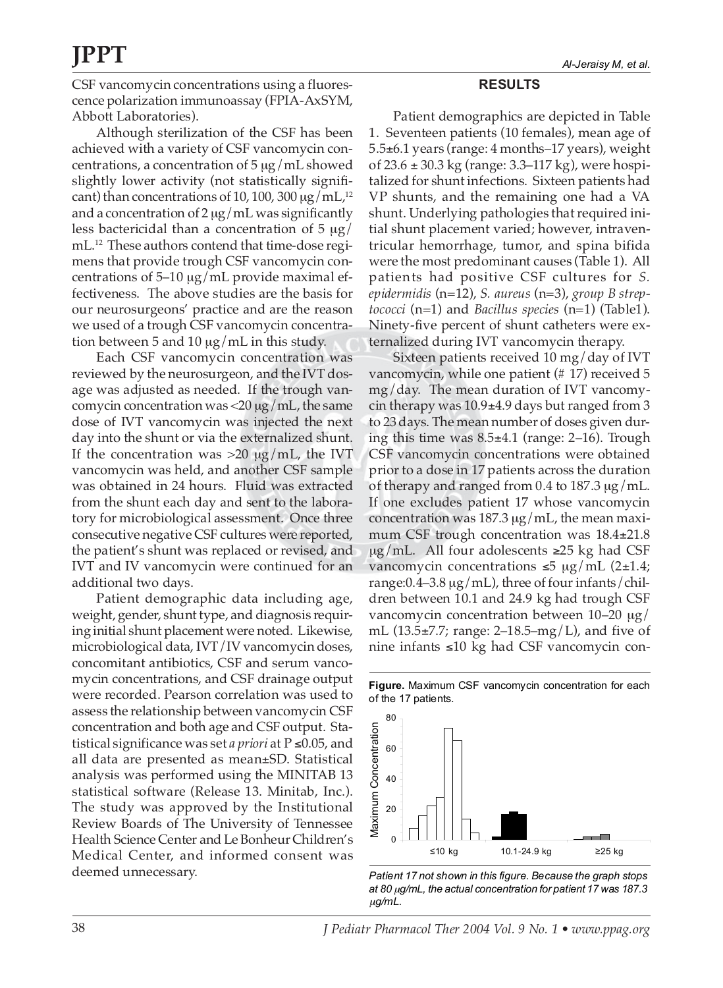CSF vancomycin concentrations using a fluorescence polarization immunoassay (FPIA-AxSYM, Abbott Laboratories).

Although sterilization of the CSF has been achieved with a variety of CSF vancomycin concentrations, a concentration of  $5 \mu g/mL$  showed slightly lower activity (not statistically significant) than concentrations of 10, 100, 300  $\mu$ g/mL,<sup>12</sup> and a concentration of  $2 \mu g / mL$  was significantly less bactericidal than a concentration of  $5 \mu g$ / mL.<sup>12</sup> These authors contend that time-dose regimens that provide trough CSF vancomycin concentrations of 5–10  $\mu$ g/mL provide maximal effectiveness. The above studies are the basis for our neurosurgeons' practice and are the reason we used of a trough CSF vancomycin concentration between 5 and 10 µg/mL in this study.

Each CSF vancomycin concentration was reviewed by the neurosurgeon, and the IVT dosage was adjusted as needed. If the trough vancomycin concentration was  $\langle 20 \mu g / m L$ , the same dose of IVT vancomycin was injected the next day into the shunt or via the externalized shunt. If the concentration was  $>20 \mu g/mL$ , the IVT vancomycin was held, and another CSF sample was obtained in 24 hours. Fluid was extracted from the shunt each day and sent to the laboratory for microbiological assessment. Once three consecutive negative CSF cultures were reported, the patient's shunt was replaced or revised, and IVT and IV vancomycin were continued for an additional two days.

Patient demographic data including age, weight, gender, shunt type, and diagnosis requiring initial shunt placement were noted. Likewise, microbiological data, IVT/IV vancomycin doses, concomitant antibiotics, CSF and serum vancomycin concentrations, and CSF drainage output were recorded. Pearson correlation was used to assess the relationship between vancomycin CSF concentration and both age and CSF output. Statistical significance was set *a priori* at P ≤0.05, and all data are presented as mean±SD. Statistical analysis was performed using the MINITAB 13 statistical software (Release 13. Minitab, Inc.). The study was approved by the Institutional Review Boards of The University of Tennessee Health Science Center and Le Bonheur Children's Medical Center, and informed consent was deemed unnecessary.

### **RESULTS**

Patient demographics are depicted in Table 1. Seventeen patients (10 females), mean age of 5.5±6.1 years (range: 4 months–17 years), weight of 23.6 ± 30.3 kg (range: 3.3–117 kg), were hospitalized for shunt infections. Sixteen patients had VP shunts, and the remaining one had a VA shunt. Underlying pathologies that required initial shunt placement varied; however, intraventricular hemorrhage, tumor, and spina bifida were the most predominant causes (Table 1). All patients had positive CSF cultures for *S. epidermidis* (n=12), *S. aureus* (n=3), *group B streptococci* (n=1) and *Bacillus species* (n=1) (Table1). Ninety-five percent of shunt catheters were externalized during IVT vancomycin therapy.

Sixteen patients received 10 mg/day of IVT vancomycin, while one patient (# 17) received 5 mg/day. The mean duration of IVT vancomycin therapy was 10.9±4.9 days but ranged from 3 to 23 days. The mean number of doses given during this time was 8.5±4.1 (range: 2–16). Trough CSF vancomycin concentrations were obtained prior to a dose in 17 patients across the duration of therapy and ranged from 0.4 to 187.3 µg/mL. If one excludes patient 17 whose vancomycin concentration was 187.3  $\mu$ g/mL, the mean maximum CSF trough concentration was 18.4±21.8 µg/mL. All four adolescents  $≥25$  kg had CSF vancomycin concentrations ≤5 µg/mL (2±1.4; range: $0.4-3.8 \mu g/mL$ , three of four infants/children between 10.1 and 24.9 kg had trough CSF vancomycin concentration between 10–20 µg/ mL (13.5±7.7; range: 2–18.5–mg/L), and five of nine infants ≤10 kg had CSF vancomycin con-



**Figure.** Maximum CSF vancomycin concentration for each of the 17 patients.

*Patient 17 not shown in this figure. Because the graph stops at 80* µ*g/mL, the actual concentration for patient 17 was 187.3* µg/mL.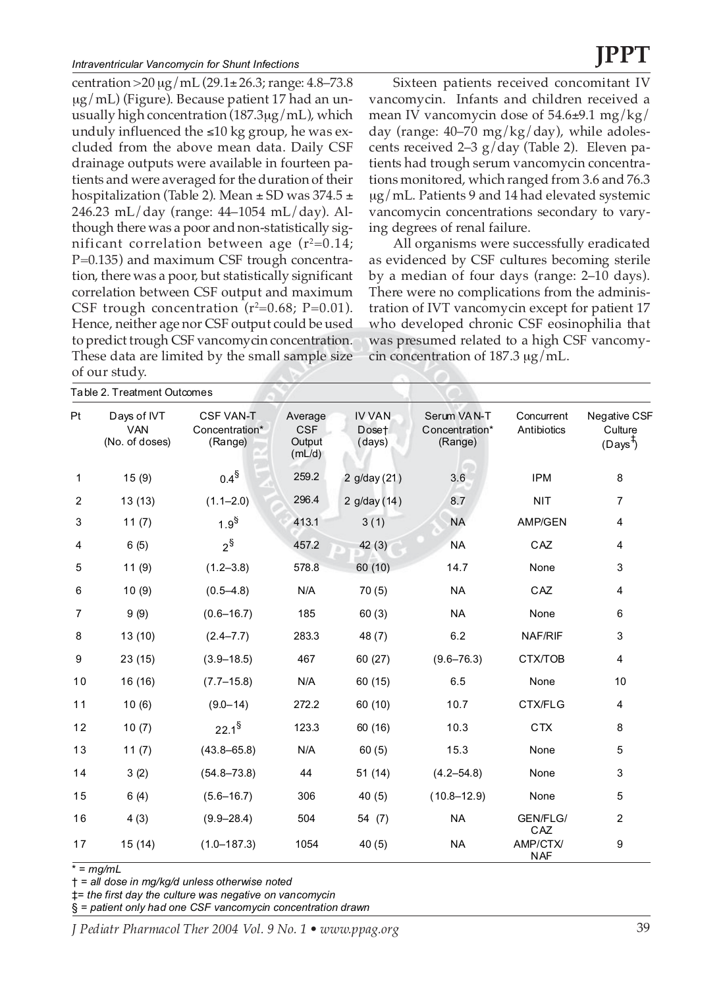centration >  $20 \mu g/mL$  (29.1 ± 26.3; range: 4.8–73.8 µg/mL) (Figure). Because patient 17 had an unusually high concentration (187.3µg/mL), which unduly influenced the ≤10 kg group, he was excluded from the above mean data. Daily CSF drainage outputs were available in fourteen patients and were averaged for the duration of their hospitalization (Table 2). Mean  $\pm$  SD was 374.5  $\pm$ 246.23 mL/day (range: 44–1054 mL/day). Although there was a poor and non-statistically significant correlation between age (r $^{2}{=}0.14;$ P=0.135) and maximum CSF trough concentration, there was a poor, but statistically significant correlation between CSF output and maximum CSF trough concentration (r<sup>2</sup>=0.68; P=0.01). Hence, neither age nor CSF output could be used to predict trough CSF vancomycin concentration. These data are limited by the small sample size of our study.

Table 2. Treatment Outcomes

Sixteen patients received concomitant IV vancomycin. Infants and children received a mean IV vancomycin dose of  $54.6\pm9.1$  mg/kg/ day (range:  $40-70$  mg/kg/day), while adolescents received 2–3 g/day (Table 2). Eleven patients had trough serum vancomycin concentrations monitored, which ranged from 3.6 and 76.3 µg/mL. Patients 9 and 14 had elevated systemic vancomycin concentrations secondary to varying degrees of renal failure.

All organisms were successfully eradicated as evidenced by CSF cultures becoming sterile by a median of four days (range: 2–10 days). There were no complications from the administration of IVT vancomycin except for patient 17 who developed chronic CSF eosinophilia that was presumed related to a high CSF vancomycin concentration of 187.3  $\mu$ g/mL.

|                | Table 2. Il califierit Outwrites            |                                               |                                           |                                  |                                          |                           |                                                        |
|----------------|---------------------------------------------|-----------------------------------------------|-------------------------------------------|----------------------------------|------------------------------------------|---------------------------|--------------------------------------------------------|
| Pt             | Days of IVT<br><b>VAN</b><br>(No. of doses) | <b>CSF VAN-T</b><br>Concentration*<br>(Range) | Average<br><b>CSF</b><br>Output<br>(mL/d) | <b>IV VAN</b><br>Doset<br>(days) | Serum VAN-T<br>Concentration*<br>(Range) | Concurrent<br>Antibiotics | <b>Negative CSF</b><br>Culture<br>(Days <sup>T</sup> ) |
| 1              | 15(9)                                       | $0.4^{\$}$                                    | 259.2                                     | 2 g/day (21)                     | 3.6                                      | <b>IPM</b>                | 8                                                      |
| 2              | 13(13)                                      | $(1.1 - 2.0)$                                 | 296.4                                     | 2 g/day (14)                     | 8.7                                      | <b>NIT</b>                | $\overline{7}$                                         |
| 3              | 11(7)                                       | $1.9^{\$}$                                    | 413.1                                     | 3(1)                             | <b>NA</b>                                | AMP/GEN                   | 4                                                      |
| 4              | 6(5)                                        | $2^{\S}$                                      | 457.2                                     | 42(3)                            | <b>NA</b>                                | CAZ                       | 4                                                      |
| 5              | 11(9)                                       | $(1.2 - 3.8)$                                 | 578.8                                     | 60(10)                           | 14.7                                     | None                      | 3                                                      |
| 6              | 10(9)                                       | $(0.5 - 4.8)$                                 | N/A                                       | 70(5)                            | <b>NA</b>                                | CAZ                       | 4                                                      |
| $\overline{7}$ | 9(9)                                        | $(0.6 - 16.7)$                                | 185                                       | 60(3)                            | <b>NA</b>                                | None                      | 6                                                      |
| 8              | 13(10)                                      | $(2.4 - 7.7)$                                 | 283.3                                     | 48(7)                            | 6.2                                      | NAF/RIF                   | 3                                                      |
| 9              | 23(15)                                      | $(3.9 - 18.5)$                                | 467                                       | 60 (27)                          | $(9.6 - 76.3)$                           | CTX/TOB                   | 4                                                      |
| 10             | 16 (16)                                     | $(7.7-15.8)$                                  | N/A                                       | 60 (15)                          | 6.5                                      | None                      | 10                                                     |
| 11             | 10(6)                                       | $(9.0 - 14)$                                  | 272.2                                     | 60 (10)                          | 10.7                                     | CTX/FLG                   | 4                                                      |
| 12             | 10(7)                                       | $22.1^{\$}$                                   | 123.3                                     | 60(16)                           | 10.3                                     | <b>CTX</b>                | 8                                                      |
| 13             | 11(7)                                       | $(43.8 - 65.8)$                               | N/A                                       | 60(5)                            | 15.3                                     | None                      | 5                                                      |
| 14             | 3(2)                                        | $(54.8 - 73.8)$                               | 44                                        | 51(14)                           | $(4.2 - 54.8)$                           | None                      | 3                                                      |
| 15             | 6(4)                                        | $(5.6 - 16.7)$                                | 306                                       | 40(5)                            | $(10.8 - 12.9)$                          | None                      | 5                                                      |
| 16             | 4(3)                                        | $(9.9 - 28.4)$                                | 504                                       | 54 (7)                           | <b>NA</b>                                | GEN/FLG/<br>CAZ           | $\overline{2}$                                         |
| 17             | 15(14)                                      | $(1.0 - 187.3)$                               | 1054                                      | 40(5)                            | <b>NA</b>                                | AMP/CTX/<br><b>NAF</b>    | 9                                                      |

 $* =$   $mq/mL$ 

† = *all dose in mg/kg/d unless otherwise noted*

‡= *the first day the culture was negative on vancomycin*

§ = *patient only had one CSF vancomycin concentration drawn*

*J Pediatr Pharmacol Ther 2004 Vol. 9 No. 1 • www.ppag.org* 39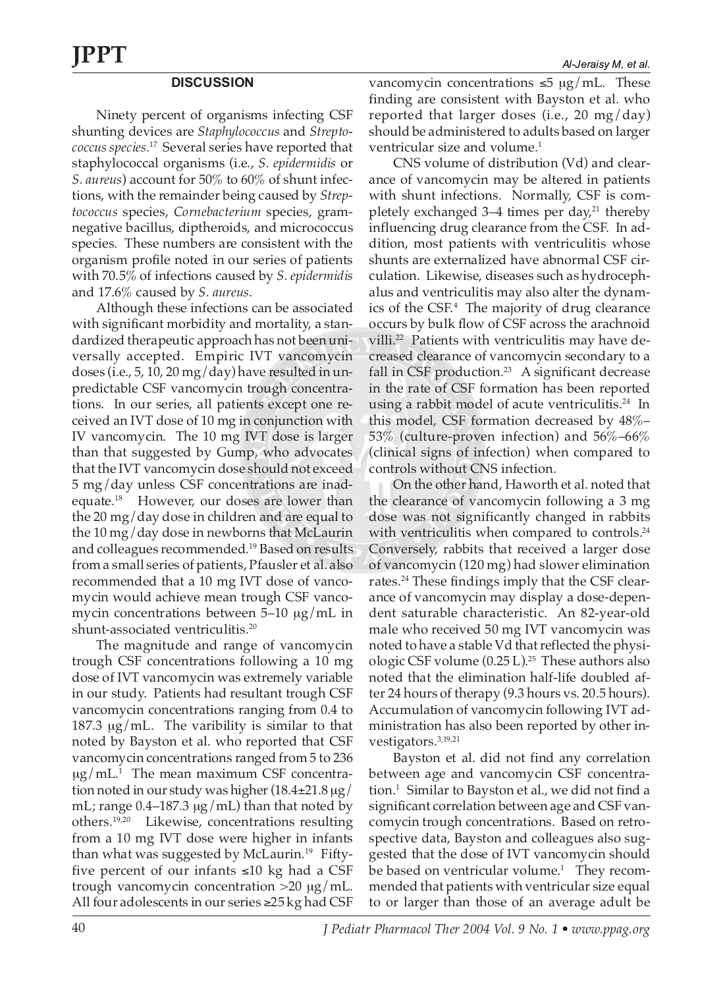### **DISCUSSION**

Ninety percent of organisms infecting CSF shunting devices are *Staphylococcus* and *Streptococcus species*. <sup>17</sup> Several series have reported that staphylococcal organisms (i.e., *S. epidermidis* or *S. aureus*) account for 50% to 60% of shunt infections, with the remainder being caused by *Streptococcus* species, *Cornebacterium* species, gramnegative bacillus, diptheroids, and micrococcus species. These numbers are consistent with the organism profile noted in our series of patients with 70.5% of infections caused by *S. epidermidis* and 17.6% caused by *S. aureus*.

Although these infections can be associated with significant morbidity and mortality, a standardized therapeutic approach has not been universally accepted.Empiric IVT vancomycin doses (i.e., 5, 10, 20 mg/day) have resulted in unpredictable CSF vancomycin trough concentrations. In our series, all patients except one received an IVT dose of 10 mg in conjunction with IV vancomycin. The 10 mg IVT dose is larger than that suggested by Gump, who advocates that the IVT vancomycin dose should not exceed 5 mg/day unless CSF concentrations are inadequate.18 However, our doses are lower than the 20 mg/day dose in children and are equal to the 10 mg/day dose in newborns that McLaurin and colleagues recommended*.* <sup>19</sup> Based on results from a small series of patients, Pfausler et al. also recommended that a 10 mg IVT dose of vancomycin would achieve mean trough CSF vancomycin concentrations between 5–10 µg/mL in shunt-associated ventriculitis.<sup>20</sup>

The magnitude and range of vancomycin trough CSF concentrations following a 10 mg dose of IVT vancomycin was extremely variable in our study. Patients had resultant trough CSF vancomycin concentrations ranging from 0.4 to 187.3 µg/mL. The varibility is similar to that noted by Bayston et al. who reported that CSF vancomycin concentrations ranged from 5 to 236  $\mu$ g/mL $^1$  The mean maximum CSF concentration noted in our study was higher  $(18.4\pm 21.8 \,\mu g)$ mL; range  $0.4$ -187.3  $\mu$ g/mL) than that noted by others.19,20 Likewise, concentrations resulting from a 10 mg IVT dose were higher in infants than what was suggested by McLaurin*.* 19 Fiftyfive percent of our infants ≤10 kg had a CSF trough vancomycin concentration  $>20 \mu g/mL$ . All four adolescents in our series ≥25 kg had CSF

vancomycin concentrations ≤5 µg/mL. These finding are consistent with Bayston et al. who reported that larger doses (i.e., 20 mg/day) should be administered to adults based on larger ventricular size and volume.<sup>1</sup>

CNS volume of distribution (Vd) and clearance of vancomycin may be altered in patients with shunt infections. Normally, CSF is completely exchanged  $3-4$  times per day,<sup>21</sup> thereby influencing drug clearance from the CSF. In addition, most patients with ventriculitis whose shunts are externalized have abnormal CSF circulation. Likewise, diseases such as hydrocephalus and ventriculitis may also alter the dynamics of the CSF.<sup>4</sup> The majority of drug clearance occurs by bulk flow of CSF across the arachnoid villi.<sup>22</sup> Patients with ventriculitis may have decreased clearance of vancomycin secondary to a fall in CSF production.<sup>23</sup> A significant decrease in the rate of CSF formation has been reported using a rabbit model of acute ventriculitis.<sup>24</sup> In this model, CSF formation decreased by 48%– 53% (culture-proven infection) and 56%–66% (clinical signs of infection) when compared to controls without CNS infection.

On the other hand, Haworth et al. noted that the clearance of vancomycin following a 3 mg dose was not significantly changed in rabbits with ventriculitis when compared to controls.<sup>24</sup> Conversely, rabbits that received a larger dose of vancomycin (120 mg) had slower elimination rates.<sup>24</sup> These findings imply that the CSF clearance of vancomycin may display a dose-dependent saturable characteristic. An 82-year-old male who received 50 mg IVT vancomycin was noted to have a stable Vd that reflected the physiologic CSF volume  $(0.25 \text{ L})$ .<sup>25</sup> These authors also noted that the elimination half-life doubled after 24 hours of therapy (9.3 hours vs. 20.5 hours). Accumulation of vancomycin following IVT administration has also been reported by other investigators.3,19,21

Bayston et al. did not find any correlation between age and vancomycin CSF concentration.1 Similar to Bayston et al., we did not find a significant correlation between age and CSF vancomycin trough concentrations. Based on retrospective data, Bayston and colleagues also suggested that the dose of IVT vancomycin should be based on ventricular volume.<sup>1</sup> They recommended that patients with ventricular size equal to or larger than those of an average adult be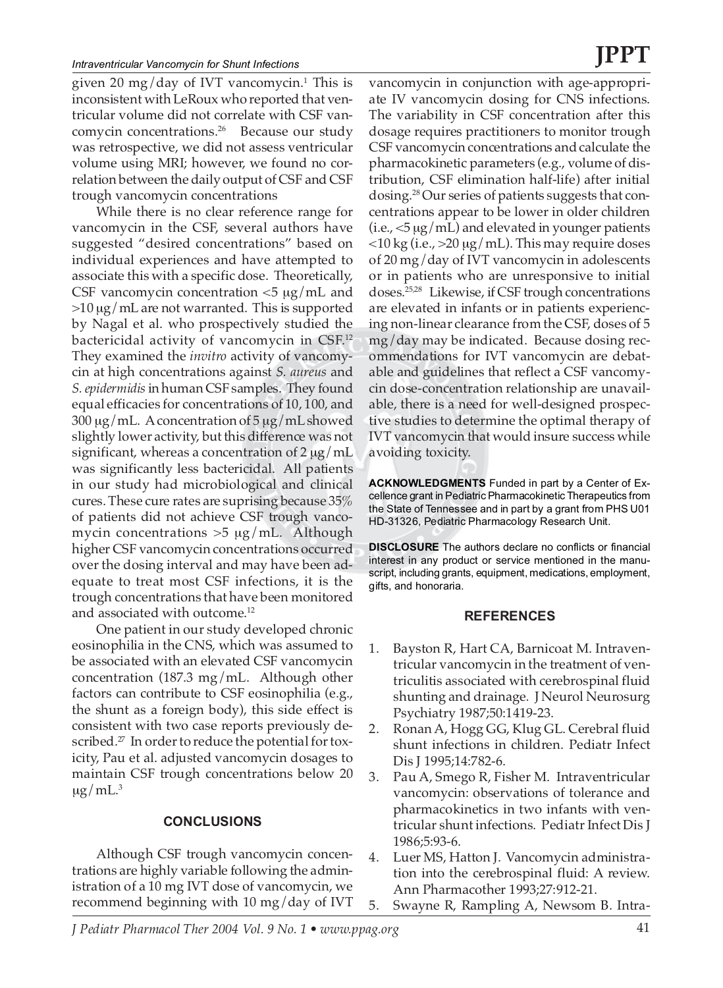#### *Intraventricular Vancomycin for Shunt Infections*

given 20 mg/day of IVT vancomycin.<sup>1</sup> This is inconsistent with LeRoux who reported that ventricular volume did not correlate with CSF vancomycin concentrations.<sup>26</sup> Because our study was retrospective, we did not assess ventricular volume using MRI; however, we found no correlation between the daily output of CSF and CSF trough vancomycin concentrations

While there is no clear reference range for vancomycin in the CSF, several authors have suggested "desired concentrations" based on individual experiences and have attempted to associate this with a specific dose. Theoretically, CSF vancomycin concentration  $\langle 5 \mu g / mL \rangle$  and  $>10 \mu g/mL$  are not warranted. This is supported by Nagal et al. who prospectively studied the bactericidal activity of vancomycin in CSF.12 They examined the *invitro* activity of vancomycin at high concentrations against *S. aureus* and *S. epidermidis* in human CSF samples. They found equal efficacies for concentrations of 10, 100, and 300 µg/mL. A concentration of 5 µg/mL showed slightly lower activity, but this difference was not significant, whereas a concentration of  $2 \mu g/mL$ was significantly less bactericidal. All patients in our study had microbiological and clinical cures. These cure rates are suprising because 35% of patients did not achieve CSF trough vancomycin concentrations  $>5 \mu g/mL$ . Although higher CSF vancomycin concentrations occurred over the dosing interval and may have been adequate to treat most CSF infections, it is the trough concentrations that have been monitored and associated with outcome.<sup>12</sup>

One patient in our study developed chronic eosinophilia in the CNS, which was assumed to be associated with an elevated CSF vancomycin concentration (187.3 mg/mL. Although other factors can contribute to CSF eosinophilia (e.g., the shunt as a foreign body), this side effect is consistent with two case reports previously described.<sup>27</sup> In order to reduce the potential for toxicity, Pau et al. adjusted vancomycin dosages to maintain CSF trough concentrations below 20  $\mu$ g/mL.<sup>3</sup>

### **CONCLUSIONS**

Although CSF trough vancomycin concentrations are highly variable following the administration of a 10 mg IVT dose of vancomycin, we recommend beginning with 10 mg/day of IVT

vancomycin in conjunction with age-appropriate IV vancomycin dosing for CNS infections. The variability in CSF concentration after this dosage requires practitioners to monitor trough CSF vancomycin concentrations and calculate the pharmacokinetic parameters (e.g., volume of distribution, CSF elimination half-life) after initial dosing.28 Our series of patients suggests that concentrations appear to be lower in older children  $(i.e., <5 \mu g/mL)$  and elevated in younger patients  $<$ 10 kg (i.e.,  $>$ 20 µg/mL). This may require doses of 20 mg/day of IVT vancomycin in adolescents or in patients who are unresponsive to initial doses.25,28 Likewise, if CSF trough concentrations are elevated in infants or in patients experiencing non-linear clearance from the CSF, doses of 5 mg/day may be indicated. Because dosing recommendations for IVT vancomycin are debatable and guidelines that reflect a CSF vancomycin dose-concentration relationship are unavailable, there is a need for well-designed prospective studies to determine the optimal therapy of IVT vancomycin that would insure success while avoiding toxicity.

**ACKNOWLEDGMENTS** Funded in part by a Center of Excellence grant in Pediatric Pharmacokinetic Therapeutics from the State of Tennessee and in part by a grant from PHS U01 HD-31326, Pediatric Pharmacology Research Unit.

**DISCLOSURE** The authors declare no conflicts or financial interest in any product or service mentioned in the manuscript, including grants, equipment, medications, employment, gifts, and honoraria.

### **REFERENCES**

- 1. Bayston R, Hart CA, Barnicoat M. Intraventricular vancomycin in the treatment of ventriculitis associated with cerebrospinal fluid shunting and drainage*.* J Neurol Neurosurg Psychiatry 1987;50:1419-23.
- 2. Ronan A, Hogg GG, Klug GL. Cerebral fluid shunt infections in children. Pediatr Infect Dis J 1995;14:782-6.
- 3. Pau A, Smego R, Fisher M. Intraventricular vancomycin: observations of tolerance and pharmacokinetics in two infants with ventricular shunt infections. Pediatr Infect Dis J 1986;5:93-6.
- 4. Luer MS, Hatton J. Vancomycin administration into the cerebrospinal fluid: A review. Ann Pharmacother 1993;27:912-21.
- 5. Swayne R, Rampling A, Newsom B. Intra-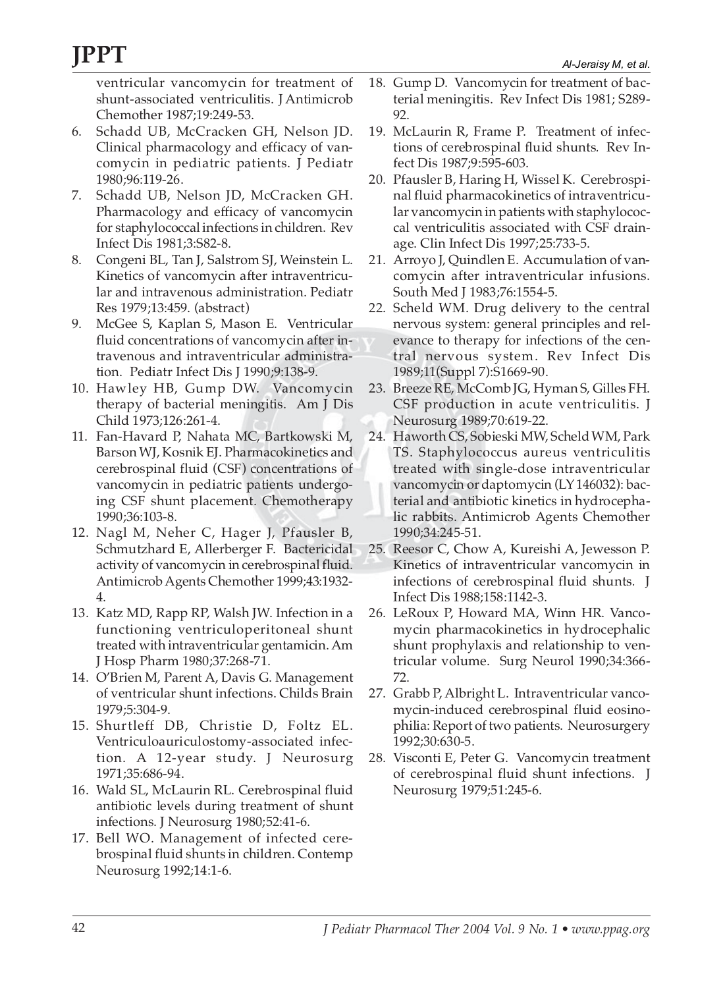ventricular vancomycin for treatment of shunt-associated ventriculitis. J Antimicrob Chemother 1987;19:249-53.

- 6. Schadd UB, McCracken GH, Nelson JD. Clinical pharmacology and efficacy of vancomycin in pediatric patients. J Pediatr 1980;96:119-26.
- 7. Schadd UB, Nelson JD, McCracken GH. Pharmacology and efficacy of vancomycin for staphylococcal infections in children. Rev Infect Dis 1981;3:S82-8.
- 8. Congeni BL, Tan J, Salstrom SJ, Weinstein L. Kinetics of vancomycin after intraventricular and intravenous administration. Pediatr Res 1979;13:459. (abstract)
- 9. McGee S, Kaplan S, Mason E. Ventricular fluid concentrations of vancomycin after intravenous and intraventricular administration. Pediatr Infect Dis J 1990;9:138-9.
- 10. Hawley HB, Gump DW. Vancomycin therapy of bacterial meningitis. Am J Dis Child 1973;126:261-4.
- 11. Fan-Havard P, Nahata MC, Bartkowski M, Barson WJ, Kosnik EJ. Pharmacokinetics and cerebrospinal fluid (CSF) concentrations of vancomycin in pediatric patients undergoing CSF shunt placement. Chemotherapy 1990;36:103-8.
- 12. Nagl M, Neher C, Hager J, Pfausler B, Schmutzhard E, Allerberger F. Bactericidal activity of vancomycin in cerebrospinal fluid. Antimicrob Agents Chemother 1999;43:1932- 4.
- 13. Katz MD, Rapp RP, Walsh JW. Infection in a functioning ventriculoperitoneal shunt treated with intraventricular gentamicin. Am J Hosp Pharm 1980;37:268-71.
- 14. O'Brien M, Parent A, Davis G. Management of ventricular shunt infections. Childs Brain 1979;5:304-9.
- 15. Shurtleff DB, Christie D, Foltz EL. Ventriculoauriculostomy-associated infection. A 12-year study. J Neurosurg 1971;35:686-94.
- 16. Wald SL, McLaurin RL. Cerebrospinal fluid antibiotic levels during treatment of shunt infections. J Neurosurg 1980;52:41-6.
- 17. Bell WO. Management of infected cerebrospinal fluid shunts in children. Contemp Neurosurg 1992;14:1-6.
- 18. Gump D. Vancomycin for treatment of bacterial meningitis. Rev Infect Dis 1981; S289- 92.
- 19. McLaurin R, Frame P. Treatment of infections of cerebrospinal fluid shunts*.* Rev Infect Dis 1987;9:595-603.
- 20. Pfausler B, Haring H, Wissel K. Cerebrospinal fluid pharmacokinetics of intraventricular vancomycin in patients with staphylococcal ventriculitis associated with CSF drainage. Clin Infect Dis 1997;25:733-5.
- 21. Arroyo J, Quindlen E. Accumulation of vancomycin after intraventricular infusions. South Med J 1983;76:1554-5.
- 22. Scheld WM. Drug delivery to the central nervous system: general principles and relevance to therapy for infections of the central nervous system. Rev Infect Dis 1989;11(Suppl 7):S1669-90.
- 23. Breeze RE, McComb JG, Hyman S, Gilles FH. CSF production in acute ventriculitis. J Neurosurg 1989;70:619-22.
- 24. Haworth CS, Sobieski MW, Scheld WM, Park TS. Staphylococcus aureus ventriculitis treated with single-dose intraventricular vancomycin or daptomycin (LY 146032): bacterial and antibiotic kinetics in hydrocephalic rabbits. Antimicrob Agents Chemother 1990;34:245-51.
- 25. Reesor C, Chow A, Kureishi A, Jewesson P. Kinetics of intraventricular vancomycin in infections of cerebrospinal fluid shunts*.* J Infect Dis 1988;158:1142-3.
- 26. LeRoux P, Howard MA, Winn HR. Vancomycin pharmacokinetics in hydrocephalic shunt prophylaxis and relationship to ventricular volume. Surg Neurol 1990;34:366- 72.
- 27. Grabb P, Albright L. Intraventricular vancomycin-induced cerebrospinal fluid eosinophilia: Report of two patients. Neurosurgery 1992;30:630-5.
- 28. Visconti E, Peter G. Vancomycin treatment of cerebrospinal fluid shunt infections. J Neurosurg 1979;51:245-6.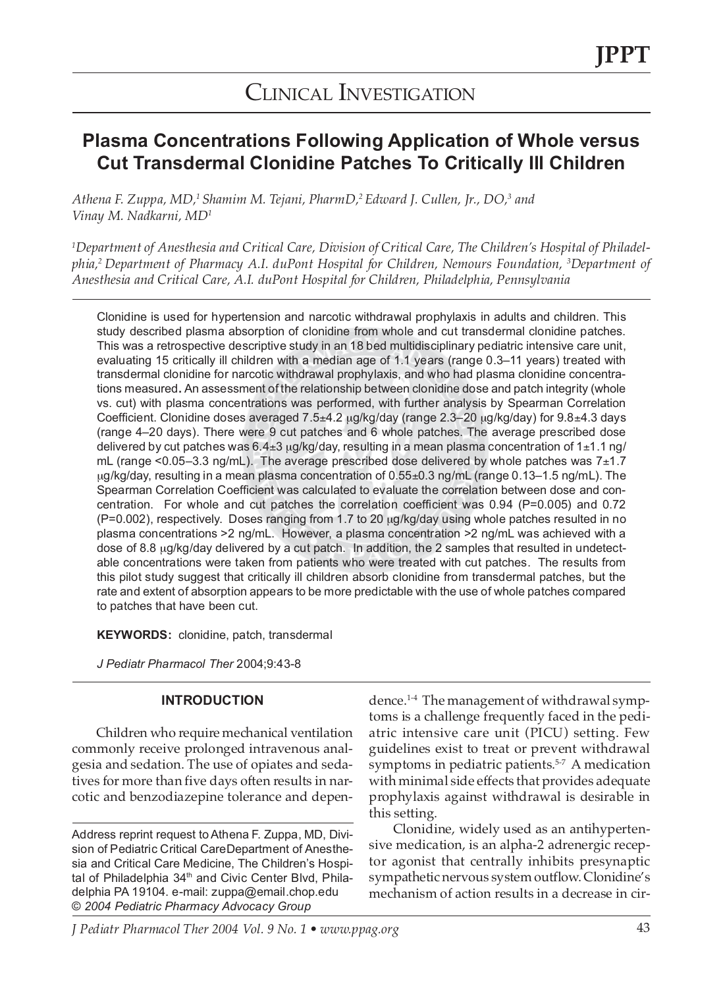## CLINICAL INVESTIGATION

### **Plasma Concentrations Following Application of Whole versus Cut Transdermal Clonidine Patches To Critically Ill Children**

*Athena F. Zuppa, MD,1 Shamim M. Tejani, PharmD,2 Edward J. Cullen, Jr., DO,3 and Vinay M. Nadkarni, MD1*

*1 Department of Anesthesia and Critical Care, Division of Critical Care, The Children's Hospital of Philadelphia,2 Department of Pharmacy A.I. duPont Hospital for Children, Nemours Foundation, 3 Department of Anesthesia and Critical Care, A.I. duPont Hospital for Children, Philadelphia, Pennsylvania*

Clonidine is used for hypertension and narcotic withdrawal prophylaxis in adults and children. This study described plasma absorption of clonidine from whole and cut transdermal clonidine patches. This was a retrospective descriptive study in an 18 bed multidisciplinary pediatric intensive care unit, evaluating 15 critically ill children with a median age of 1.1 years (range 0.3–11 years) treated with transdermal clonidine for narcotic withdrawal prophylaxis, and who had plasma clonidine concentrations measured**.** An assessment of the relationship between clonidine dose and patch integrity (whole vs. cut) with plasma concentrations was performed, with further analysis by Spearman Correlation Coefficient. Clonidine doses averaged 7.5±4.2 µg/kg/day (range 2.3–20 µg/kg/day) for 9.8±4.3 days (range 4–20 days). There were 9 cut patches and 6 whole patches. The average prescribed dose delivered by cut patches was  $6.4\pm 3$  µg/kg/day, resulting in a mean plasma concentration of 1 $\pm$ 1.1 ng/ mL (range <0.05-3.3 ng/mL). The average prescribed dose delivered by whole patches was 7±1.7 µg/kg/day, resulting in a mean plasma concentration of 0.55±0.3 ng/mL (range 0.13–1.5 ng/mL). The Spearman Correlation Coefficient was calculated to evaluate the correlation between dose and concentration. For whole and cut patches the correlation coefficient was 0.94 (P=0.005) and 0.72 (P=0.002), respectively. Doses ranging from 1.7 to 20 µg/kg/day using whole patches resulted in no plasma concentrations >2 ng/mL.However, a plasma concentration >2 ng/mL was achieved with a dose of 8.8 µg/kg/day delivered by a cut patch. In addition, the 2 samples that resulted in undetectable concentrations were taken from patients who were treated with cut patches. The results from this pilot study suggest that critically ill children absorb clonidine from transdermal patches, but the rate and extent of absorption appears to be more predictable with the use of whole patches compared to patches that have been cut.

**KEYWORDS:** clonidine, patch, transdermal

*J Pediatr Pharmacol Ther* 2004;9:43-8

### **INTRODUCTION**

Children who require mechanical ventilation commonly receive prolonged intravenous analgesia and sedation. The use of opiates and sedatives for more than five days often results in narcotic and benzodiazepine tolerance and depen-

Address reprint request to Athena F. Zuppa, MD, Division of Pediatric Critical CareDepartment of Anesthesia and Critical Care Medicine, The Children's Hospital of Philadelphia 34<sup>th</sup> and Civic Center Blvd, Philadelphia PA 19104. e-mail: zuppa@email.chop.edu © *2004 Pediatric Pharmacy Advocacy Group*

dence.1-4 The management of withdrawal symptoms is a challenge frequently faced in the pediatric intensive care unit (PICU) setting. Few guidelines exist to treat or prevent withdrawal symptoms in pediatric patients.<sup>5-7</sup> A medication with minimal side effects that provides adequate prophylaxis against withdrawal is desirable in this setting.

Clonidine, widely used as an antihypertensive medication, is an alpha-2 adrenergic receptor agonist that centrally inhibits presynaptic sympathetic nervous system outflow. Clonidine's mechanism of action results in a decrease in cir-

*J Pediatr Pharmacol Ther 2004 Vol. 9 No. 1 • www.ppag.org* 43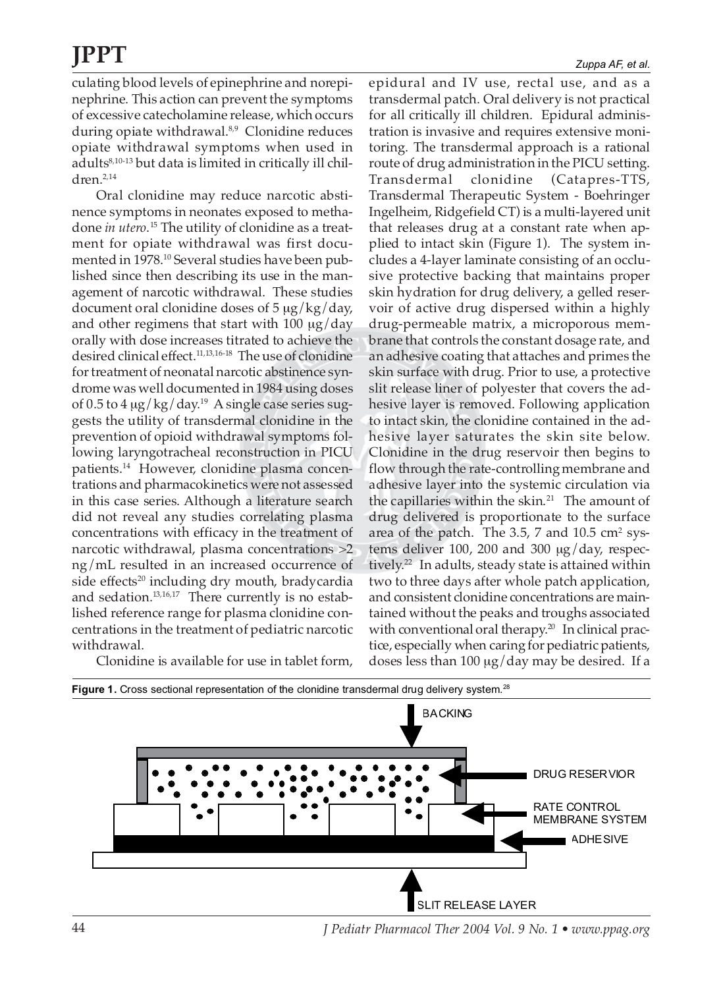culating blood levels of epinephrine and norepinephrine. This action can prevent the symptoms of excessive catecholamine release, which occurs during opiate withdrawal.<sup>8,9</sup> Clonidine reduces opiate withdrawal symptoms when used in adults<sup>8,10-13</sup> but data is limited in critically ill children.2,14

Oral clonidine may reduce narcotic abstinence symptoms in neonates exposed to methadone *in utero*. <sup>15</sup> The utility of clonidine as a treatment for opiate withdrawal was first documented in 1978.<sup>10</sup> Several studies have been published since then describing its use in the management of narcotic withdrawal. These studies document oral clonidine doses of  $5 \mu g/kg/day$ , and other regimens that start with  $100 \mu g/day$ orally with dose increases titrated to achieve the desired clinical effect.11,13,16-18 The use of clonidine for treatment of neonatal narcotic abstinence syndrome was well documented in 1984 using doses of 0.5 to  $4 \mu g/kg/day.^{19}$  A single case series suggests the utility of transdermal clonidine in the prevention of opioid withdrawal symptoms following laryngotracheal reconstruction in PICU patients.14 However, clonidine plasma concentrations and pharmacokinetics were not assessed in this case series. Although a literature search did not reveal any studies correlating plasma concentrations with efficacy in the treatment of narcotic withdrawal, plasma concentrations >2 ng/mL resulted in an increased occurrence of side effects<sup>20</sup> including dry mouth, bradycardia and sedation.<sup>13,16,17</sup> There currently is no established reference range for plasma clonidine concentrations in the treatment of pediatric narcotic withdrawal.

Clonidine is available for use in tablet form,

epidural and IV use, rectal use, and as a transdermal patch. Oral delivery is not practical for all critically ill children. Epidural administration is invasive and requires extensive monitoring. The transdermal approach is a rational route of drug administration in the PICU setting. Transdermal clonidine (Catapres-TTS, Transdermal Therapeutic System - Boehringer Ingelheim, Ridgefield CT) is a multi-layered unit that releases drug at a constant rate when applied to intact skin (Figure 1). The system includes a 4-layer laminate consisting of an occlusive protective backing that maintains proper skin hydration for drug delivery, a gelled reservoir of active drug dispersed within a highly drug-permeable matrix, a microporous membrane that controls the constant dosage rate, and an adhesive coating that attaches and primes the skin surface with drug. Prior to use, a protective slit release liner of polyester that covers the adhesive layer is removed. Following application to intact skin, the clonidine contained in the adhesive layer saturates the skin site below. Clonidine in the drug reservoir then begins to flow through the rate-controlling membrane and adhesive layer into the systemic circulation via the capillaries within the skin. $21$  The amount of drug delivered is proportionate to the surface area of the patch. The 3.5, 7 and  $10.5 \text{ cm}^2 \text{ sys}$ tems deliver 100, 200 and 300 µg/day, respectively.<sup>22</sup> In adults, steady state is attained within two to three days after whole patch application, and consistent clonidine concentrations are maintained without the peaks and troughs associated with conventional oral therapy.<sup>20</sup> In clinical practice, especially when caring for pediatric patients, doses less than 100 µg/day may be desired. If a



44 *J Pediatr Pharmacol Ther 2004 Vol. 9 No. 1 • www.ppag.org*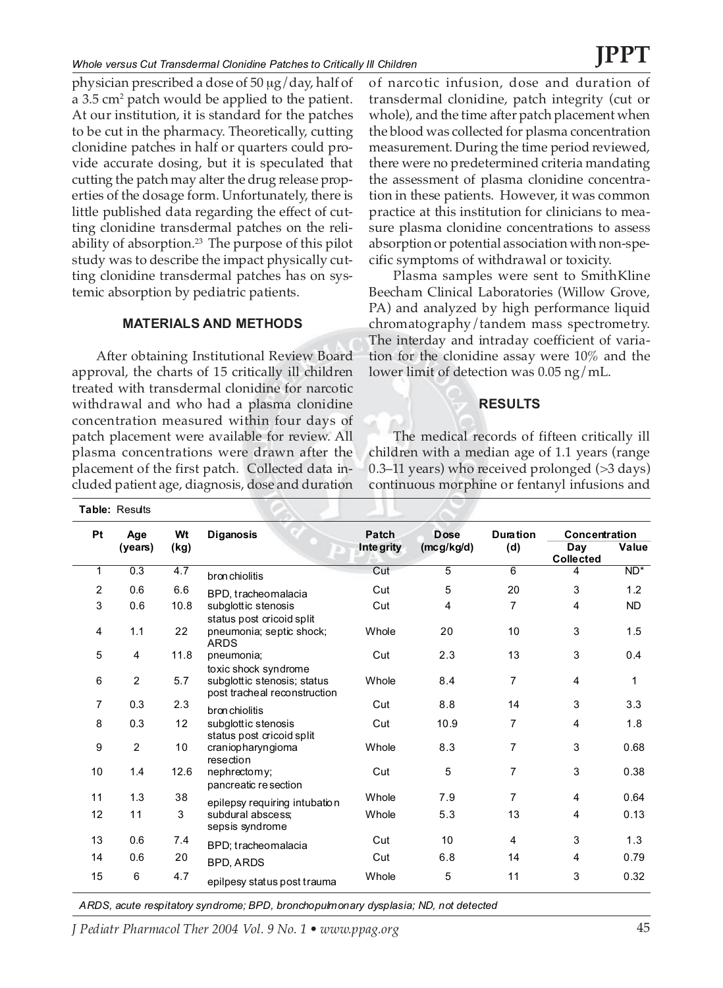physician prescribed a dose of 50 µg/day, half of a 3.5 cm² patch would be applied to the patient. At our institution, it is standard for the patches to be cut in the pharmacy. Theoretically, cutting clonidine patches in half or quarters could provide accurate dosing, but it is speculated that cutting the patch may alter the drug release properties of the dosage form. Unfortunately, there is little published data regarding the effect of cutting clonidine transdermal patches on the reliability of absorption.<sup>23</sup> The purpose of this pilot study was to describe the impact physically cutting clonidine transdermal patches has on systemic absorption by pediatric patients.

### **MATERIALS AND METHODS**

After obtaining Institutional Review Board approval, the charts of 15 critically ill children treated with transdermal clonidine for narcotic withdrawal and who had a plasma clonidine concentration measured within four days of patch placement were available for review. All plasma concentrations were drawn after the placement of the first patch. Collected data included patient age, diagnosis, dose and duration

**Table:** Results

of narcotic infusion, dose and duration of transdermal clonidine, patch integrity (cut or whole), and the time after patch placement when the blood was collected for plasma concentration measurement. During the time period reviewed, there were no predetermined criteria mandating the assessment of plasma clonidine concentration in these patients. However, it was common practice at this institution for clinicians to measure plasma clonidine concentrations to assess absorption or potential association with non-specific symptoms of withdrawal or toxicity.

Plasma samples were sent to SmithKline Beecham Clinical Laboratories (Willow Grove, PA) and analyzed by high performance liquid chromatography/tandem mass spectrometry. The interday and intraday coefficient of variation for the clonidine assay were 10% and the lower limit of detection was 0.05 ng/mL.

### **RESULTS**

The medical records of fifteen critically ill children with a median age of 1.1 years (range 0.3–11 years) who received prolonged (>3 days) continuous morphine or fentanyl infusions and

| Pt             | Age            | Wt   | <b>Diganosis</b>                                            | Patch      | <b>Dose</b> | <b>Duration</b> | Concentration           |           |
|----------------|----------------|------|-------------------------------------------------------------|------------|-------------|-----------------|-------------------------|-----------|
|                | (years)        | (kg) |                                                             | Inte grity | (mcg/kg/d)  | (d)             | Day<br><b>Collected</b> | Value     |
| 1              | 0.3            | 4.7  | bronchiolitis                                               | Cut        | 5           | $\overline{6}$  | 4                       | $ND^*$    |
| $\overline{2}$ | 0.6            | 6.6  | BPD, tracheomalacia                                         | Cut        | 5           | 20              | 3                       | 1.2       |
| 3              | 0.6            | 10.8 | subglottic stenosis<br>status post cricoid split            | Cut        | 4           | 7               | 4                       | <b>ND</b> |
| 4              | 1.1            | 22   | pneumonia; septic shock;<br><b>ARDS</b>                     | Whole      | 20          | 10              | 3                       | 1.5       |
| 5              | 4              | 11.8 | pneumonia;<br>toxic shock syndrome                          | Cut        | 2.3         | 13              | 3                       | 0.4       |
| 6              | 2              | 5.7  | subglottic stenosis; status<br>post tracheal reconstruction | Whole      | 8.4         | 7               | 4                       | 1         |
| 7              | 0.3            | 2.3  | bronchiolitis                                               | Cut        | 8.8         | 14              | 3                       | 3.3       |
| 8              | 0.3            | 12   | subglottic stenosis<br>status post cricoid split            | Cut        | 10.9        | 7               | $\overline{4}$          | 1.8       |
| 9              | $\overline{2}$ | 10   | craniopharyngioma<br>resection                              | Whole      | 8.3         | 7               | 3                       | 0.68      |
| 10             | 1.4            | 12.6 | nephrectomy;<br>pancreatic resection                        | Cut        | 5           | $\overline{7}$  | 3                       | 0.38      |
| 11             | 1.3            | 38   | epilepsy requiring intubation                               | Whole      | 7.9         | $\overline{7}$  | 4                       | 0.64      |
| 12             | 11             | 3    | subdural abscess:<br>sepsis syndrome                        | Whole      | 5.3         | 13              | 4                       | 0.13      |
| 13             | 0.6            | 7.4  | BPD; tracheomalacia                                         | Cut        | 10          | $\overline{4}$  | 3                       | 1.3       |
| 14             | 0.6            | 20   | <b>BPD, ARDS</b>                                            | Cut        | 6.8         | 14              | 4                       | 0.79      |
| 15             | 6              | 4.7  | epilpesy status post trauma                                 | Whole      | 5           | 11              | 3                       | 0.32      |

*ARDS, acute respitatory syndrome; BPD, bronchopulmonary dysplasia; ND, not detected*

*J Pediatr Pharmacol Ther 2004 Vol. 9 No. 1 • www.ppag.org* 45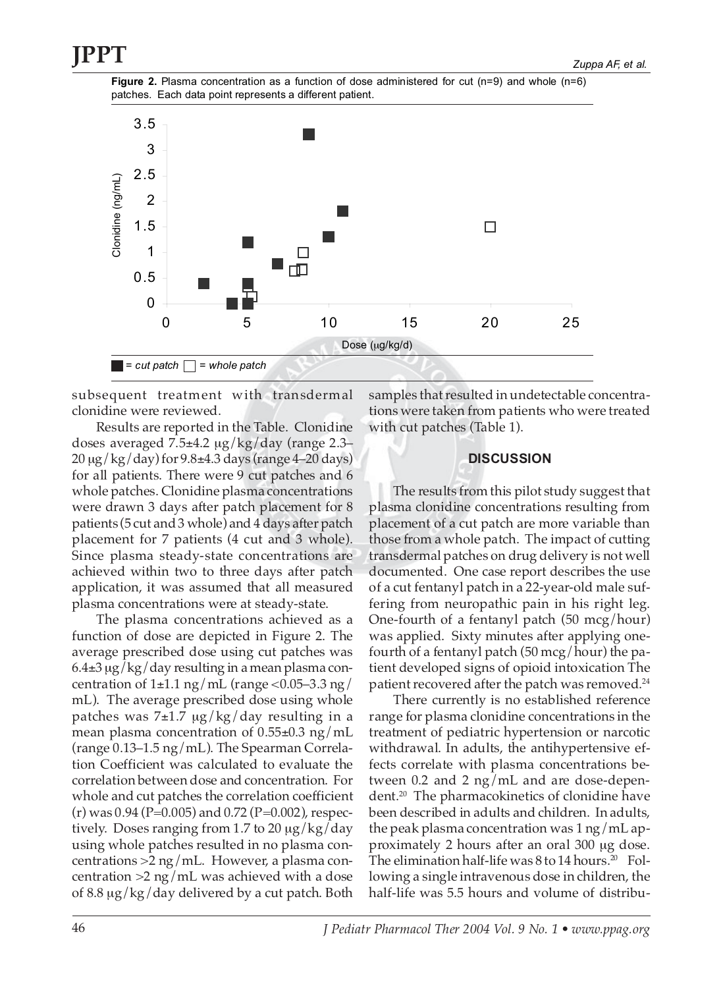



subsequent treatment with transdermal clonidine were reviewed.

Results are reported in the Table. Clonidine doses averaged 7.5±4.2 µg/kg/day (range 2.3– 20 µg/kg/day) for 9.8±4.3 days (range 4–20 days) for all patients. There were 9 cut patches and 6 whole patches. Clonidine plasma concentrations were drawn 3 days after patch placement for 8 patients (5 cut and 3 whole) and 4 days after patch placement for 7 patients (4 cut and 3 whole). Since plasma steady-state concentrations are achieved within two to three days after patch application, it was assumed that all measured plasma concentrations were at steady-state.

The plasma concentrations achieved as a function of dose are depicted in Figure 2. The average prescribed dose using cut patches was 6.4±3 µg/kg/day resulting in a mean plasma concentration of  $1\pm1.1$  ng/mL (range <0.05–3.3 ng/ mL). The average prescribed dose using whole patches was  $7\pm1.7$   $\mu$ g/kg/day resulting in a mean plasma concentration of  $0.55\pm0.3$  ng/mL (range 0.13–1.5 ng/mL). The Spearman Correlation Coefficient was calculated to evaluate the correlation between dose and concentration. For whole and cut patches the correlation coefficient  $(r)$  was 0.94 (P=0.005) and 0.72 (P=0.002), respectively. Doses ranging from 1.7 to 20 µg/kg/day using whole patches resulted in no plasma concentrations >2 ng/mL.However, a plasma concentration >2 ng/mL was achieved with a dose of 8.8 µg/kg/day delivered by a cut patch. Both samples that resulted in undetectable concentrations were taken from patients who were treated with cut patches (Table 1).

### **DISCUSSION**

The results from this pilot study suggest that plasma clonidine concentrations resulting from placement of a cut patch are more variable than those from a whole patch. The impact of cutting transdermal patches on drug delivery is not well documented. One case report describes the use of a cut fentanyl patch in a 22-year-old male suffering from neuropathic pain in his right leg. One-fourth of a fentanyl patch (50 mcg/hour) was applied. Sixty minutes after applying onefourth of a fentanyl patch (50 mcg/hour) the patient developed signs of opioid intoxication The patient recovered after the patch was removed.<sup>24</sup>

There currently is no established reference range for plasma clonidine concentrations in the treatment of pediatric hypertension or narcotic withdrawal. In adults, the antihypertensive effects correlate with plasma concentrations between 0.2 and 2 ng/mL and are dose-dependent.20 The pharmacokinetics of clonidine have been described in adults and children. In adults, the peak plasma concentration was 1 ng/mL approximately 2 hours after an oral 300 µg dose. The elimination half-life was  $8$  to  $14$  hours.<sup>20</sup> Following a single intravenous dose in children, the half-life was 5.5 hours and volume of distribu-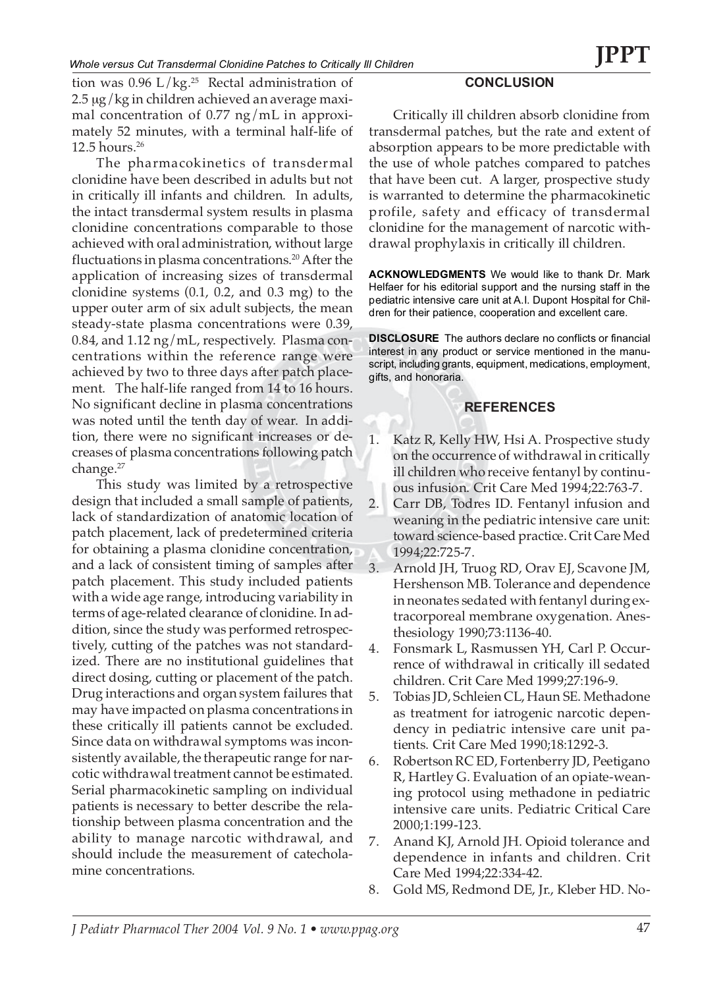tion was  $0.96$  L/kg.<sup>25</sup> Rectal administration of 2.5 µg/kg in children achieved an average maximal concentration of 0.77 ng/mL in approximately 52 minutes, with a terminal half-life of  $12.5$  hours.<sup>26</sup>

The pharmacokinetics of transdermal clonidine have been described in adults but not in critically ill infants and children. In adults, the intact transdermal system results in plasma clonidine concentrations comparable to those achieved with oral administration, without large fluctuations in plasma concentrations.<sup>20</sup> After the application of increasing sizes of transdermal clonidine systems (0.1, 0.2, and 0.3 mg) to the upper outer arm of six adult subjects, the mean steady-state plasma concentrations were 0.39, 0.84, and 1.12 ng/mL, respectively. Plasma concentrations within the reference range were achieved by two to three days after patch placement. The half-life ranged from 14 to 16 hours. No significant decline in plasma concentrations was noted until the tenth day of wear. In addition, there were no significant increases or decreases of plasma concentrations following patch change.<sup>27</sup>

This study was limited by a retrospective design that included a small sample of patients, lack of standardization of anatomic location of patch placement, lack of predetermined criteria for obtaining a plasma clonidine concentration, and a lack of consistent timing of samples after patch placement. This study included patients with a wide age range, introducing variability in terms of age-related clearance of clonidine. In addition, since the study was performed retrospectively, cutting of the patches was not standardized. There are no institutional guidelines that direct dosing, cutting or placement of the patch. Drug interactions and organ system failures that may have impacted on plasma concentrations in these critically ill patients cannot be excluded. Since data on withdrawal symptoms was inconsistently available, the therapeutic range for narcotic withdrawal treatment cannot be estimated. Serial pharmacokinetic sampling on individual patients is necessary to better describe the relationship between plasma concentration and the ability to manage narcotic withdrawal, and should include the measurement of catecholamine concentrations.

### **CONCLUSION**

Critically ill children absorb clonidine from transdermal patches, but the rate and extent of absorption appears to be more predictable with the use of whole patches compared to patches that have been cut. A larger, prospective study is warranted to determine the pharmacokinetic profile, safety and efficacy of transdermal clonidine for the management of narcotic withdrawal prophylaxis in critically ill children.

**ACKNOWLEDGMENTS** We would like to thank Dr. Mark Helfaer for his editorial support and the nursing staff in the pediatric intensive care unit at A.I. Dupont Hospital for Children for their patience, cooperation and excellent care.

**DISCLOSURE** The authors declare no conflicts or financial interest in any product or service mentioned in the manuscript, including grants, equipment, medications, employment, gifts, and honoraria.

### **REFERENCES**

- 1. Katz R, Kelly HW, Hsi A. Prospective study on the occurrence of withdrawal in critically ill children who receive fentanyl by continuous infusion. Crit Care Med 1994;22:763-7.
- 2. Carr DB, Todres ID. Fentanyl infusion and weaning in the pediatric intensive care unit: toward science-based practice. Crit Care Med 1994;22:725-7.
- 3. Arnold JH, Truog RD, Orav EJ, Scavone JM, Hershenson MB. Tolerance and dependence in neonates sedated with fentanyl during extracorporeal membrane oxygenation. Anesthesiology 1990;73:1136-40.
- 4. Fonsmark L, Rasmussen YH, Carl P. Occurrence of withdrawal in critically ill sedated children. Crit Care Med 1999;27:196-9.
- 5. Tobias JD, Schleien CL, Haun SE. Methadone as treatment for iatrogenic narcotic dependency in pediatric intensive care unit patients. Crit Care Med 1990;18:1292-3.
- 6. Robertson RC ED, Fortenberry JD, Peetigano R, Hartley G. Evaluation of an opiate-weaning protocol using methadone in pediatric intensive care units. Pediatric Critical Care 2000;1:199-123.
- 7. Anand KJ, Arnold JH. Opioid tolerance and dependence in infants and children. Crit Care Med 1994;22:334-42.
- 8. Gold MS, Redmond DE, Jr., Kleber HD. No-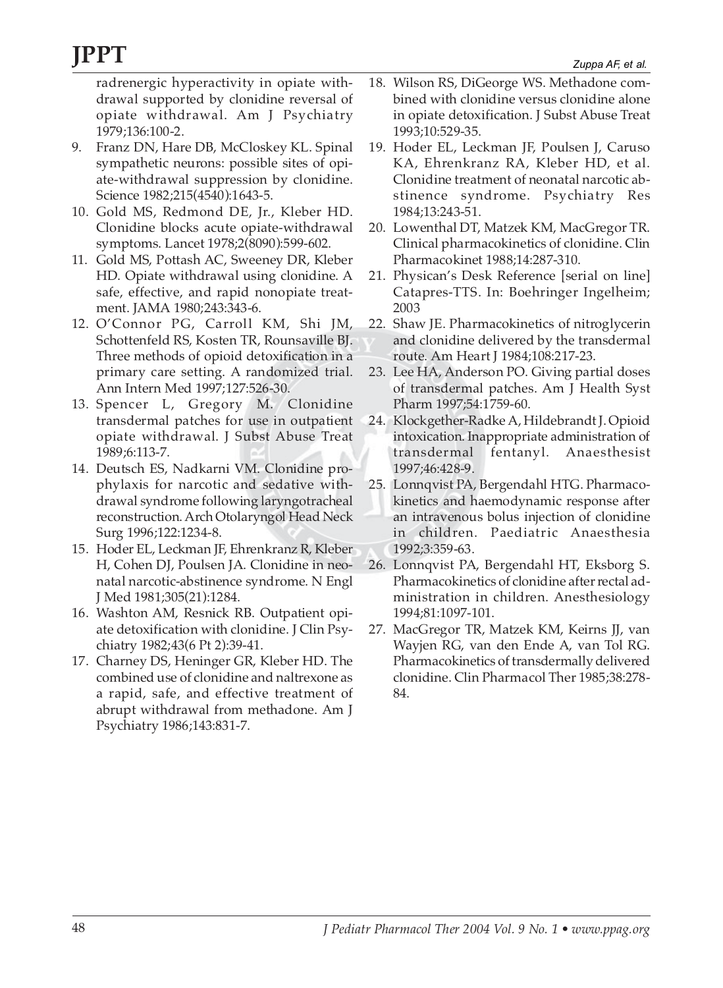radrenergic hyperactivity in opiate withdrawal supported by clonidine reversal of opiate withdrawal. Am J Psychiatry 1979;136:100-2.

- 9. Franz DN, Hare DB, McCloskey KL. Spinal sympathetic neurons: possible sites of opiate-withdrawal suppression by clonidine. Science 1982;215(4540):1643-5.
- 10. Gold MS, Redmond DE, Jr., Kleber HD. Clonidine blocks acute opiate-withdrawal symptoms. Lancet 1978;2(8090):599-602.
- 11. Gold MS, Pottash AC, Sweeney DR, Kleber HD. Opiate withdrawal using clonidine. A safe, effective, and rapid nonopiate treatment. JAMA 1980;243:343-6.
- 12. O'Connor PG, Carroll KM, Shi JM, Schottenfeld RS, Kosten TR, Rounsaville BJ. Three methods of opioid detoxification in a primary care setting. A randomized trial. Ann Intern Med 1997;127:526-30.
- 13. Spencer L, Gregory M. Clonidine transdermal patches for use in outpatient opiate withdrawal. J Subst Abuse Treat 1989;6:113-7.
- 14. Deutsch ES, Nadkarni VM. Clonidine prophylaxis for narcotic and sedative withdrawal syndrome following laryngotracheal reconstruction. Arch Otolaryngol Head Neck Surg 1996;122:1234-8.
- 15. Hoder EL, Leckman JF, Ehrenkranz R, Kleber H, Cohen DJ, Poulsen JA. Clonidine in neonatal narcotic-abstinence syndrome. N Engl J Med 1981;305(21):1284.
- 16. Washton AM, Resnick RB. Outpatient opiate detoxification with clonidine. J Clin Psychiatry 1982;43(6 Pt 2):39-41.
- 17. Charney DS, Heninger GR, Kleber HD. The combined use of clonidine and naltrexone as a rapid, safe, and effective treatment of abrupt withdrawal from methadone. Am J Psychiatry 1986;143:831-7.
- 18. Wilson RS, DiGeorge WS. Methadone combined with clonidine versus clonidine alone in opiate detoxification. J Subst Abuse Treat 1993;10:529-35.
- 19. Hoder EL, Leckman JF, Poulsen J, Caruso KA, Ehrenkranz RA, Kleber HD, et al. Clonidine treatment of neonatal narcotic abstinence syndrome. Psychiatry Res 1984;13:243-51.
- 20. Lowenthal DT, Matzek KM, MacGregor TR. Clinical pharmacokinetics of clonidine. Clin Pharmacokinet 1988;14:287-310.
- 21. Physican's Desk Reference [serial on line] Catapres-TTS. In: Boehringer Ingelheim; 2003
- 22. Shaw JE. Pharmacokinetics of nitroglycerin and clonidine delivered by the transdermal route. Am Heart J 1984;108:217-23.
- 23. Lee HA, Anderson PO. Giving partial doses of transdermal patches. Am J Health Syst Pharm 1997;54:1759-60.
- 24. Klockgether-Radke A, Hildebrandt J. Opioid intoxication. Inappropriate administration of transdermal fentanyl. Anaesthesist 1997;46:428-9.
- 25. Lonnqvist PA, Bergendahl HTG. Pharmacokinetics and haemodynamic response after an intravenous bolus injection of clonidine in children. Paediatric Anaesthesia 1992;3:359-63.
- 26. Lonnqvist PA, Bergendahl HT, Eksborg S. Pharmacokinetics of clonidine after rectal administration in children. Anesthesiology 1994;81:1097-101.
- 27. MacGregor TR, Matzek KM, Keirns JJ, van Wayjen RG, van den Ende A, van Tol RG. Pharmacokinetics of transdermally delivered clonidine. Clin Pharmacol Ther 1985;38:278- 84.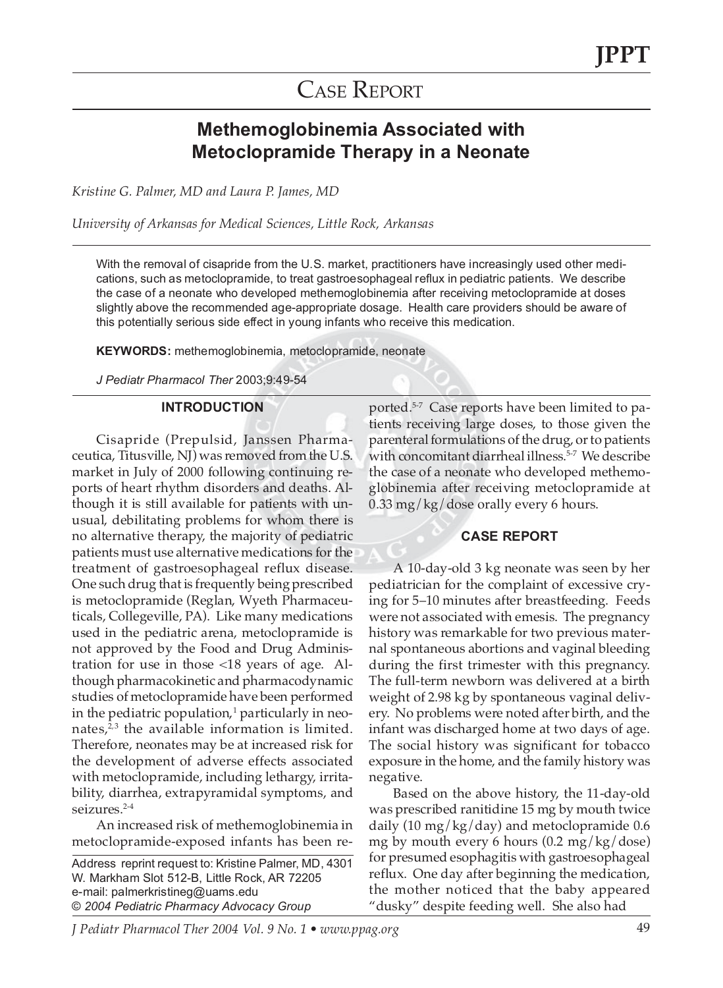## CASE REPORT

### **Methemoglobinemia Associated with Metoclopramide Therapy in a Neonate**

*Kristine G. Palmer, MD and Laura P. James, MD*

*University of Arkansas for Medical Sciences, Little Rock, Arkansas*

With the removal of cisapride from the U.S. market, practitioners have increasingly used other medications, such as metoclopramide, to treat gastroesophageal reflux in pediatric patients. We describe the case of a neonate who developed methemoglobinemia after receiving metoclopramide at doses slightly above the recommended age-appropriate dosage. Health care providers should be aware of this potentially serious side effect in young infants who receive this medication.

**KEYWORDS:** methemoglobinemia, metoclopramide, neonate

*J Pediatr Pharmacol Ther* 2003;9:49-54

#### **INTRODUCTION**

Cisapride (Prepulsid, Janssen Pharmaceutica, Titusville, NJ) was removed from the U.S. market in July of 2000 following continuing reports of heart rhythm disorders and deaths. Although it is still available for patients with unusual, debilitating problems for whom there is no alternative therapy, the majority of pediatric patients must use alternative medications for the treatment of gastroesophageal reflux disease. One such drug that is frequently being prescribed is metoclopramide (Reglan, Wyeth Pharmaceuticals, Collegeville, PA). Like many medications used in the pediatric arena, metoclopramide is not approved by the Food and Drug Administration for use in those <18 years of age. Although pharmacokinetic and pharmacodynamic studies of metoclopramide have been performed in the pediatric population, $1$  particularly in neonates, $2,3$  the available information is limited. Therefore, neonates may be at increased risk for the development of adverse effects associated with metoclopramide, including lethargy, irritability, diarrhea, extrapyramidal symptoms, and seizures.<sup>2-4</sup>

An increased risk of methemoglobinemia in metoclopramide-exposed infants has been re-

Address reprint request to: Kristine Palmer, MD, 4301 W. Markham Slot 512-B, Little Rock, AR 72205 e-mail: palmerkristineg@uams.edu © *2004 Pediatric Pharmacy Advocacy Group*

ported.<sup>5-7</sup> Case reports have been limited to patients receiving large doses, to those given the parenteral formulations of the drug, or to patients with concomitant diarrheal illness.<sup>5-7</sup> We describe the case of a neonate who developed methemoglobinemia after receiving metoclopramide at 0.33 mg/kg/dose orally every 6 hours.

### **CASE REPORT**

A 10-day-old 3 kg neonate was seen by her pediatrician for the complaint of excessive crying for 5–10 minutes after breastfeeding. Feeds were not associated with emesis. The pregnancy history was remarkable for two previous maternal spontaneous abortions and vaginal bleeding during the first trimester with this pregnancy. The full-term newborn was delivered at a birth weight of 2.98 kg by spontaneous vaginal delivery. No problems were noted after birth, and the infant was discharged home at two days of age. The social history was significant for tobacco exposure in the home, and the family history was negative.

Based on the above history, the 11-day-old was prescribed ranitidine 15 mg by mouth twice daily (10 mg/kg/day) and metoclopramide 0.6 mg by mouth every 6 hours (0.2 mg/kg/dose) for presumed esophagitis with gastroesophageal reflux. One day after beginning the medication, the mother noticed that the baby appeared "dusky" despite feeding well. She also had

*J Pediatr Pharmacol Ther 2004 Vol. 9 No. 1 • www.ppag.org* 49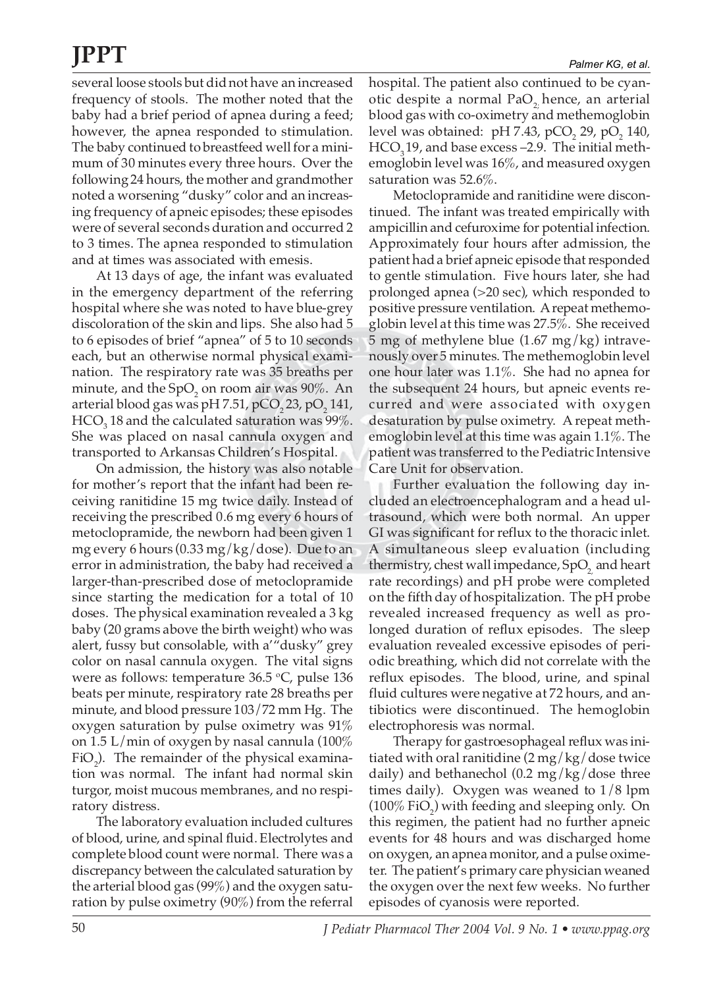several loose stools but did not have an increased frequency of stools. The mother noted that the baby had a brief period of apnea during a feed; however, the apnea responded to stimulation. The baby continued to breastfeed well for a minimum of 30 minutes every three hours. Over the following 24 hours, the mother and grandmother noted a worsening "dusky" color and an increasing frequency of apneic episodes; these episodes were of several seconds duration and occurred 2 to 3 times. The apnea responded to stimulation and at times was associated with emesis.

At 13 days of age, the infant was evaluated in the emergency department of the referring hospital where she was noted to have blue-grey discoloration of the skin and lips. She also had 5 to 6 episodes of brief "apnea" of 5 to 10 seconds each, but an otherwise normal physical examination. The respiratory rate was 35 breaths per minute, and the Sp $\mathrm{O}_2$  on room air was 90%. An arterial blood gas was  $pH 7.51$ ,  $pCO$ ,  $23$ ,  $pO$ ,  $141$ ,  $HCO<sub>3</sub>$  18 and the calculated saturation was 99%. She was placed on nasal cannula oxygen and transported to Arkansas Children's Hospital.

On admission, the history was also notable for mother's report that the infant had been receiving ranitidine 15 mg twice daily. Instead of receiving the prescribed 0.6 mg every 6 hours of metoclopramide, the newborn had been given 1 mg every 6 hours (0.33 mg/kg/dose). Due to an error in administration, the baby had received a larger-than-prescribed dose of metoclopramide since starting the medication for a total of 10 doses. The physical examination revealed a 3 kg baby (20 grams above the birth weight) who was alert, fussy but consolable, with a'"dusky" grey color on nasal cannula oxygen. The vital signs were as follows: temperature  $36.5$  °C, pulse  $136$ beats per minute, respiratory rate 28 breaths per minute, and blood pressure 103/72 mm Hg. The oxygen saturation by pulse oximetry was 91% on 1.5 L/min of oxygen by nasal cannula (100%  $FiO<sub>2</sub>$ ). The remainder of the physical examination was normal. The infant had normal skin turgor, moist mucous membranes, and no respiratory distress.

The laboratory evaluation included cultures of blood, urine, and spinal fluid. Electrolytes and complete blood count were normal. There was a discrepancy between the calculated saturation by the arterial blood gas (99%) and the oxygen saturation by pulse oximetry (90%) from the referral hospital. The patient also continued to be cyanotic despite a normal Pa $O<sub>2</sub>$  hence, an arterial blood gas with co-oximetry and methemoglobin level was obtained:  $pH$  7.43,  $pCO$ , 29,  $pO$ , 140,  $HCO<sub>3</sub>19$ , and base excess –2.9. The initial methemoglobin level was 16%, and measured oxygen saturation was 52.6%.

Metoclopramide and ranitidine were discontinued. The infant was treated empirically with ampicillin and cefuroxime for potential infection. Approximately four hours after admission, the patient had a brief apneic episode that responded to gentle stimulation. Five hours later, she had prolonged apnea (>20 sec), which responded to positive pressure ventilation. A repeat methemoglobin level at this time was 27.5%. She received 5 mg of methylene blue (1.67 mg/kg) intravenously over 5 minutes. The methemoglobin level one hour later was 1.1%. She had no apnea for the subsequent 24 hours, but apneic events recurred and were associated with oxygen desaturation by pulse oximetry. A repeat methemoglobin level at this time was again 1.1%. The patient was transferred to the Pediatric Intensive Care Unit for observation.

Further evaluation the following day included an electroencephalogram and a head ultrasound, which were both normal. An upper GI was significant for reflux to the thoracic inlet. A simultaneous sleep evaluation (including thermistry, chest wall impedance,  $SpO<sub>2</sub>$  and heart rate recordings) and pH probe were completed on the fifth day of hospitalization. The pH probe revealed increased frequency as well as prolonged duration of reflux episodes. The sleep evaluation revealed excessive episodes of periodic breathing, which did not correlate with the reflux episodes. The blood, urine, and spinal fluid cultures were negative at 72 hours, and antibiotics were discontinued. The hemoglobin electrophoresis was normal.

Therapy for gastroesophageal reflux was initiated with oral ranitidine (2 mg/kg/dose twice daily) and bethanechol (0.2 mg/kg/dose three times daily). Oxygen was weaned to 1/8 lpm  $(100\%$  FiO<sub>2</sub>) with feeding and sleeping only. On this regimen, the patient had no further apneic events for 48 hours and was discharged home on oxygen, an apnea monitor, and a pulse oximeter. The patient's primary care physician weaned the oxygen over the next few weeks. No further episodes of cyanosis were reported.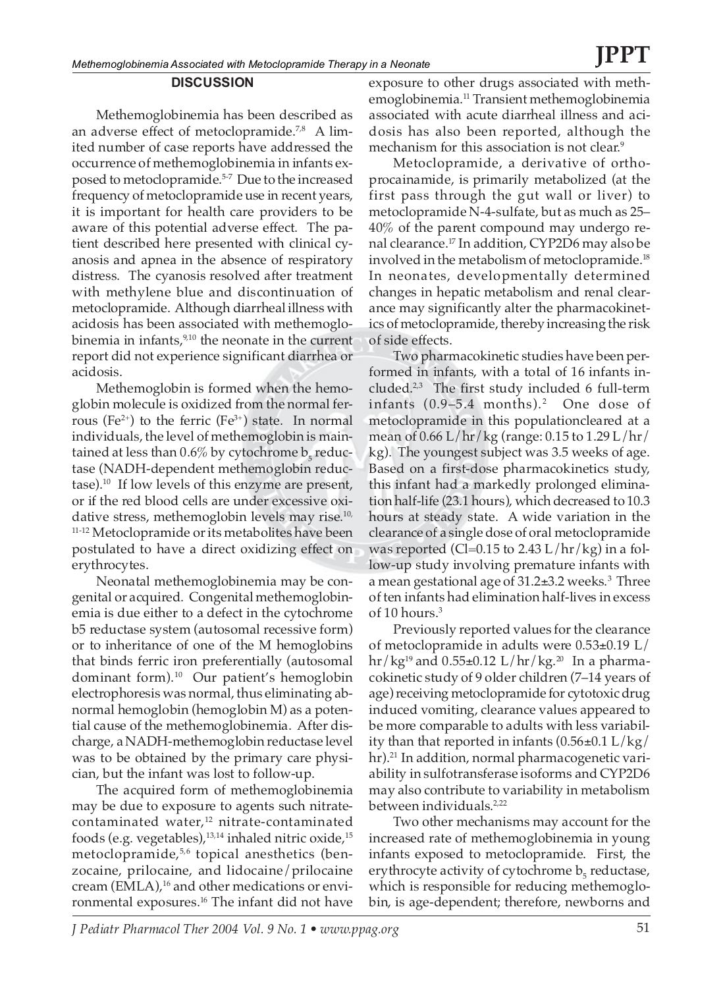### Methemoglobinemia has been described as an adverse effect of metoclopramide.<sup>7,8</sup> A limited number of case reports have addressed the occurrence of methemoglobinemia in infants exposed to metoclopramide.<sup>5-7</sup> Due to the increased frequency of metoclopramide use in recent years, it is important for health care providers to be aware of this potential adverse effect. The patient described here presented with clinical cyanosis and apnea in the absence of respiratory distress. The cyanosis resolved after treatment with methylene blue and discontinuation of metoclopramide. Although diarrheal illness with acidosis has been associated with methemoglobinemia in infants, $9,10$  the neonate in the current report did not experience significant diarrhea or

acidosis. Methemoglobin is formed when the hemoglobin molecule is oxidized from the normal ferrous (Fe<sup>2+</sup>) to the ferric (Fe<sup>3+</sup>) state. In normal individuals, the level of methemoglobin is maintained at less than 0.6% by cytochrome  $b_5$  reductase (NADH-dependent methemoglobin reductase).10 If low levels of this enzyme are present, or if the red blood cells are under excessive oxidative stress, methemoglobin levels may rise.<sup>10,</sup> <sup>11-12</sup> Metoclopramide or its metabolites have been postulated to have a direct oxidizing effect on erythrocytes.

Neonatal methemoglobinemia may be congenital or acquired. Congenital methemoglobinemia is due either to a defect in the cytochrome b5 reductase system (autosomal recessive form) or to inheritance of one of the M hemoglobins that binds ferric iron preferentially (autosomal dominant form).10 Our patient's hemoglobin electrophoresis was normal, thus eliminating abnormal hemoglobin (hemoglobin M) as a potential cause of the methemoglobinemia. After discharge, a NADH-methemoglobin reductase level was to be obtained by the primary care physician, but the infant was lost to follow-up.

The acquired form of methemoglobinemia may be due to exposure to agents such nitratecontaminated water,<sup>12</sup> nitrate-contaminated foods (e.g. vegetables), $13,14$  inhaled nitric oxide, $15$ metoclopramide,<sup>5,6</sup> topical anesthetics (benzocaine, prilocaine, and lidocaine/prilocaine cream  $(EMLA)$ ,<sup>16</sup> and other medications or environmental exposures.<sup>16</sup> The infant did not have exposure to other drugs associated with methemoglobinemia.11 Transient methemoglobinemia associated with acute diarrheal illness and acidosis has also been reported, although the mechanism for this association is not clear.<sup>9</sup>

Metoclopramide, a derivative of orthoprocainamide, is primarily metabolized (at the first pass through the gut wall or liver) to metoclopramide N-4-sulfate, but as much as 25– 40% of the parent compound may undergo renal clearance.17 In addition, CYP2D6 may also be involved in the metabolism of metoclopramide.<sup>18</sup> In neonates, developmentally determined changes in hepatic metabolism and renal clearance may significantly alter the pharmacokinetics of metoclopramide, thereby increasing the risk of side effects.

Two pharmacokinetic studies have been performed in infants, with a total of 16 infants included. $2,3$  The first study included 6 full-term infants  $(0.9-5.4 \text{ months})$ .<sup>2</sup> One dose of metoclopramide in this populationcleared at a mean of 0.66 L/hr/kg (range: 0.15 to 1.29 L/hr/ kg). The youngest subject was 3.5 weeks of age. Based on a first-dose pharmacokinetics study, this infant had a markedly prolonged elimination half-life (23.1 hours), which decreased to 10.3 hours at steady state. A wide variation in the clearance of a single dose of oral metoclopramide was reported (Cl=0.15 to 2.43  $L/hr/kg$ ) in a follow-up study involving premature infants with a mean gestational age of 31.2±3.2 weeks.<sup>3</sup> Three of ten infants had elimination half-lives in excess of 10 hours.<sup>3</sup>

Previously reported values for the clearance of metoclopramide in adults were 0.53±0.19 L/  $hr/kg^{19}$  and  $0.55\pm0.12$  L/hr/kg.<sup>20</sup> In a pharmacokinetic study of 9 older children (7–14 years of age) receiving metoclopramide for cytotoxic drug induced vomiting, clearance values appeared to be more comparable to adults with less variability than that reported in infants  $(0.56 \pm 0.1 \text{ L/kg})$ hr).<sup>21</sup> In addition, normal pharmacogenetic variability in sulfotransferase isoforms and CYP2D6 may also contribute to variability in metabolism between individuals.<sup>2,22</sup>

Two other mechanisms may account for the increased rate of methemoglobinemia in young infants exposed to metoclopramide. First, the erythrocyte activity of cytochrome  $\mathsf{b}_\mathsf{s}$  reductase, which is responsible for reducing methemoglobin, is age-dependent; therefore, newborns and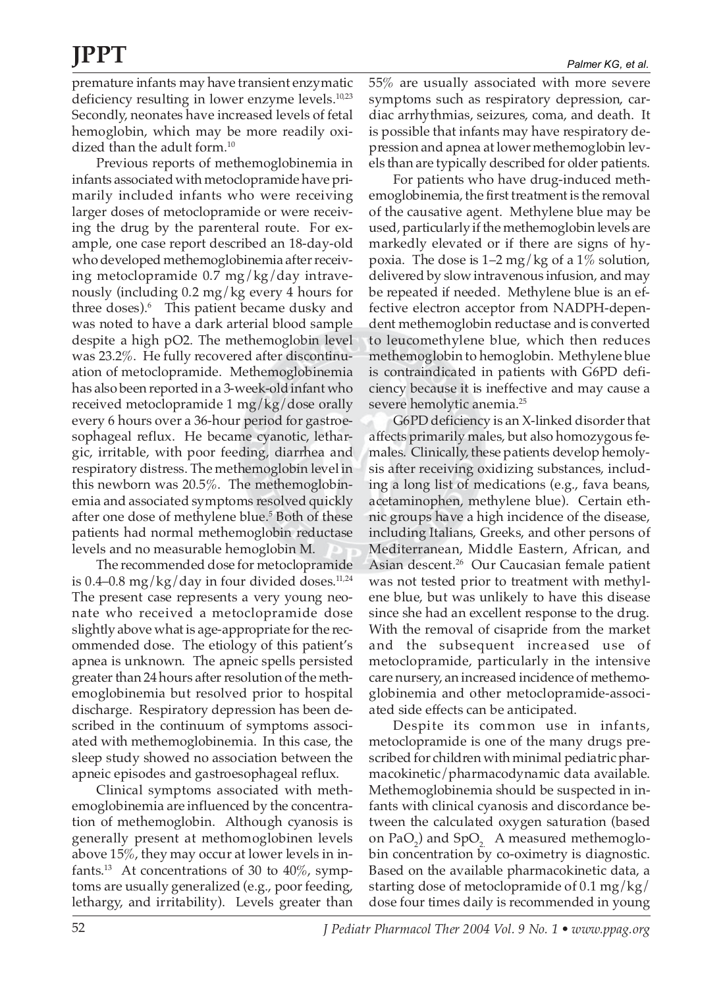premature infants may have transient enzymatic deficiency resulting in lower enzyme levels.10,23 Secondly, neonates have increased levels of fetal hemoglobin, which may be more readily oxidized than the adult form.<sup>10</sup>

Previous reports of methemoglobinemia in infants associated with metoclopramide have primarily included infants who were receiving larger doses of metoclopramide or were receiving the drug by the parenteral route. For example, one case report described an 18-day-old who developed methemoglobinemia after receiving metoclopramide 0.7 mg/kg/day intravenously (including 0.2 mg/kg every 4 hours for three doses).<sup>6</sup> This patient became dusky and was noted to have a dark arterial blood sample despite a high pO2. The methemoglobin level was 23.2%. He fully recovered after discontinuation of metoclopramide. Methemoglobinemia has also been reported in a 3-week-old infant who received metoclopramide 1 mg/kg/dose orally every 6 hours over a 36-hour period for gastroesophageal reflux. He became cyanotic, lethargic, irritable, with poor feeding, diarrhea and respiratory distress. The methemoglobin level in this newborn was 20.5%. The methemoglobinemia and associated symptoms resolved quickly after one dose of methylene blue.<sup>5</sup> Both of these patients had normal methemoglobin reductase levels and no measurable hemoglobin M.

The recommended dose for metoclopramide is 0.4–0.8 mg/kg/day in four divided doses.<sup>11,24</sup> The present case represents a very young neonate who received a metoclopramide dose slightly above what is age-appropriate for the recommended dose. The etiology of this patient's apnea is unknown. The apneic spells persisted greater than 24 hours after resolution of the methemoglobinemia but resolved prior to hospital discharge. Respiratory depression has been described in the continuum of symptoms associated with methemoglobinemia. In this case, the sleep study showed no association between the apneic episodes and gastroesophageal reflux.

Clinical symptoms associated with methemoglobinemia are influenced by the concentration of methemoglobin. Although cyanosis is generally present at methomoglobinen levels above 15%, they may occur at lower levels in infants.<sup>13</sup> At concentrations of 30 to  $40\%$ , symptoms are usually generalized (e.g., poor feeding, lethargy, and irritability). Levels greater than

55% are usually associated with more severe symptoms such as respiratory depression, cardiac arrhythmias, seizures, coma, and death. It is possible that infants may have respiratory depression and apnea at lower methemoglobin levels than are typically described for older patients.

For patients who have drug-induced methemoglobinemia, the first treatment is the removal of the causative agent. Methylene blue may be used, particularly if the methemoglobin levels are markedly elevated or if there are signs of hypoxia. The dose is  $1-2$  mg/kg of a  $1\%$  solution, delivered by slow intravenous infusion, and may be repeated if needed. Methylene blue is an effective electron acceptor from NADPH-dependent methemoglobin reductase and is converted to leucomethylene blue, which then reduces methemoglobin to hemoglobin. Methylene blue is contraindicated in patients with G6PD deficiency because it is ineffective and may cause a severe hemolytic anemia.25

G6PD deficiency is an X-linked disorder that affects primarily males, but also homozygous females. Clinically, these patients develop hemolysis after receiving oxidizing substances, including a long list of medications (e.g., fava beans, acetaminophen, methylene blue). Certain ethnic groups have a high incidence of the disease, including Italians, Greeks, and other persons of Mediterranean, Middle Eastern, African, and Asian descent.26Our Caucasian female patient was not tested prior to treatment with methylene blue, but was unlikely to have this disease since she had an excellent response to the drug. With the removal of cisapride from the market and the subsequent increased use of metoclopramide, particularly in the intensive care nursery, an increased incidence of methemoglobinemia and other metoclopramide-associated side effects can be anticipated.

Despite its common use in infants, metoclopramide is one of the many drugs prescribed for children with minimal pediatric pharmacokinetic/pharmacodynamic data available. Methemoglobinemia should be suspected in infants with clinical cyanosis and discordance between the calculated oxygen saturation (based on  $PaO<sub>2</sub>$ ) and  $SpO<sub>2</sub>$ . A measured methemoglobin concentration by co-oximetry is diagnostic. Based on the available pharmacokinetic data, a starting dose of metoclopramide of 0.1 mg/kg/ dose four times daily is recommended in young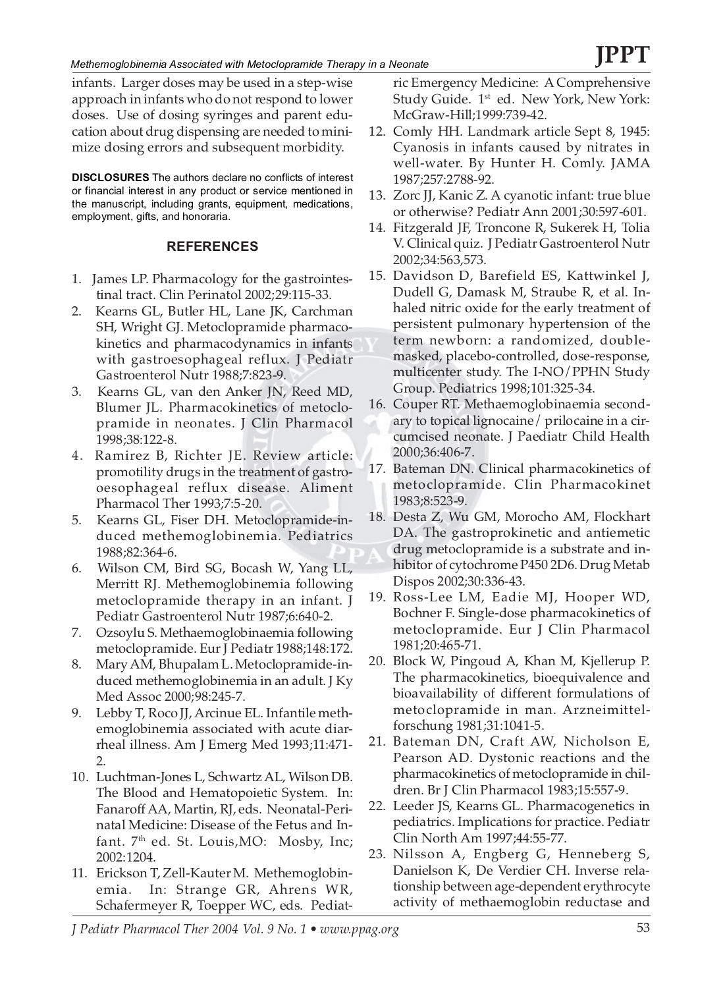infants. Larger doses may be used in a step-wise approach in infants who do not respond to lower doses. Use of dosing syringes and parent education about drug dispensing are needed to minimize dosing errors and subsequent morbidity.

**DISCLOSURES** The authors declare no conflicts of interest or financial interest in any product or service mentioned in the manuscript, including grants, equipment, medications, employment, gifts, and honoraria.

### **REFERENCES**

- 1. James LP. Pharmacology for the gastrointestinal tract. Clin Perinatol 2002;29:115-33.
- 2. Kearns GL, Butler HL, Lane JK, Carchman SH, Wright GJ. Metoclopramide pharmacokinetics and pharmacodynamics in infants with gastroesophageal reflux. J Pediatr Gastroenterol Nutr 1988;7:823-9.
- 3. Kearns GL, van den Anker JN, Reed MD, Blumer JL. Pharmacokinetics of metoclopramide in neonates. J Clin Pharmacol 1998;38:122-8.
- 4. Ramirez B, Richter JE. Review article: promotility drugs in the treatment of gastrooesophageal reflux disease. Aliment Pharmacol Ther 1993;7:5-20.
- 5. Kearns GL, Fiser DH. Metoclopramide-induced methemoglobinemia. Pediatrics 1988;82:364-6.
- 6. Wilson CM, Bird SG, Bocash W, Yang LL, Merritt RJ. Methemoglobinemia following metoclopramide therapy in an infant. J Pediatr Gastroenterol Nutr 1987;6:640-2.
- 7. Ozsoylu S. Methaemoglobinaemia following metoclopramide. Eur J Pediatr 1988;148:172.
- 8. Mary AM, Bhupalam L. Metoclopramide-induced methemoglobinemia in an adult. J Ky Med Assoc 2000;98:245-7.
- 9. Lebby T, Roco JJ, Arcinue EL. Infantile methemoglobinemia associated with acute diarrheal illness. Am J Emerg Med 1993;11:471-  $\mathcal{P}$
- 10. Luchtman-Jones L, Schwartz AL, Wilson DB. The Blood and Hematopoietic System. In: Fanaroff AA, Martin, RJ, eds. Neonatal-Perinatal Medicine: Disease of the Fetus and Infant.  $7<sup>th</sup>$  ed. St. Louis, MO: Mosby, Inc; 2002:1204.
- 11. Erickson T, Zell-Kauter M. Methemoglobinemia. In: Strange GR, Ahrens WR, Schafermeyer R, Toepper WC, eds. Pediat-

ric Emergency Medicine: A Comprehensive Study Guide. 1<sup>st</sup> ed. New York, New York: McGraw-Hill;1999:739-42.

- 12. Comly HH. Landmark article Sept 8, 1945: Cyanosis in infants caused by nitrates in well-water. By Hunter H. Comly. JAMA 1987;257:2788-92.
- 13. Zorc JJ, Kanic Z. A cyanotic infant: true blue or otherwise? Pediatr Ann 2001;30:597-601.
- 14. Fitzgerald JF, Troncone R, Sukerek H, Tolia V. Clinical quiz. J Pediatr Gastroenterol Nutr 2002;34:563,573.
- 15. Davidson D, Barefield ES, Kattwinkel J, Dudell G, Damask M, Straube R, et al. Inhaled nitric oxide for the early treatment of persistent pulmonary hypertension of the term newborn: a randomized, doublemasked, placebo-controlled, dose-response, multicenter study. The I-NO/PPHN Study Group. Pediatrics 1998;101:325-34.
- 16. Couper RT. Methaemoglobinaemia secondary to topical lignocaine/ prilocaine in a circumcised neonate. J Paediatr Child Health 2000;36:406-7.
- 17. Bateman DN. Clinical pharmacokinetics of metoclopramide. Clin Pharmacokinet 1983;8:523-9.
- 18. Desta Z, Wu GM, Morocho AM, Flockhart DA. The gastroprokinetic and antiemetic drug metoclopramide is a substrate and inhibitor of cytochrome P450 2D6. Drug Metab Dispos 2002;30:336-43.
- 19. Ross-Lee LM, Eadie MJ, Hooper WD, Bochner F. Single-dose pharmacokinetics of metoclopramide. Eur J Clin Pharmacol 1981;20:465-71.
- 20. Block W, Pingoud A, Khan M, Kjellerup P. The pharmacokinetics, bioequivalence and bioavailability of different formulations of metoclopramide in man. Arzneimittelforschung 1981;31:1041-5.
- 21. Bateman DN, Craft AW, Nicholson E, Pearson AD. Dystonic reactions and the pharmacokinetics of metoclopramide in children. Br J Clin Pharmacol 1983;15:557-9.
- 22. Leeder JS, Kearns GL. Pharmacogenetics in pediatrics. Implications for practice. Pediatr Clin North Am 1997;44:55-77.
- 23. Nilsson A, Engberg G, Henneberg S, Danielson K, De Verdier CH. Inverse relationship between age-dependent erythrocyte activity of methaemoglobin reductase and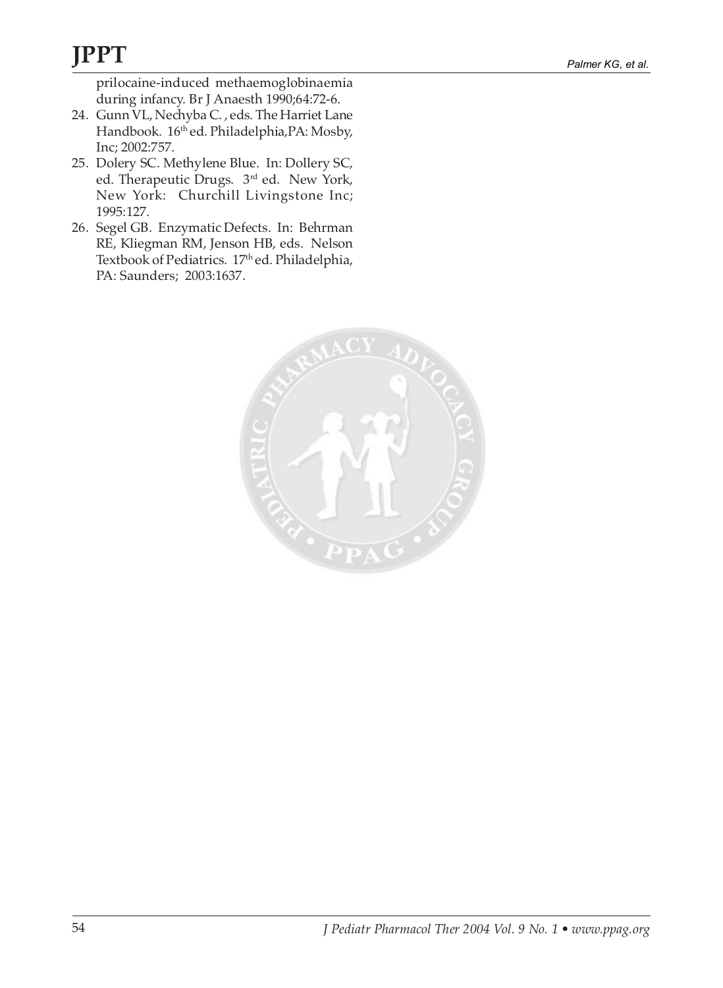prilocaine-induced methaemoglobinaemia during infancy. Br J Anaesth 1990;64:72-6.

- 24. Gunn VL, Nechyba C. , eds. The Harriet Lane Handbook. 16<sup>th</sup> ed. Philadelphia, PA: Mosby, Inc; 2002:757.
- 25. Dolery SC. Methylene Blue. In: Dollery SC, ed. Therapeutic Drugs. 3rd ed. New York, New York: Churchill Livingstone Inc; 1995:127.
- 26. Segel GB. Enzymatic Defects. In: Behrman RE, Kliegman RM, Jenson HB, eds. Nelson Textbook of Pediatrics. 17<sup>th</sup> ed. Philadelphia, PA: Saunders; 2003:1637.

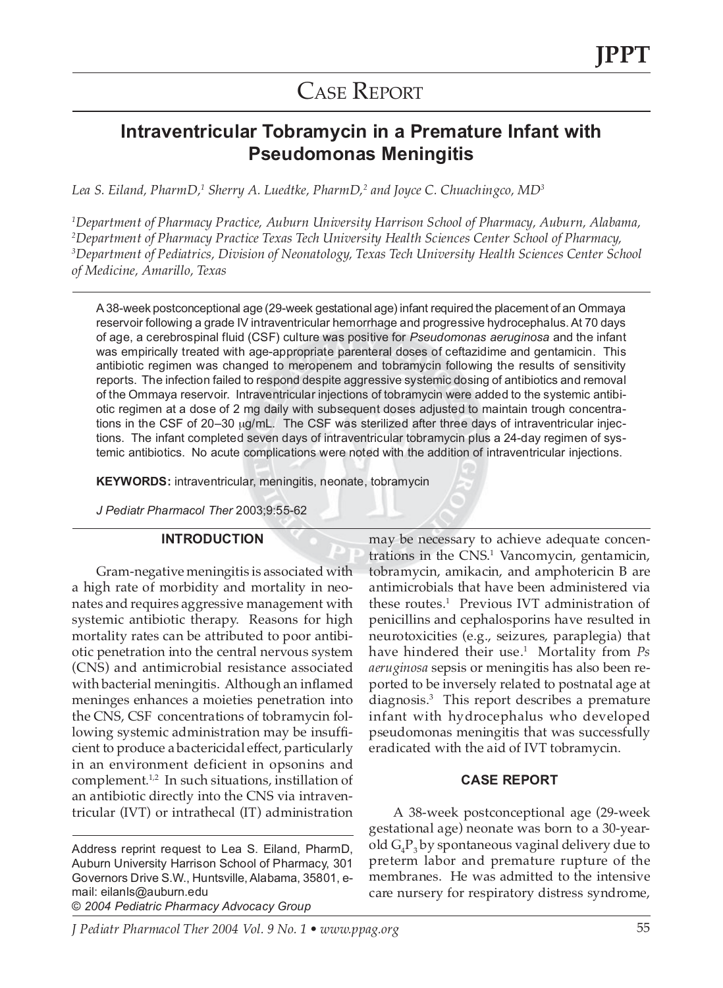## CASE REPORT

### **Intraventricular Tobramycin in a Premature Infant with Pseudomonas Meningitis**

Lea S. Eiland, PharmD,<sup>1</sup> Sherry A. Luedtke, PharmD,<sup>2</sup> and Joyce C. Chuachingco, MD<sup>3</sup>

 *Department of Pharmacy Practice, Auburn University Harrison School of Pharmacy, Auburn, Alabama, Department of Pharmacy Practice Texas Tech University Health Sciences Center School of Pharmacy, Department of Pediatrics, Division of Neonatology, Texas Tech University Health Sciences Center School of Medicine, Amarillo, Texas*

A 38-week postconceptional age (29-week gestational age) infant required the placement of an Ommaya reservoir following a grade IV intraventricular hemorrhage and progressive hydrocephalus. At 70 days of age, a cerebrospinal fluid (CSF) culture was positive for *Pseudomonas aeruginosa* and the infant was empirically treated with age-appropriate parenteral doses of ceftazidime and gentamicin. This antibiotic regimen was changed to meropenem and tobramycin following the results of sensitivity reports. The infection failed to respond despite aggressive systemic dosing of antibiotics and removal of the Ommaya reservoir. Intraventricular injections of tobramycin were added to the systemic antibiotic regimen at a dose of 2 mg daily with subsequent doses adjusted to maintain trough concentrations in the CSF of 20–30 µg/mL. The CSF was sterilized after three days of intraventricular injections. The infant completed seven days of intraventricular tobramycin plus a 24-day regimen of systemic antibiotics. No acute complications were noted with the addition of intraventricular injections.

**KEYWORDS:** intraventricular, meningitis, neonate, tobramycin

*J Pediatr Pharmacol Ther* 2003;9:55-62

### **INTRODUCTION**

Gram-negative meningitis is associated with a high rate of morbidity and mortality in neonates and requires aggressive management with systemic antibiotic therapy. Reasons for high mortality rates can be attributed to poor antibiotic penetration into the central nervous system (CNS) and antimicrobial resistance associated with bacterial meningitis. Although an inflamed meninges enhances a moieties penetration into the CNS, CSF concentrations of tobramycin following systemic administration may be insufficient to produce a bactericidal effect, particularly in an environment deficient in opsonins and complement.<sup>1,2</sup> In such situations, instillation of an antibiotic directly into the CNS via intraventricular (IVT) or intrathecal (IT) administration

Address reprint request to Lea S. Eiland, PharmD, Auburn University Harrison School of Pharmacy, 301 Governors Drive S.W., Huntsville, Alabama, 35801, email: eilanls@auburn.edu

© *2004 Pediatric Pharmacy Advocacy Group*

may be necessary to achieve adequate concentrations in the CNS.<sup>1</sup> Vancomycin, gentamicin, tobramycin, amikacin, and amphotericin B are antimicrobials that have been administered via these routes.1 Previous IVT administration of penicillins and cephalosporins have resulted in neurotoxicities (e.g., seizures, paraplegia) that have hindered their use.1 Mortality from *Ps aeruginosa* sepsis or meningitis has also been reported to be inversely related to postnatal age at diagnosis.3 This report describes a premature infant with hydrocephalus who developed pseudomonas meningitis that was successfully eradicated with the aid of IVT tobramycin.

### **CASE REPORT**

A 38-week postconceptional age (29-week gestational age) neonate was born to a 30-yearold  $\mathrm{G_{4}P_{3}}$  by spontaneous vaginal delivery due to preterm labor and premature rupture of the membranes. He was admitted to the intensive care nursery for respiratory distress syndrome,

*J Pediatr Pharmacol Ther 2004 Vol. 9 No. 1 • www.ppag.org* 55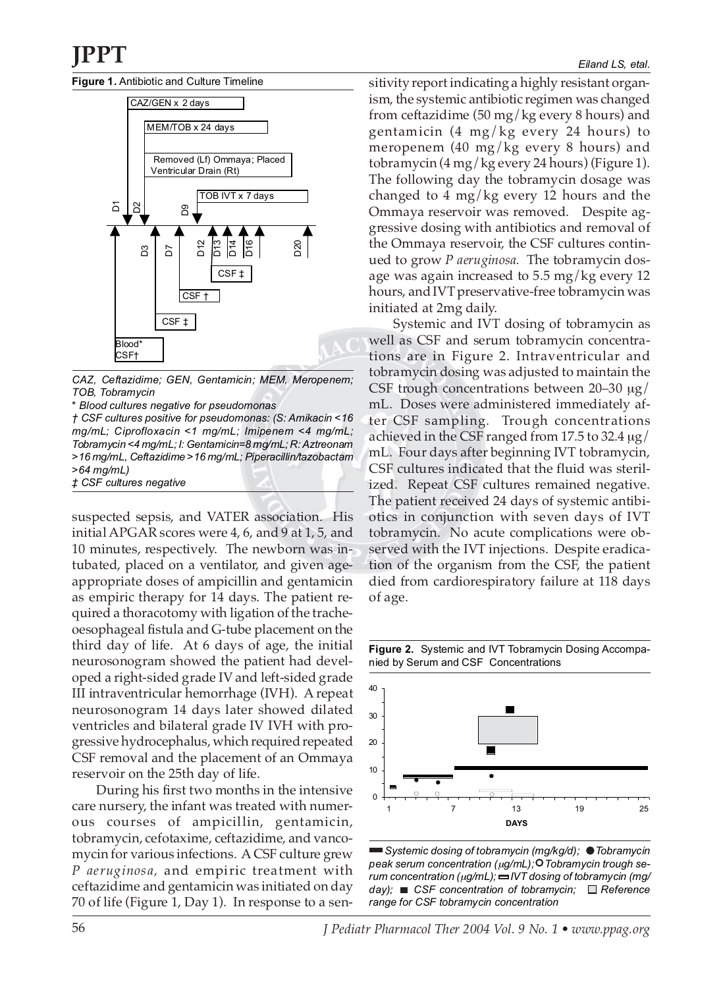**Figure 1.** Antibiotic and Culture Timeline



*CAZ, Ceftazidime; GEN, Gentamicin; MEM, Meropenem; TOB, Tobramycin*

*\* Blood cultures negative for pseudomonas*

*† CSF cultures positive for pseudomonas: (S: Amikacin <16 mg/mL; Ciprofloxacin <1 mg/mL; Imipenem <4 mg/mL; Tobramycin <4 mg/mL; I: Gentamicin=8 mg/mL; R: Aztreonam >16 mg/mL, Ceftazidime >16 mg/mL; Piperacillin/tazobactam >64 mg/mL) ‡ CSF cultures negative*

suspected sepsis, and VATER association. His initial APGAR scores were 4, 6, and 9 at 1, 5, and 10 minutes, respectively. The newborn was intubated, placed on a ventilator, and given ageappropriate doses of ampicillin and gentamicin as empiric therapy for 14 days. The patient required a thoracotomy with ligation of the tracheoesophageal fistula and G-tube placement on the third day of life. At 6 days of age, the initial neurosonogram showed the patient had developed a right-sided grade IV and left-sided grade III intraventricular hemorrhage (IVH). A repeat neurosonogram 14 days later showed dilated ventricles and bilateral grade IV IVH with progressive hydrocephalus, which required repeated CSF removal and the placement of an Ommaya reservoir on the 25th day of life.

During his first two months in the intensive care nursery, the infant was treated with numerous courses of ampicillin, gentamicin, tobramycin, cefotaxime, ceftazidime, and vancomycin for various infections. A CSF culture grew *P aeruginosa,* and empiric treatment with ceftazidime and gentamicin was initiated on day 70 of life (Figure 1, Day 1). In response to a sensitivity report indicating a highly resistant organism, the systemic antibiotic regimen was changed from ceftazidime (50 mg/kg every 8 hours) and gentamicin (4 mg/kg every 24 hours) to meropenem (40 mg/kg every 8 hours) and tobramycin (4 mg/kg every 24 hours) (Figure 1). The following day the tobramycin dosage was changed to 4 mg/kg every 12 hours and the Ommaya reservoir was removed. Despite aggressive dosing with antibiotics and removal of the Ommaya reservoir, the CSF cultures continued to grow *P aeruginosa.* The tobramycin dosage was again increased to 5.5 mg/kg every 12 hours, and IVT preservative-free tobramycin was initiated at 2mg daily.

Systemic and IVT dosing of tobramycin as well as CSF and serum tobramycin concentrations are in Figure 2. Intraventricular and tobramycin dosing was adjusted to maintain the CSF trough concentrations between  $20-30 \mu g$ mL. Doses were administered immediately after CSF sampling. Trough concentrations achieved in the CSF ranged from 17.5 to 32.4  $\mu$ g/ mL. Four days after beginning IVT tobramycin, CSF cultures indicated that the fluid was sterilized. Repeat CSF cultures remained negative. The patient received 24 days of systemic antibiotics in conjunction with seven days of IVT tobramycin. No acute complications were observed with the IVT injections. Despite eradication of the organism from the CSF, the patient died from cardiorespiratory failure at 118 days of age.

**Figure 2.** Systemic and IVT Tobramycin Dosing Accompanied by Serum and CSF Concentrations



*Systemic dosing of tobramycin (mg/kg/d); Tobramycin peak serum concentration (*µ*g/mL); Tobramycin trough serum concentration (*µ*g/mL); IVT dosing of tobramycin (mg/ day)*; ■ CSF concentration of tobramycin; □ Reference *range for CSF tobramycin concentration*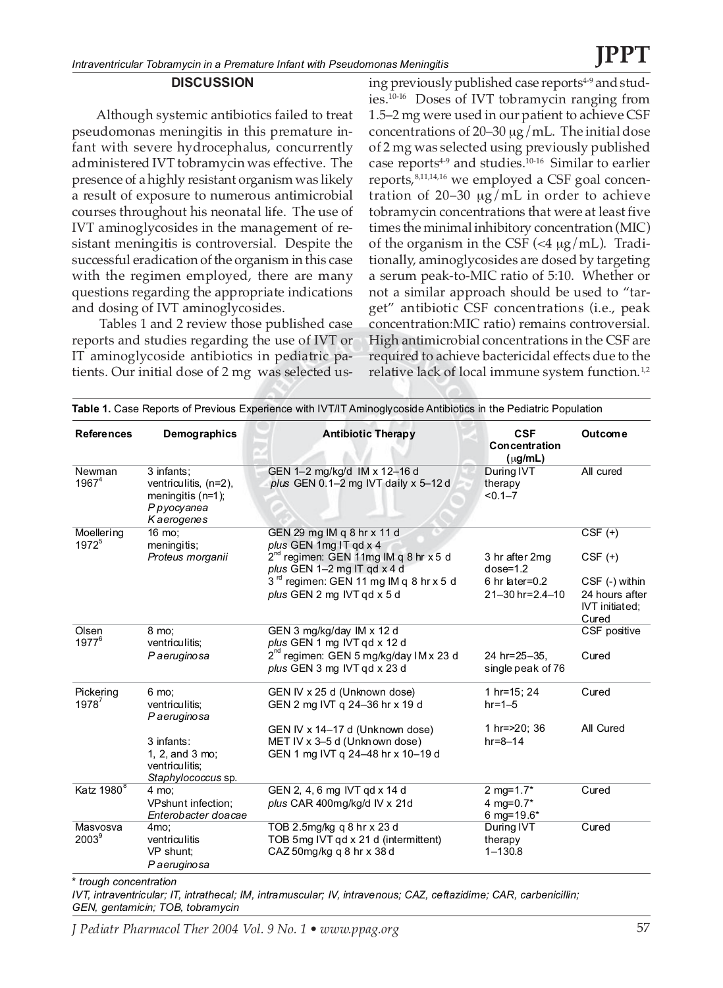### **DISCUSSION**

Although systemic antibiotics failed to treat pseudomonas meningitis in this premature infant with severe hydrocephalus, concurrently administered IVT tobramycin was effective. The presence of a highly resistant organism was likely a result of exposure to numerous antimicrobial courses throughout his neonatal life. The use of IVT aminoglycosides in the management of resistant meningitis is controversial. Despite the successful eradication of the organism in this case with the regimen employed, there are many questions regarding the appropriate indications and dosing of IVT aminoglycosides.

Tables 1 and 2 review those published case reports and studies regarding the use of IVT or IT aminoglycoside antibiotics in pediatric patients. Our initial dose of 2 mg was selected using previously published case reports<sup>4-9</sup> and studies.10-16 Doses of IVT tobramycin ranging from 1.5–2 mg were used in our patient to achieve CSF concentrations of 20–30  $\mu$ g/mL. The initial dose of 2 mg was selected using previously published case reports<sup>4-9</sup> and studies.<sup>10-16</sup> Similar to earlier reports,<sup>8,11,14,16</sup> we employed a CSF goal concentration of 20–30  $\mu$ g/mL in order to achieve tobramycin concentrations that were at least five times the minimal inhibitory concentration (MIC) of the organism in the CSF  $\left(\frac{4 \text{ µg}}{m} \right)$ . Traditionally, aminoglycosides are dosed by targeting a serum peak-to-MIC ratio of 5:10. Whether or not a similar approach should be used to "target" antibiotic CSF concentrations (i.e., peak concentration:MIC ratio) remains controversial. High antimicrobial concentrations in the CSF are required to achieve bactericidal effects due to the relative lack of local immune system function. $1,2$ 

| <b>References</b>               | Demographics                                                                              | <b>Antibiotic Therapy</b>                                                                       | <b>CSF</b><br>Concentration<br>$(\mu g/mL)$ | Outcom e                                  |  |
|---------------------------------|-------------------------------------------------------------------------------------------|-------------------------------------------------------------------------------------------------|---------------------------------------------|-------------------------------------------|--|
| Newman<br>$1967^4$              | 3 infants;<br>ventriculitis, (n=2),<br>meningitis $(n=1)$ ;<br>P pyocyanea<br>K aerogenes | GEN 1-2 mg/kg/d IM x 12-16 d<br>plus GEN 0.1-2 mg IVT daily x 5-12 d                            | During IVT<br>therapy<br>$< 0.1 - 7$        | All cured                                 |  |
| Moellering<br>1972 <sup>5</sup> | 16 mo:<br>meningitis;                                                                     | GEN 29 mg IM q 8 hr x 11 d<br>plus GEN 1mg IT gd x 4                                            |                                             | $CSF(+)$                                  |  |
|                                 | Proteus morganii                                                                          | $2^{nd}$ regimen: GEN 11mg IM q 8 hr x 5 d<br>plus GEN 1-2 mg IT qd x 4 d                       | 3 hr after 2mg<br>$dose=1.2$                | $CSF$ $(+)$                               |  |
|                                 |                                                                                           | 3 <sup>rd</sup> regimen: GEN 11 mg IM q 8 hr x 5 d                                              | $6$ hr later= $0.2$                         | CSF (-) within                            |  |
|                                 |                                                                                           | plus GEN 2 mg IVT gd x 5 d                                                                      | 21-30 hr=2.4-10                             | 24 hours after<br>IVT initiated;<br>Cured |  |
| Olsen<br>$1977^6$               | 8 mo;<br>ventriculitis;                                                                   | GEN 3 mg/kg/day IM x 12 d<br>plus GEN 1 mg IVT gd x 12 d                                        |                                             | CSF positive                              |  |
|                                 | P aeruginosa                                                                              | $2^{nd}$ regimen: GEN 5 mg/kg/day IM x 23 d<br>plus GEN 3 mg IVT gd x 23 d                      | 24 hr=25-35,<br>single peak of 76           | Cured                                     |  |
| Pickering<br>$1978^7$           | 6 mo:<br>ventriculitis;<br>P aeruginosa                                                   | GEN IV x 25 d (Unknown dose)<br>GEN 2 mg IVT g 24-36 hr x 19 d                                  | 1 hr=15; 24<br>$hr = 1 - 5$                 | Cured                                     |  |
|                                 |                                                                                           | GEN IV x 14-17 d (Unknown dose)                                                                 | 1 hr = > 20; 36                             | All Cured                                 |  |
|                                 | 3 infants:                                                                                | MET IV x 3-5 d (Unknown dose)                                                                   | $hr = 8 - 14$                               |                                           |  |
|                                 | 1, 2, and 3 mo;<br>ventriculitis;<br>Staphylococcus sp.                                   | GEN 1 mg IVT q 24-48 hr x 10-19 d                                                               |                                             |                                           |  |
| Katz 1980 <sup>8</sup>          | 4 mo;                                                                                     | GEN 2, 4, 6 mg IVT gd x 14 d                                                                    | 2 mg= $1.7*$                                | Cured                                     |  |
|                                 | VPshunt infection;<br>Enterobacter doacae                                                 | plus CAR 400mg/kg/d IV x 21d                                                                    | 4 mg=0.7*<br>6 mg=19.6*                     |                                           |  |
| Masvosva<br>$2003^9$            | 4 <sub>mo</sub> :<br>ventriculitis<br>VP shunt:<br>P aeruginosa                           | TOB 2.5mg/kg g 8 hr x 23 d<br>TOB 5mg IVT gd x 21 d (intermittent)<br>CAZ 50mg/kg g 8 hr x 38 d | During IVT<br>therapy<br>$1 - 130.8$        | Cured                                     |  |

*\* trough concentration*

*IVT, intraventricular; IT, intrathecal; IM, intramuscular; IV, intravenous; CAZ, ceftazidime; CAR, carbenicillin; GEN, gentamicin; TOB, tobramycin*

*J Pediatr Pharmacol Ther 2004 Vol. 9 No. 1 • www.ppag.org* 57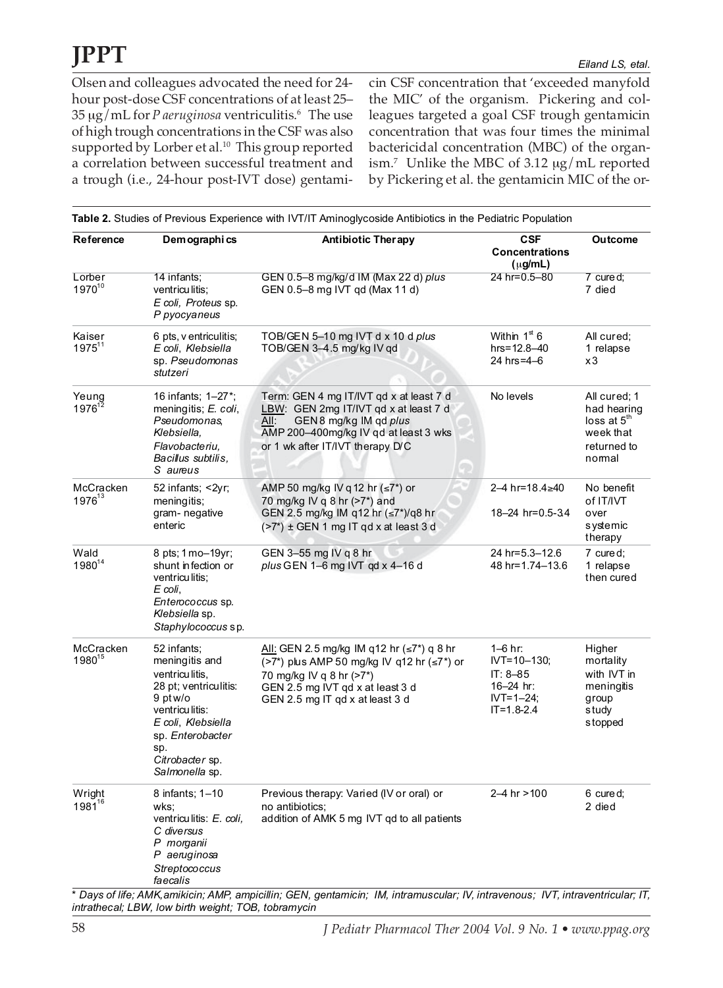Olsen and colleagues advocated the need for 24 hour post-dose CSF concentrations of at least 25– 35 µg/mL for *P aeruginosa* ventriculitis.6 The use of high trough concentrations in the CSF was also supported by Lorber et al.<sup>10</sup> This group reported a correlation between successful treatment and a trough (i.e., 24-hour post-IVT dose) gentamicin CSF concentration that 'exceeded manyfold the MIC' of the organism. Pickering and colleagues targeted a goal CSF trough gentamicin concentration that was four times the minimal bactericidal concentration (MBC) of the organism.7 Unlike the MBC of 3.12 µg/mL reported by Pickering et al. the gentamicin MIC of the or-

| Reference                                                                                                                                                     | Demographics                                                                                                                                                                                 | <b>Antibiotic Therapy</b>                                                                                                                                                                         | <b>CSF</b><br><b>Concentrations</b><br>$(\mu g/mL)$                                                  | <b>Outcome</b>                                                                       |
|---------------------------------------------------------------------------------------------------------------------------------------------------------------|----------------------------------------------------------------------------------------------------------------------------------------------------------------------------------------------|---------------------------------------------------------------------------------------------------------------------------------------------------------------------------------------------------|------------------------------------------------------------------------------------------------------|--------------------------------------------------------------------------------------|
| Lorber<br>197010                                                                                                                                              | 14 infants:<br>ventriculitis;<br>E coli, Proteus sp.<br>P pyocyaneus                                                                                                                         | GEN 0.5-8 mg/kg/d IM (Max 22 d) plus<br>GEN 0.5-8 mg IVT qd (Max 11 d)                                                                                                                            | 24 hr=0.5-80                                                                                         | 7 cured;<br>7 died                                                                   |
| Kaiser<br>$1975^{11}$                                                                                                                                         | 6 pts, v entriculitis;<br>TOB/GEN 5-10 mg IVT d x 10 d plus<br>E coli, Klebsiella<br>TOB/GEN 3-4.5 mg/kg IV gd<br>sp. Pseudomonas<br>stutzeri                                                |                                                                                                                                                                                                   | Within $1st 6$<br>$hrs = 12.8 - 40$<br>24 hrs=4-6                                                    | All cured;<br>1 relapse<br>x3                                                        |
| 16 infants; 1-27*;<br>Yeung<br>$1976^{12}$<br>meningitis; E. coli,<br>Pseudomonas,<br>All:<br>Klebsiella,<br>Flavobacteriu.<br>Bacillus subtilis.<br>S aureus |                                                                                                                                                                                              | Term: GEN 4 mg IT/IVT gd x at least 7 d<br>LBW: GEN 2mg IT/IVT qd x at least 7 d<br>GEN 8 mg/kg IM qd plus<br>AMP 200-400mg/kg IV gd at least 3 wks<br>or 1 wk after IT/IVT therapy D/C           | No levels                                                                                            | All cured; 1<br>had hearing<br>$loss$ at $5th$<br>week that<br>returned to<br>normal |
| McCracken<br>1976 <sup>13</sup>                                                                                                                               | 52 infants; <2yr;                                                                                                                                                                            | AMP 50 mg/kg IV q 12 hr $(\leq 7^*)$ or                                                                                                                                                           | 2-4 hr=18.4≥40                                                                                       | No benefit                                                                           |
|                                                                                                                                                               | meningitis;<br>gram-negative<br>enteric                                                                                                                                                      | 70 mg/kg IV g $8$ hr $(>7*)$ and<br>GEN 2.5 mg/kg IM q12 hr (≤7*)/q8 hr<br>(>7*) ± GEN 1 mg IT qd x at least 3 d                                                                                  | 18-24 hr=0.5-3.4                                                                                     | of IT/IVT<br>over<br>systemic<br>therapy                                             |
| Wald<br>198014                                                                                                                                                | 8 pts; 1 mo-19yr;<br>shunt infection or<br>ventriculitis;<br>E coli,<br>Enterococcus sp.<br>Klebsiella sp.<br>Staphylococcus sp.                                                             | GEN 3-55 mg IV g 8 hr<br>plus GEN 1-6 mg IVT qd x 4-16 d                                                                                                                                          | 24 hr=5.3-12.6<br>48 hr=1.74-13.6                                                                    | 7 cured;<br>1 relapse<br>then cured                                                  |
| McCracken<br>1980 <sup>15</sup>                                                                                                                               | 52 infants;<br>meningitis and<br>ventriculitis,<br>28 pt; ventriculitis:<br>9 pt w/o<br>ventriculitis:<br>E coli, Klebsiella<br>sp. Enterobacter<br>sp.<br>Citrobacter sp.<br>Salmonella sp. | <u>All:</u> GEN 2.5 mg/kg IM q12 hr (≤7*) q 8 hr<br>(>7*) plus AMP 50 mg/kg IV q12 hr (≤7*) or<br>70 mg/kg IV q 8 hr (>7*)<br>GEN 2.5 mg IVT qd x at least 3 d<br>GEN 2.5 mg IT qd x at least 3 d | $1 - 6$ hr:<br>$IVT = 10 - 130$ ;<br>$IT: 8-85$<br>16-24 hr:<br>$IVT = 1 - 24$ ;<br>$IT = 1.8 - 2.4$ | Higher<br>mortality<br>with IVT in<br>meningitis<br>group<br>s tudy<br>s topped      |
| Wright<br>1981 <sup>16</sup>                                                                                                                                  | 8 infants; 1-10<br>wks:<br>ventriculitis: E. coli,<br>C diversus<br>P morganii<br>P aeruginosa<br>Streptococcus<br>faecalis                                                                  | Previous therapy: Varied (IV or oral) or<br>no antibiotics:<br>addition of AMK 5 mg IVT gd to all patients                                                                                        | 2-4 hr >100                                                                                          | 6 cured:<br>2 died                                                                   |

*\* Days of life; AMK,amikicin; AMP, ampicillin; GEN, gentamicin; IM, intramuscular; IV, intravenous; IVT, intraventricular; IT, intrathecal; LBW, low birth weight; TOB, tobramycin*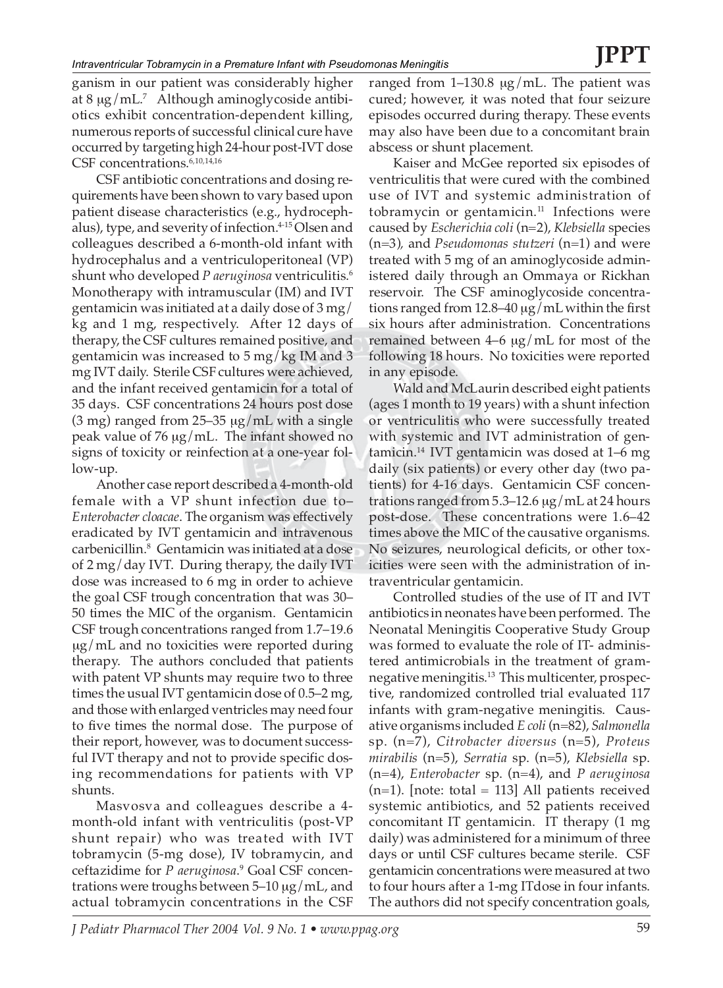ganism in our patient was considerably higher at  $8 \mu g/mL^7$  Although aminoglycoside antibiotics exhibit concentration-dependent killing, numerous reports of successful clinical cure have occurred by targeting high 24-hour post-IVT dose CSF concentrations.<sup>6,10,14,16</sup>

CSF antibiotic concentrations and dosing requirements have been shown to vary based upon patient disease characteristics (e.g., hydrocephalus), type, and severity of infection.<sup>4-15</sup> Olsen and colleagues described a 6-month-old infant with hydrocephalus and a ventriculoperitoneal (VP) shunt who developed *P aeruginosa* ventriculitis.6 Monotherapy with intramuscular (IM) and IVT gentamicin was initiated at a daily dose of 3 mg/ kg and 1 mg, respectively. After 12 days of therapy, the CSF cultures remained positive, and gentamicin was increased to 5 mg/kg IM and 3 mg IVT daily. Sterile CSF cultures were achieved, and the infant received gentamicin for a total of 35 days. CSF concentrations 24 hours post dose (3 mg) ranged from 25–35  $\mu$ g/mL with a single peak value of 76 µg/mL. The infant showed no signs of toxicity or reinfection at a one-year follow-up.

Another case report described a 4-month-old female with a VP shunt infection due to– *Enterobacter cloacae*. The organism was effectively eradicated by IVT gentamicin and intravenous carbenicillin.8 Gentamicin was initiated at a dose of 2 mg/day IVT. During therapy, the daily IVT dose was increased to 6 mg in order to achieve the goal CSF trough concentration that was 30– 50 times the MIC of the organism. Gentamicin CSF trough concentrations ranged from 1.7–19.6 µg/mL and no toxicities were reported during therapy. The authors concluded that patients with patent VP shunts may require two to three times the usual IVT gentamicin dose of 0.5–2 mg, and those with enlarged ventricles may need four to five times the normal dose. The purpose of their report, however, was to document successful IVT therapy and not to provide specific dosing recommendations for patients with VP shunts.

Masvosva and colleagues describe a 4 month-old infant with ventriculitis (post-VP shunt repair) who was treated with IVT tobramycin (5-mg dose), IV tobramycin, and ceftazidime for *P aeruginosa*. <sup>9</sup> Goal CSF concentrations were troughs between 5–10 µg/mL, and actual tobramycin concentrations in the CSF ranged from  $1-130.8 \mu g/mL$ . The patient was cured; however, it was noted that four seizure episodes occurred during therapy. These events may also have been due to a concomitant brain abscess or shunt placement.

Kaiser and McGee reported six episodes of ventriculitis that were cured with the combined use of IVT and systemic administration of tobramycin or gentamicin. $11$  Infections were caused by *Escherichia coli* (n=2), *Klebsiella* species (n=3)*,* and *Pseudomonas stutzeri* (n=1) and were treated with 5 mg of an aminoglycoside administered daily through an Ommaya or Rickhan reservoir. The CSF aminoglycoside concentrations ranged from 12.8–40 µg/mL within the first six hours after administration. Concentrations remained between  $4-6 \mu g/mL$  for most of the following 18 hours. No toxicities were reported in any episode.

Wald and McLaurin described eight patients (ages 1 month to 19 years) with a shunt infection or ventriculitis who were successfully treated with systemic and IVT administration of gentamicin.14 IVT gentamicin was dosed at 1–6 mg daily (six patients) or every other day (two patients) for 4-16 days. Gentamicin CSF concentrations ranged from  $5.3-12.6 \mu g/mL$  at 24 hours post-dose. These concentrations were 1.6–42 times above the MIC of the causative organisms. No seizures, neurological deficits, or other toxicities were seen with the administration of intraventricular gentamicin.

Controlled studies of the use of IT and IVT antibiotics in neonates have been performed. The Neonatal Meningitis Cooperative Study Group was formed to evaluate the role of IT- administered antimicrobials in the treatment of gramnegative meningitis.<sup>13</sup> This multicenter, prospective, randomized controlled trial evaluated 117 infants with gram-negative meningitis. Causative organisms included *E coli* (n=82), *Salmonella* sp. (n=7), *Citrobacter diversus* (n=5), *Proteus mirabilis* (n=5), *Serratia* sp. (n=5), *Klebsiella* sp. (n=4), *Enterobacter* sp. (n=4), and *P aeruginosa*  $(n=1)$ . [note: total = 113] All patients received systemic antibiotics, and 52 patients received concomitant IT gentamicin. IT therapy (1 mg daily) was administered for a minimum of three days or until CSF cultures became sterile. CSF gentamicin concentrations were measured at two to four hours after a 1-mg ITdose in four infants. The authors did not specify concentration goals,

*J Pediatr Pharmacol Ther 2004 Vol. 9 No. 1 • www.ppag.org* 59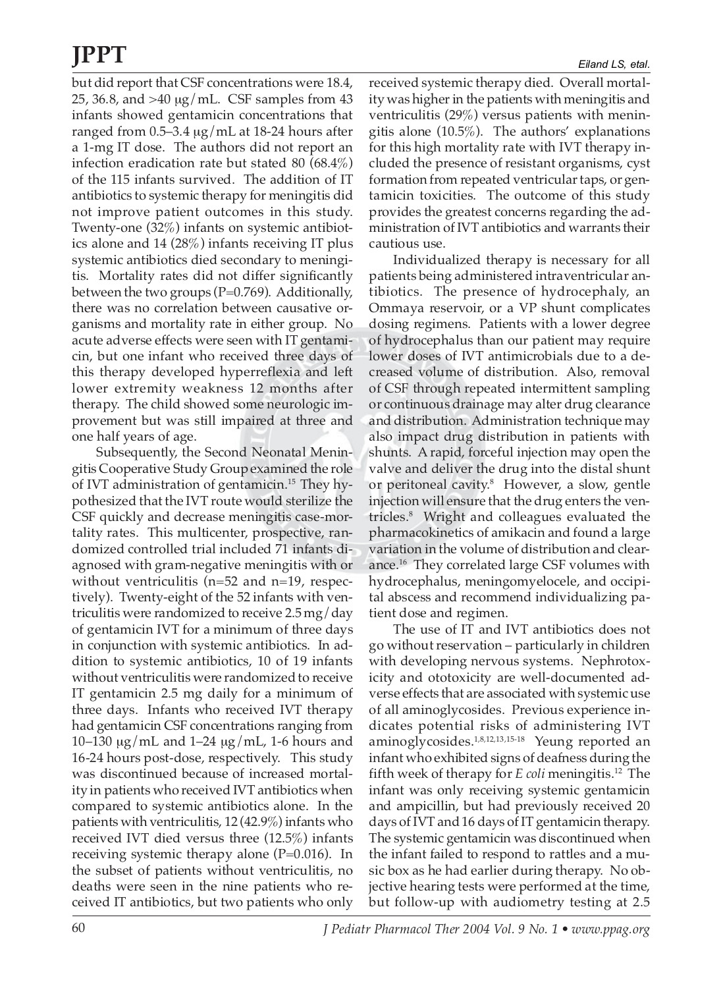but did report that CSF concentrations were 18.4, 25, 36.8, and >40 µg/mL. CSF samples from 43 infants showed gentamicin concentrations that ranged from 0.5–3.4 µg/mL at 18-24 hours after a 1-mg IT dose. The authors did not report an infection eradication rate but stated 80 (68.4%) of the 115 infants survived. The addition of IT antibiotics to systemic therapy for meningitis did not improve patient outcomes in this study. Twenty-one (32%) infants on systemic antibiotics alone and 14 (28%) infants receiving IT plus systemic antibiotics died secondary to meningitis. Mortality rates did not differ significantly between the two groups (P=0.769). Additionally, there was no correlation between causative organisms and mortality rate in either group. No acute adverse effects were seen with IT gentamicin, but one infant who received three days of this therapy developed hyperreflexia and left lower extremity weakness 12 months after therapy. The child showed some neurologic improvement but was still impaired at three and one half years of age.

Subsequently, the Second Neonatal Meningitis Cooperative Study Group examined the role of IVT administration of gentamicin.15 They hypothesized that the IVT route would sterilize the CSF quickly and decrease meningitis case-mortality rates. This multicenter, prospective, randomized controlled trial included 71 infants diagnosed with gram-negative meningitis with or without ventriculitis (n=52 and n=19, respectively). Twenty-eight of the 52 infants with ventriculitis were randomized to receive 2.5 mg/day of gentamicin IVT for a minimum of three days in conjunction with systemic antibiotics. In addition to systemic antibiotics, 10 of 19 infants without ventriculitis were randomized to receive IT gentamicin 2.5 mg daily for a minimum of three days. Infants who received IVT therapy had gentamicin CSF concentrations ranging from 10–130  $\mu$ g/mL and 1–24  $\mu$ g/mL, 1-6 hours and 16-24 hours post-dose, respectively. This study was discontinued because of increased mortality in patients who received IVT antibiotics when compared to systemic antibiotics alone. In the patients with ventriculitis, 12 (42.9%) infants who received IVT died versus three (12.5%) infants receiving systemic therapy alone (P=0.016). In the subset of patients without ventriculitis, no deaths were seen in the nine patients who received IT antibiotics, but two patients who only

received systemic therapy died. Overall mortality was higher in the patients with meningitis and ventriculitis (29%) versus patients with meningitis alone (10.5%). The authors' explanations for this high mortality rate with IVT therapy included the presence of resistant organisms, cyst formation from repeated ventricular taps, or gentamicin toxicities. The outcome of this study provides the greatest concerns regarding the administration of IVT antibiotics and warrants their cautious use.

Individualized therapy is necessary for all patients being administered intraventricular antibiotics. The presence of hydrocephaly, an Ommaya reservoir, or a VP shunt complicates dosing regimens. Patients with a lower degree of hydrocephalus than our patient may require lower doses of IVT antimicrobials due to a decreased volume of distribution. Also, removal of CSF through repeated intermittent sampling or continuous drainage may alter drug clearance and distribution. Administration technique may also impact drug distribution in patients with shunts. A rapid, forceful injection may open the valve and deliver the drug into the distal shunt or peritoneal cavity.8 However, a slow, gentle injection will ensure that the drug enters the ventricles.8 Wright and colleagues evaluated the pharmacokinetics of amikacin and found a large variation in the volume of distribution and clearance.16 They correlated large CSF volumes with hydrocephalus, meningomyelocele, and occipital abscess and recommend individualizing patient dose and regimen.

The use of IT and IVT antibiotics does not go without reservation – particularly in children with developing nervous systems. Nephrotoxicity and ototoxicity are well-documented adverse effects that are associated with systemic use of all aminoglycosides. Previous experience indicates potential risks of administering IVT aminoglycosides.1,8,12,13,15-18 Yeung reported an infant who exhibited signs of deafness during the fifth week of therapy for *E coli* meningitis.12 The infant was only receiving systemic gentamicin and ampicillin, but had previously received 20 days of IVT and 16 days of IT gentamicin therapy. The systemic gentamicin was discontinued when the infant failed to respond to rattles and a music box as he had earlier during therapy. No objective hearing tests were performed at the time, but follow-up with audiometry testing at 2.5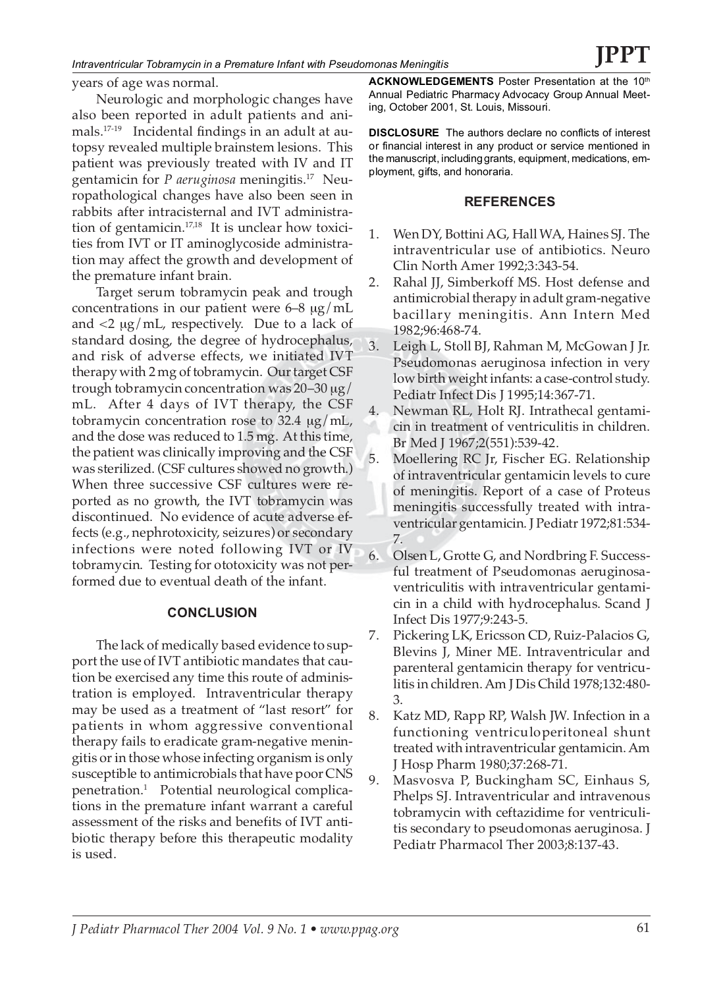*Intraventricular Tobramycin in a Premature Infant with Pseudomonas Meningitis*

years of age was normal.

Neurologic and morphologic changes have also been reported in adult patients and animals.17-19 Incidental findings in an adult at autopsy revealed multiple brainstem lesions. This patient was previously treated with IV and IT gentamicin for *P aeruginosa* meningitis.17 Neuropathological changes have also been seen in rabbits after intracisternal and IVT administration of gentamicin.17,18 It is unclear how toxicities from IVT or IT aminoglycoside administration may affect the growth and development of the premature infant brain.

Target serum tobramycin peak and trough concentrations in our patient were  $6-8 \mu g/mL$ and  $\langle 2 \mu g/mL$ , respectively. Due to a lack of standard dosing, the degree of hydrocephalus, and risk of adverse effects, we initiated IVT therapy with 2 mg of tobramycin. Our target CSF trough tobramycin concentration was 20–30 µg/ mL. After 4 days of IVT therapy, the CSF tobramycin concentration rose to 32.4  $\mu$ g/mL, and the dose was reduced to 1.5 mg. At this time, the patient was clinically improving and the CSF was sterilized. (CSF cultures showed no growth.) When three successive CSF cultures were reported as no growth, the IVT tobramycin was discontinued. No evidence of acute adverse effects (e.g., nephrotoxicity, seizures) or secondary infections were noted following IVT or IV tobramycin. Testing for ototoxicity was not performed due to eventual death of the infant.

### **CONCLUSION**

The lack of medically based evidence to support the use of IVT antibiotic mandates that caution be exercised any time this route of administration is employed. Intraventricular therapy may be used as a treatment of "last resort" for patients in whom aggressive conventional therapy fails to eradicate gram-negative meningitis or in those whose infecting organism is only susceptible to antimicrobials that have poor CNS penetration.1 Potential neurological complications in the premature infant warrant a careful assessment of the risks and benefits of IVT antibiotic therapy before this therapeutic modality is used.

**ACKNOWLEDGEMENTS** Poster Presentation at the Annual Pediatric Pharmacy Advocacy Group Annual Meeting, October 2001, St. Louis, Missouri.

**DISCLOSURE** The authors declare no conflicts of interest or financial interest in any product or service mentioned in the manuscript, including grants, equipment, medications, employment, gifts, and honoraria.

### **REFERENCES**

- 1. Wen DY, Bottini AG, Hall WA, Haines SJ. The intraventricular use of antibiotics. Neuro Clin North Amer 1992;3:343-54.
- 2. Rahal JJ, Simberkoff MS. Host defense and antimicrobial therapy in adult gram-negative bacillary meningitis. Ann Intern Med 1982;96:468-74.
- 3. Leigh L, Stoll BJ, Rahman M, McGowan J Jr. Pseudomonas aeruginosa infection in very low birth weight infants: a case-control study. Pediatr Infect Dis J 1995;14:367-71.
- 4. Newman RL, Holt RJ. Intrathecal gentamicin in treatment of ventriculitis in children. Br Med J 1967;2(551):539-42.
- 5. Moellering RC Jr, Fischer EG. Relationship of intraventricular gentamicin levels to cure of meningitis. Report of a case of Proteus meningitis successfully treated with intraventricular gentamicin. J Pediatr 1972;81:534- 7.
- 6. Olsen L, Grotte G, and Nordbring F. Successful treatment of Pseudomonas aeruginosaventriculitis with intraventricular gentamicin in a child with hydrocephalus. Scand J Infect Dis 1977;9:243-5.
- 7. Pickering LK, Ericsson CD, Ruiz-Palacios G, Blevins J, Miner ME. Intraventricular and parenteral gentamicin therapy for ventriculitis in children. Am J Dis Child 1978;132:480- 3.
- 8. Katz MD, Rapp RP, Walsh JW. Infection in a functioning ventriculoperitoneal shunt treated with intraventricular gentamicin. Am J Hosp Pharm 1980;37:268-71.
- 9. Masvosva P, Buckingham SC, Einhaus S, Phelps SJ. Intraventricular and intravenous tobramycin with ceftazidime for ventriculitis secondary to pseudomonas aeruginosa. J Pediatr Pharmacol Ther 2003;8:137-43.